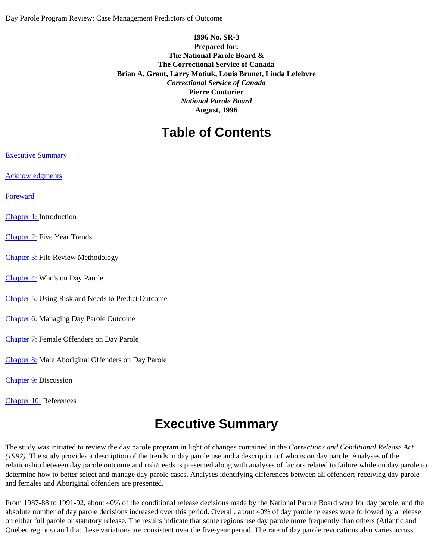# **1996 No. SR-3 Prepared for: The National Parole Board & The Correctional Service of Canada Brian A. Grant, Larry Motiuk, Louis Brunet, Linda Lefebvre**  *Correctional Service of Canada* **Pierre Couturier**  *National Parole Board* **August, 1996**

# **Table of Contents**

- [Executive Summary](#page-0-0)
- [Acknowledgments](#page-1-0)
- [Foreward](#page-2-0)
- [Chapter 1:](#page-2-1) Introduction
- [Chapter 2:](#page-6-0) Five Year Trends
- [Chapter 3:](#page-14-0) File Review Methodology
- [Chapter 4:](#page-16-0) Who's on Day Parole
- [Chapter 5:](#page-21-0) Using Risk and Needs to Predict Outcome
- [Chapter 6:](#page-37-0) Managing Day Parole Outcome
- [Chapter 7:](#page-52-0) Female Offenders on Day Parole
- [Chapter 8:](#page-63-0) Male Aboriginal Offenders on Day Parole
- [Chapter 9:](#page-73-0) Discussion
- <span id="page-0-0"></span>[Chapter 10:](#page-75-0) References

# **Executive Summary**

The study was initiated to review the day parole program in light of changes contained in the *Corrections and Conditional Release Act (1992).* The study provides a description of the trends in day parole use and a description of who is on day parole. Analyses of the relationship between day parole outcome and risk/needs is presented along with analyses of factors related to failure while on day parole to determine how to better select and manage day parole cases. Analyses identifying differences between all offenders receiving day parole and females and Aboriginal offenders are presented.

From 1987-88 to 1991-92, about 40% of the conditional release decisions made by the National Parole Board were for day parole, and the absolute number of day parole decisions increased over this period. Overall, about 40% of day parole releases were followed by a release on either full parole or statutory release. The results indicate that some regions use day parole more frequently than others (Atlantic and Quebec regions) and that these variations are consistent over the five-year period. The rate of day parole revocations also varies across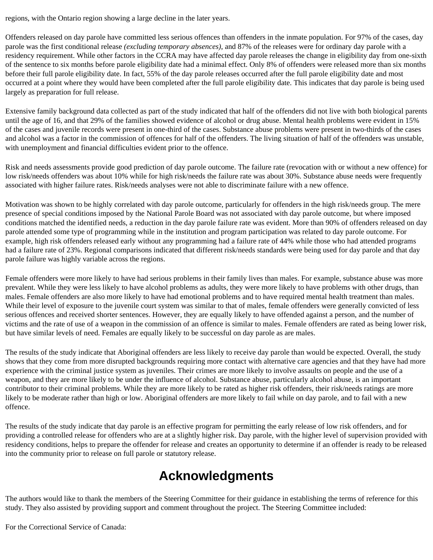regions, with the Ontario region showing a large decline in the later years.

Offenders released on day parole have committed less serious offences than offenders in the inmate population. For 97% of the cases, day parole was the first conditional release *(excluding temporary absences)*, and 87% of the releases were for ordinary day parole with a residency requirement. While other factors in the CCRA may have affected day parole releases the change in eligibility day from one-sixth of the sentence to six months before parole eligibility date had a minimal effect. Only 8% of offenders were released more than six months before their full parole eligibility date. In fact, 55% of the day parole releases occurred after the full parole eligibility date and most occurred at a point where they would have been completed after the full parole eligibility date. This indicates that day parole is being used largely as preparation for full release.

Extensive family background data collected as part of the study indicated that half of the offenders did not live with both biological parents until the age of 16, and that 29% of the families showed evidence of alcohol or drug abuse. Mental health problems were evident in 15% of the cases and juvenile records were present in one-third of the cases. Substance abuse problems were present in two-thirds of the cases and alcohol was a factor in the commission of offences for half of the offenders. The living situation of half of the offenders was unstable, with unemployment and financial difficulties evident prior to the offence.

Risk and needs assessments provide good prediction of day parole outcome. The failure rate (revocation with or without a new offence) for low risk/needs offenders was about 10% while for high risk/needs the failure rate was about 30%. Substance abuse needs were frequently associated with higher failure rates. Risk/needs analyses were not able to discriminate failure with a new offence.

Motivation was shown to be highly correlated with day parole outcome, particularly for offenders in the high risk/needs group. The mere presence of special conditions imposed by the National Parole Board was not associated with day parole outcome, but where imposed conditions matched the identified needs, a reduction in the day parole failure rate was evident. More than 90% of offenders released on day parole attended some type of programming while in the institution and program participation was related to day parole outcome. For example, high risk offenders released early without any programming had a failure rate of 44% while those who had attended programs had a failure rate of 23%. Regional comparisons indicated that different risk/needs standards were being used for day parole and that day parole failure was highly variable across the regions.

Female offenders were more likely to have had serious problems in their family lives than males. For example, substance abuse was more prevalent. While they were less likely to have alcohol problems as adults, they were more likely to have problems with other drugs, than males. Female offenders are also more likely to have had emotional problems and to have required mental health treatment than males. While their level of exposure to the juvenile court system was similar to that of males, female offenders were generally convicted of less serious offences and received shorter sentences. However, they are equally likely to have offended against a person, and the number of victims and the rate of use of a weapon in the commission of an offence is similar to males. Female offenders are rated as being lower risk, but have similar levels of need. Females are equally likely to be successful on day parole as are males.

The results of the study indicate that Aboriginal offenders are less likely to receive day parole than would be expected. Overall, the study shows that they come from more disrupted backgrounds requiring more contact with alternative care agencies and that they have had more experience with the criminal justice system as juveniles. Their crimes are more likely to involve assaults on people and the use of a weapon, and they are more likely to be under the influence of alcohol. Substance abuse, particularly alcohol abuse, is an important contributor to their criminal problems. While they are more likely to be rated as higher risk offenders, their risk/needs ratings are more likely to be moderate rather than high or low. Aboriginal offenders are more likely to fail while on day parole, and to fail with a new offence.

<span id="page-1-0"></span>The results of the study indicate that day parole is an effective program for permitting the early release of low risk offenders, and for providing a controlled release for offenders who are at a slightly higher risk. Day parole, with the higher level of supervision provided with residency conditions, helps to prepare the offender for release and creates an opportunity to determine if an offender is ready to be released into the community prior to release on full parole or statutory release.

# **Acknowledgments**

The authors would like to thank the members of the Steering Committee for their guidance in establishing the terms of reference for this study. They also assisted by providing support and comment throughout the project. The Steering Committee included:

For the Correctional Service of Canada: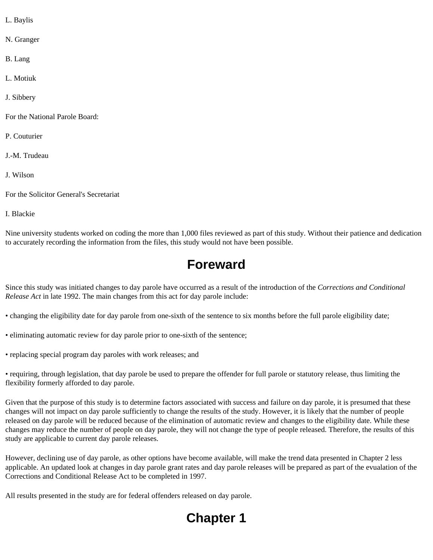- L. Baylis
- N. Granger
- B. Lang
- L. Motiuk
- J. Sibbery
- For the National Parole Board:
- P. Couturier
- J.-M. Trudeau
- J. Wilson
- For the Solicitor General's Secretariat
- I. Blackie

<span id="page-2-0"></span>Nine university students worked on coding the more than 1,000 files reviewed as part of this study. Without their patience and dedication to accurately recording the information from the files, this study would not have been possible.

# **Foreward**

Since this study was initiated changes to day parole have occurred as a result of the introduction of the *Corrections and Conditional Release Act* in late 1992. The main changes from this act for day parole include:

- changing the eligibility date for day parole from one-sixth of the sentence to six months before the full parole eligibility date;
- eliminating automatic review for day parole prior to one-sixth of the sentence;
- replacing special program day paroles with work releases; and

• requiring, through legislation, that day parole be used to prepare the offender for full parole or statutory release, thus limiting the flexibility formerly afforded to day parole.

Given that the purpose of this study is to determine factors associated with success and failure on day parole, it is presumed that these changes will not impact on day parole sufficiently to change the results of the study. However, it is likely that the number of people released on day parole will be reduced because of the elimination of automatic review and changes to the eligibility date. While these changes may reduce the number of people on day parole, they will not change the type of people released. Therefore, the results of this study are applicable to current day parole releases.

However, declining use of day parole, as other options have become available, will make the trend data presented in Chapter 2 less applicable. An updated look at changes in day parole grant rates and day parole releases will be prepared as part of the evualation of the Corrections and Conditional Release Act to be completed in 1997.

<span id="page-2-1"></span>All results presented in the study are for federal offenders released on day parole.

# **Chapter 1**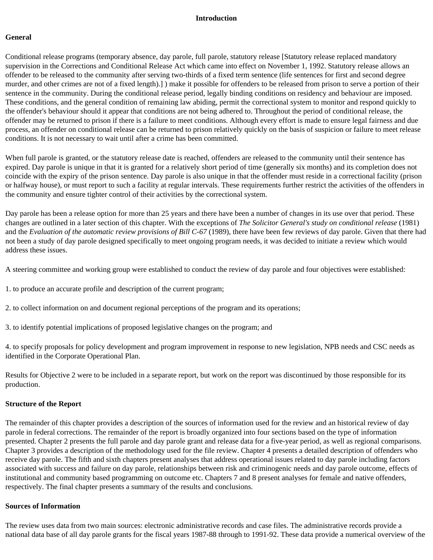#### **Introduction**

#### **General**

Conditional release programs (temporary absence, day parole, full parole, statutory release [Statutory release replaced mandatory supervision in the Corrections and Conditional Release Act which came into effect on November 1, 1992. Statutory release allows an offender to be released to the community after serving two-thirds of a fixed term sentence (life sentences for first and second degree murder, and other crimes are not of a fixed length).] ) make it possible for offenders to be released from prison to serve a portion of their sentence in the community. During the conditional release period, legally binding conditions on residency and behaviour are imposed. These conditions, and the general condition of remaining law abiding, permit the correctional system to monitor and respond quickly to the offender's behaviour should it appear that conditions are not being adhered to. Throughout the period of conditional release, the offender may be returned to prison if there is a failure to meet conditions. Although every effort is made to ensure legal fairness and due process, an offender on conditional release can be returned to prison relatively quickly on the basis of suspicion or failure to meet release conditions. It is not necessary to wait until after a crime has been committed.

When full parole is granted, or the statutory release date is reached, offenders are released to the community until their sentence has expired. Day parole is unique in that it is granted for a relatively short period of time (generally six months) and its completion does not coincide with the expiry of the prison sentence. Day parole is also unique in that the offender must reside in a correctional facility (prison or halfway house), or must report to such a facility at regular intervals. These requirements further restrict the activities of the offenders in the community and ensure tighter control of their activities by the correctional system.

Day parole has been a release option for more than 25 years and there have been a number of changes in its use over that period. These changes are outlined in a later section of this chapter. With the exceptions of *The Solicitor General's study on conditional release* (1981) and the *Evaluation of the automatic review provisions of Bill C-67* (1989), there have been few reviews of day parole. Given that there had not been a study of day parole designed specifically to meet ongoing program needs, it was decided to initiate a review which would address these issues.

A steering committee and working group were established to conduct the review of day parole and four objectives were established:

- 1. to produce an accurate profile and description of the current program;
- 2. to collect information on and document regional perceptions of the program and its operations;
- 3. to identify potential implications of proposed legislative changes on the program; and

4. to specify proposals for policy development and program improvement in response to new legislation, NPB needs and CSC needs as identified in the Corporate Operational Plan.

Results for Objective 2 were to be included in a separate report, but work on the report was discontinued by those responsible for its production.

#### **Structure of the Report**

The remainder of this chapter provides a description of the sources of information used for the review and an historical review of day parole in federal corrections. The remainder of the report is broadly organized into four sections based on the type of information presented. Chapter 2 presents the full parole and day parole grant and release data for a five-year period, as well as regional comparisons. Chapter 3 provides a description of the methodology used for the file review. Chapter 4 presents a detailed description of offenders who receive day parole. The fifth and sixth chapters present analyses that address operational issues related to day parole including factors associated with success and failure on day parole, relationships between risk and criminogenic needs and day parole outcome, effects of institutional and community based programming on outcome etc. Chapters 7 and 8 present analyses for female and native offenders, respectively. The final chapter presents a summary of the results and conclusions.

#### **Sources of Information**

The review uses data from two main sources: electronic administrative records and case files. The administrative records provide a national data base of all day parole grants for the fiscal years 1987-88 through to 1991-92. These data provide a numerical overview of the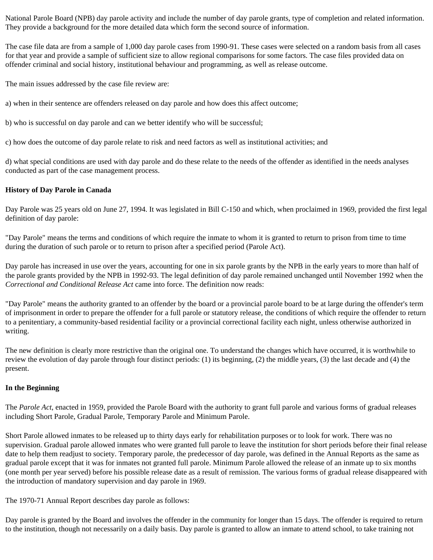National Parole Board (NPB) day parole activity and include the number of day parole grants, type of completion and related information. They provide a background for the more detailed data which form the second source of information.

The case file data are from a sample of 1,000 day parole cases from 1990-91. These cases were selected on a random basis from all cases for that year and provide a sample of sufficient size to allow regional comparisons for some factors. The case files provided data on offender criminal and social history, institutional behaviour and programming, as well as release outcome.

The main issues addressed by the case file review are:

a) when in their sentence are offenders released on day parole and how does this affect outcome;

b) who is successful on day parole and can we better identify who will be successful;

c) how does the outcome of day parole relate to risk and need factors as well as institutional activities; and

d) what special conditions are used with day parole and do these relate to the needs of the offender as identified in the needs analyses conducted as part of the case management process.

# **History of Day Parole in Canada**

Day Parole was 25 years old on June 27, 1994. It was legislated in Bill C-150 and which, when proclaimed in 1969, provided the first legal definition of day parole:

"Day Parole" means the terms and conditions of which require the inmate to whom it is granted to return to prison from time to time during the duration of such parole or to return to prison after a specified period (Parole Act).

Day parole has increased in use over the years, accounting for one in six parole grants by the NPB in the early years to more than half of the parole grants provided by the NPB in 1992-93. The legal definition of day parole remained unchanged until November 1992 when the *Correctional and Conditional Release Act* came into force. The definition now reads:

"Day Parole" means the authority granted to an offender by the board or a provincial parole board to be at large during the offender's term of imprisonment in order to prepare the offender for a full parole or statutory release, the conditions of which require the offender to return to a penitentiary, a community-based residential facility or a provincial correctional facility each night, unless otherwise authorized in writing.

The new definition is clearly more restrictive than the original one. To understand the changes which have occurred, it is worthwhile to review the evolution of day parole through four distinct periods: (1) its beginning, (2) the middle years, (3) the last decade and (4) the present.

### **In the Beginning**

The *Parole Act*, enacted in 1959, provided the Parole Board with the authority to grant full parole and various forms of gradual releases including Short Parole, Gradual Parole, Temporary Parole and Minimum Parole.

Short Parole allowed inmates to be released up to thirty days early for rehabilitation purposes or to look for work. There was no supervision. Gradual parole allowed inmates who were granted full parole to leave the institution for short periods before their final release date to help them readjust to society. Temporary parole, the predecessor of day parole, was defined in the Annual Reports as the same as gradual parole except that it was for inmates not granted full parole. Minimum Parole allowed the release of an inmate up to six months (one month per year served) before his possible release date as a result of remission. The various forms of gradual release disappeared with the introduction of mandatory supervision and day parole in 1969.

The 1970-71 Annual Report describes day parole as follows:

Day parole is granted by the Board and involves the offender in the community for longer than 15 days. The offender is required to return to the institution, though not necessarily on a daily basis. Day parole is granted to allow an inmate to attend school, to take training not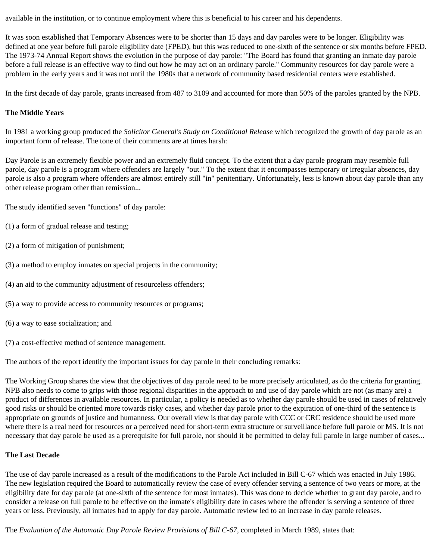available in the institution, or to continue employment where this is beneficial to his career and his dependents.

It was soon established that Temporary Absences were to be shorter than 15 days and day paroles were to be longer. Eligibility was defined at one year before full parole eligibility date (FPED), but this was reduced to one-sixth of the sentence or six months before FPED. The 1973-74 Annual Report shows the evolution in the purpose of day parole: "The Board has found that granting an inmate day parole before a full release is an effective way to find out how he may act on an ordinary parole." Community resources for day parole were a problem in the early years and it was not until the 1980s that a network of community based residential centers were established.

In the first decade of day parole, grants increased from 487 to 3109 and accounted for more than 50% of the paroles granted by the NPB.

### **The Middle Years**

In 1981 a working group produced the *Solicitor General's Study on Conditional Release* which recognized the growth of day parole as an important form of release. The tone of their comments are at times harsh:

Day Parole is an extremely flexible power and an extremely fluid concept. To the extent that a day parole program may resemble full parole, day parole is a program where offenders are largely "out." To the extent that it encompasses temporary or irregular absences, day parole is also a program where offenders are almost entirely still "in" penitentiary. Unfortunately, less is known about day parole than any other release program other than remission...

The study identified seven "functions" of day parole:

- (1) a form of gradual release and testing;
- (2) a form of mitigation of punishment;
- (3) a method to employ inmates on special projects in the community;
- (4) an aid to the community adjustment of resourceless offenders;
- (5) a way to provide access to community resources or programs;
- (6) a way to ease socialization; and
- (7) a cost-effective method of sentence management.

The authors of the report identify the important issues for day parole in their concluding remarks:

The Working Group shares the view that the objectives of day parole need to be more precisely articulated, as do the criteria for granting. NPB also needs to come to grips with those regional disparities in the approach to and use of day parole which are not (as many are) a product of differences in available resources. In particular, a policy is needed as to whether day parole should be used in cases of relatively good risks or should be oriented more towards risky cases, and whether day parole prior to the expiration of one-third of the sentence is appropriate on grounds of justice and humanness. Our overall view is that day parole with CCC or CRC residence should be used more where there is a real need for resources or a perceived need for short-term extra structure or surveillance before full parole or MS. It is not necessary that day parole be used as a prerequisite for full parole, nor should it be permitted to delay full parole in large number of cases...

### **The Last Decade**

The use of day parole increased as a result of the modifications to the Parole Act included in Bill C-67 which was enacted in July 1986. The new legislation required the Board to automatically review the case of every offender serving a sentence of two years or more, at the eligibility date for day parole (at one-sixth of the sentence for most inmates). This was done to decide whether to grant day parole, and to consider a release on full parole to be effective on the inmate's eligibility date in cases where the offender is serving a sentence of three years or less. Previously, all inmates had to apply for day parole. Automatic review led to an increase in day parole releases.

The *Evaluation of the Automatic Day Parole Review Provisions of Bill C-67*, completed in March 1989, states that: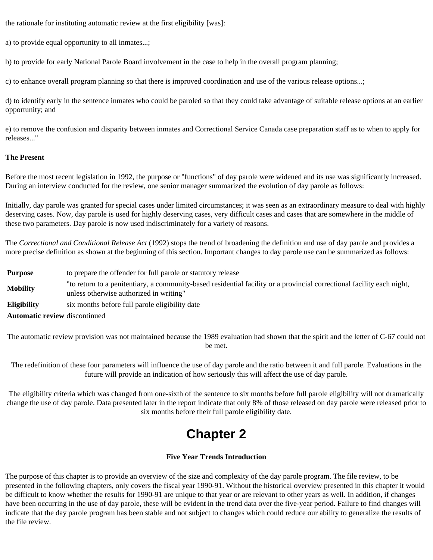the rationale for instituting automatic review at the first eligibility [was]:

a) to provide equal opportunity to all inmates...;

b) to provide for early National Parole Board involvement in the case to help in the overall program planning;

c) to enhance overall program planning so that there is improved coordination and use of the various release options...;

d) to identify early in the sentence inmates who could be paroled so that they could take advantage of suitable release options at an earlier opportunity; and

e) to remove the confusion and disparity between inmates and Correctional Service Canada case preparation staff as to when to apply for releases..."

#### **The Present**

Before the most recent legislation in 1992, the purpose or "functions" of day parole were widened and its use was significantly increased. During an interview conducted for the review, one senior manager summarized the evolution of day parole as follows:

Initially, day parole was granted for special cases under limited circumstances; it was seen as an extraordinary measure to deal with highly deserving cases. Now, day parole is used for highly deserving cases, very difficult cases and cases that are somewhere in the middle of these two parameters. Day parole is now used indiscriminately for a variety of reasons.

The *Correctional and Conditional Release Act* (1992) stops the trend of broadening the definition and use of day parole and provides a more precise definition as shown at the beginning of this section. Important changes to day parole use can be summarized as follows:

**Purpose** to prepare the offender for full parole or statutory release **Mobility** "to return to a penitentiary, a community-based residential facility or a provincial correctional facility each night, unless otherwise authorized in writing" **Eligibility** six months before full parole eligibility date **Automatic review** discontinued

The automatic review provision was not maintained because the 1989 evaluation had shown that the spirit and the letter of C-67 could not be met.

The redefinition of these four parameters will influence the use of day parole and the ratio between it and full parole. Evaluations in the future will provide an indication of how seriously this will affect the use of day parole.

<span id="page-6-0"></span>The eligibility criteria which was changed from one-sixth of the sentence to six months before full parole eligibility will not dramatically change the use of day parole. Data presented later in the report indicate that only 8% of those released on day parole were released prior to six months before their full parole eligibility date.

# **Chapter 2**

### **Five Year Trends Introduction**

The purpose of this chapter is to provide an overview of the size and complexity of the day parole program. The file review, to be presented in the following chapters, only covers the fiscal year 1990-91. Without the historical overview presented in this chapter it would be difficult to know whether the results for 1990-91 are unique to that year or are relevant to other years as well. In addition, if changes have been occurring in the use of day parole, these will be evident in the trend data over the five-year period. Failure to find changes will indicate that the day parole program has been stable and not subject to changes which could reduce our ability to generalize the results of the file review.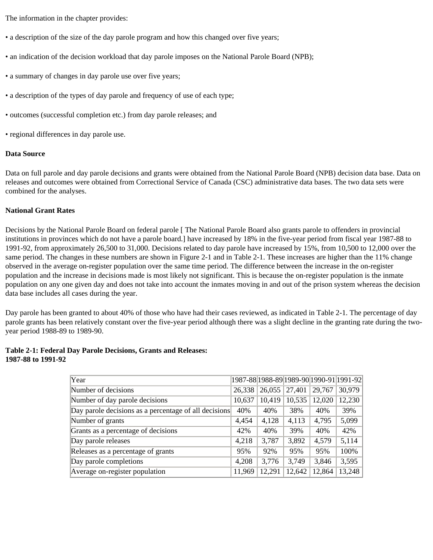The information in the chapter provides:

- a description of the size of the day parole program and how this changed over five years;
- an indication of the decision workload that day parole imposes on the National Parole Board (NPB);
- a summary of changes in day parole use over five years;
- a description of the types of day parole and frequency of use of each type;
- outcomes (successful completion etc.) from day parole releases; and
- regional differences in day parole use.

#### **Data Source**

Data on full parole and day parole decisions and grants were obtained from the National Parole Board (NPB) decision data base. Data on releases and outcomes were obtained from Correctional Service of Canada (CSC) administrative data bases. The two data sets were combined for the analyses.

#### **National Grant Rates**

Decisions by the National Parole Board on federal parole [ The National Parole Board also grants parole to offenders in provincial institutions in provinces which do not have a parole board.] have increased by 18% in the five-year period from fiscal year 1987-88 to 1991-92, from approximately 26,500 to 31,000. Decisions related to day parole have increased by 15%, from 10,500 to 12,000 over the same period. The changes in these numbers are shown in Figure 2-1 and in Table 2-1. These increases are higher than the 11% change observed in the average on-register population over the same time period. The difference between the increase in the on-register population and the increase in decisions made is most likely not significant. This is because the on-register population is the inmate population on any one given day and does not take into account the inmates moving in and out of the prison system whereas the decision data base includes all cases during the year.

Day parole has been granted to about 40% of those who have had their cases reviewed, as indicated in Table 2-1. The percentage of day parole grants has been relatively constant over the five-year period although there was a slight decline in the granting rate during the twoyear period 1988-89 to 1989-90.

|                    | Table 2-1: Federal Day Parole Decisions, Grants and Releases: |  |
|--------------------|---------------------------------------------------------------|--|
| 1987-88 to 1991-92 |                                                               |  |

| Year                                                  |        |        |        |        | 1987-88 1988-89 1989-90 1990-91 1991-92 |
|-------------------------------------------------------|--------|--------|--------|--------|-----------------------------------------|
| Number of decisions                                   | 26,338 | 26,055 | 27,401 | 29,767 | 30,979                                  |
| Number of day parole decisions                        | 10,637 | 10,419 | 10,535 | 12,020 | 12,230                                  |
| Day parole decisions as a percentage of all decisions | 40%    | 40%    | 38%    | 40%    | 39%                                     |
| Number of grants                                      | 4,454  | 4,128  | 4,113  | 4,795  | 5,099                                   |
| Grants as a percentage of decisions                   | 42%    | 40%    | 39%    | 40%    | 42%                                     |
| Day parole releases                                   | 4,218  | 3,787  | 3,892  | 4,579  | 5,114                                   |
| Releases as a percentage of grants                    | 95%    | 92%    | 95%    | 95%    | 100%                                    |
| Day parole completions                                | 4,208  | 3,776  | 3,749  | 3,846  | 3,595                                   |
| Average on-register population                        | 11,969 | 12,291 | 12,642 | 12,864 | 13,248                                  |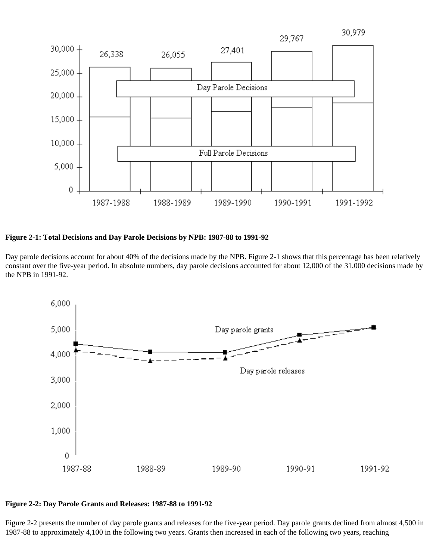

**Figure 2-1: Total Decisions and Day Parole Decisions by NPB: 1987-88 to 1991-92**

Day parole decisions account for about 40% of the decisions made by the NPB. Figure 2-1 shows that this percentage has been relatively constant over the five-year period. In absolute numbers, day parole decisions accounted for about 12,000 of the 31,000 decisions made by the NPB in 1991-92.



#### **Figure 2-2: Day Parole Grants and Releases: 1987-88 to 1991-92**

Figure 2-2 presents the number of day parole grants and releases for the five-year period. Day parole grants declined from almost 4,500 in 1987-88 to approximately 4,100 in the following two years. Grants then increased in each of the following two years, reaching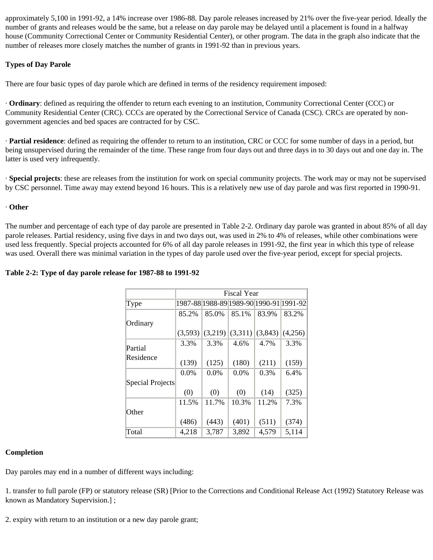approximately 5,100 in 1991-92, a 14% increase over 1986-88. Day parole releases increased by 21% over the five-year period. Ideally the number of grants and releases would be the same, but a release on day parole may be delayed until a placement is found in a halfway house (Community Correctional Center or Community Residential Center), or other program. The data in the graph also indicate that the number of releases more closely matches the number of grants in 1991-92 than in previous years.

# **Types of Day Parole**

There are four basic types of day parole which are defined in terms of the residency requirement imposed:

· **Ordinary**: defined as requiring the offender to return each evening to an institution, Community Correctional Center (CCC) or Community Residential Center (CRC). CCCs are operated by the Correctional Service of Canada (CSC). CRCs are operated by nongovernment agencies and bed spaces are contracted for by CSC.

· **Partial residence**: defined as requiring the offender to return to an institution, CRC or CCC for some number of days in a period, but being unsupervised during the remainder of the time. These range from four days out and three days in to 30 days out and one day in. The latter is used very infrequently.

· **Special projects**: these are releases from the institution for work on special community projects. The work may or may not be supervised by CSC personnel. Time away may extend beyond 16 hours. This is a relatively new use of day parole and was first reported in 1990-91.

#### · **Other**

The number and percentage of each type of day parole are presented in Table 2-2. Ordinary day parole was granted in about 85% of all day parole releases. Partial residency, using five days in and two days out, was used in 2% to 4% of releases, while other combinations were used less frequently. Special projects accounted for 6% of all day parole releases in 1991-92, the first year in which this type of release was used. Overall there was minimal variation in the types of day parole used over the five-year period, except for special projects.

|                  | <b>Fiscal Year</b> |         |         |         |                                         |  |
|------------------|--------------------|---------|---------|---------|-----------------------------------------|--|
| Type             |                    |         |         |         | 1987-88 1988-89 1989-90 1990-91 1991-92 |  |
|                  | 85.2%              | 85.0%   | 85.1%   | 83.9%   | 83.2%                                   |  |
| Ordinary         |                    |         |         |         |                                         |  |
|                  | (3,593)            | (3,219) | (3,311) | (3,843) | (4,256)                                 |  |
| Partial          | 3.3%               | 3.3%    | 4.6%    | 4.7%    | 3.3%                                    |  |
| Residence        | (139)              | (125)   | (180)   | (211)   | (159)                                   |  |
|                  | 0.0%               | 0.0%    | $0.0\%$ | 0.3%    | 6.4%                                    |  |
| Special Projects |                    |         |         |         |                                         |  |
|                  | (0)                | (0)     | (0)     | (14)    | (325)                                   |  |
|                  | 11.5%              | 11.7%   | 10.3%   | 11.2%   | 7.3%                                    |  |
| Other            |                    |         |         |         |                                         |  |
|                  | (486)              | (443)   | (401)   | (511)   | (374)                                   |  |
| Total            | 4,218              | 3,787   | 3,892   | 4,579   | 5,114                                   |  |

### **Table 2-2: Type of day parole release for 1987-88 to 1991-92**

#### **Completion**

Day paroles may end in a number of different ways including:

1. transfer to full parole (FP) or statutory release (SR) [Prior to the Corrections and Conditional Release Act (1992) Statutory Release was known as Mandatory Supervision.] ;

2. expiry with return to an institution or a new day parole grant;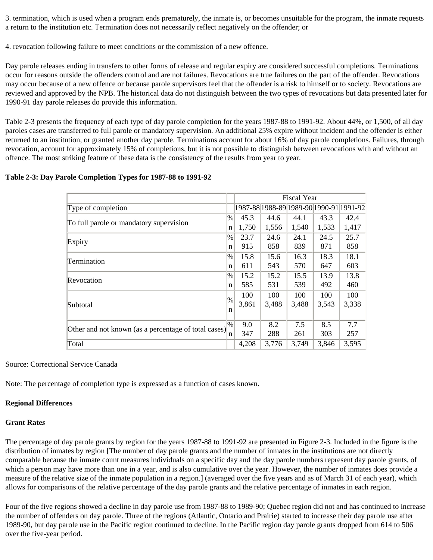3. termination, which is used when a program ends prematurely, the inmate is, or becomes unsuitable for the program, the inmate requests a return to the institution etc. Termination does not necessarily reflect negatively on the offender; or

4. revocation following failure to meet conditions or the commission of a new offence.

Day parole releases ending in transfers to other forms of release and regular expiry are considered successful completions. Terminations occur for reasons outside the offenders control and are not failures. Revocations are true failures on the part of the offender. Revocations may occur because of a new offence or because parole supervisors feel that the offender is a risk to himself or to society. Revocations are reviewed and approved by the NPB. The historical data do not distinguish between the two types of revocations but data presented later for 1990-91 day parole releases do provide this information.

Table 2-3 presents the frequency of each type of day parole completion for the years 1987-88 to 1991-92. About 44%, or 1,500, of all day paroles cases are transferred to full parole or mandatory supervision. An additional 25% expire without incident and the offender is either returned to an institution, or granted another day parole. Terminations account for about 16% of day parole completions. Failures, through revocation, account for approximately 15% of completions, but it is not possible to distinguish between revocations with and without an offence. The most striking feature of these data is the consistency of the results from year to year.

### **Table 2-3: Day Parole Completion Types for 1987-88 to 1991-92**

|                                                      |        | <b>Fiscal Year</b> |                                         |       |       |       |
|------------------------------------------------------|--------|--------------------|-----------------------------------------|-------|-------|-------|
| Type of completion                                   |        |                    | 1987-88 1988-89 1989-90 1990-91 1991-92 |       |       |       |
| $\%$<br>To full parole or mandatory supervision<br>n |        | 45.3               | 44.6                                    | 44.1  | 43.3  | 42.4  |
|                                                      |        | 1,750              | 1,556                                   | 1,540 | 1,533 | 1,417 |
| $\frac{9}{6}$<br>Expiry                              |        | 23.7               | 24.6                                    | 24.1  | 24.5  | 25.7  |
|                                                      |        | 915                | 858                                     | 839   | 871   | 858   |
| Termination                                          | $\%$   | 15.8               | 15.6                                    | 16.3  | 18.3  | 18.1  |
|                                                      | n      | 611                | 543                                     | 570   | 647   | 603   |
| Revocation                                           | $\%$   | 15.2               | 15.2                                    | 15.5  | 13.9  | 13.8  |
|                                                      | n      | 585                | 531                                     | 539   | 492   | 460   |
|                                                      | $\%$   | 100                | 100                                     | 100   | 100   | 100   |
| Subtotal                                             | n      | 3,861              | 3,488                                   | 3,488 | 3,543 | 3,338 |
|                                                      |        |                    |                                         |       |       |       |
|                                                      | $ \% $ | 9.0                | 8.2                                     | 7.5   | 8.5   | 7.7   |
| Other and not known (as a percentage of total cases) | n      | 347                | 288                                     | 261   | 303   | 257   |
| Total                                                |        | 4,208              | 3,776                                   | 3,749 | 3,846 | 3,595 |

Source: Correctional Service Canada

Note: The percentage of completion type is expressed as a function of cases known.

# **Regional Differences**

# **Grant Rate***s*

The percentage of day parole grants by region for the years 1987-88 to 1991-92 are presented in Figure 2-3. Included in the figure is the distribution of inmates by region [The number of day parole grants and the number of inmates in the institutions are not directly comparable because the inmate count measures individuals on a specific day and the day parole numbers represent day parole grants, of which a person may have more than one in a year, and is also cumulative over the year. However, the number of inmates does provide a measure of the relative size of the inmate population in a region.] (averaged over the five years and as of March 31 of each year), which allows for comparisons of the relative percentage of the day parole grants and the relative percentage of inmates in each region.

Four of the five regions showed a decline in day parole use from 1987-88 to 1989-90; Quebec region did not and has continued to increase the number of offenders on day parole. Three of the regions (Atlantic, Ontario and Prairie) started to increase their day parole use after 1989-90, but day parole use in the Pacific region continued to decline. In the Pacific region day parole grants dropped from 614 to 506 over the five-year period.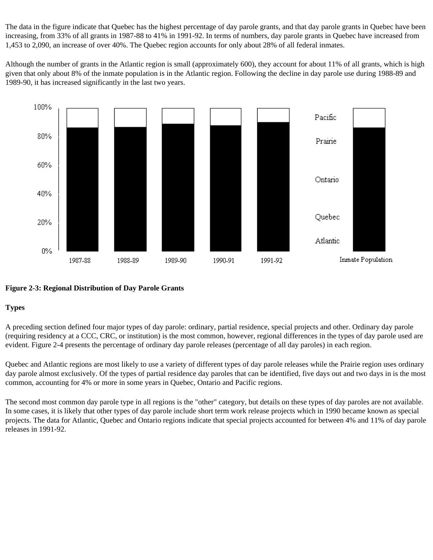The data in the figure indicate that Quebec has the highest percentage of day parole grants, and that day parole grants in Quebec have been increasing, from 33% of all grants in 1987-88 to 41% in 1991-92. In terms of numbers, day parole grants in Quebec have increased from 1,453 to 2,090, an increase of over 40%. The Quebec region accounts for only about 28% of all federal inmates.

Although the number of grants in the Atlantic region is small (approximately 600), they account for about 11% of all grants, which is high given that only about 8% of the inmate population is in the Atlantic region. Following the decline in day parole use during 1988-89 and 1989-90, it has increased significantly in the last two years.



# **Figure 2-3: Regional Distribution of Day Parole Grants**

# **Types**

A preceding section defined four major types of day parole: ordinary, partial residence, special projects and other. Ordinary day parole (requiring residency at a CCC, CRC, or institution) is the most common, however, regional differences in the types of day parole used are evident. Figure 2-4 presents the percentage of ordinary day parole releases (percentage of all day paroles) in each region.

Quebec and Atlantic regions are most likely to use a variety of different types of day parole releases while the Prairie region uses ordinary day parole almost exclusively. Of the types of partial residence day paroles that can be identified, five days out and two days in is the most common, accounting for 4% or more in some years in Quebec, Ontario and Pacific regions.

The second most common day parole type in all regions is the "other" category, but details on these types of day paroles are not available. In some cases, it is likely that other types of day parole include short term work release projects which in 1990 became known as special projects. The data for Atlantic, Quebec and Ontario regions indicate that special projects accounted for between 4% and 11% of day parole releases in 1991-92.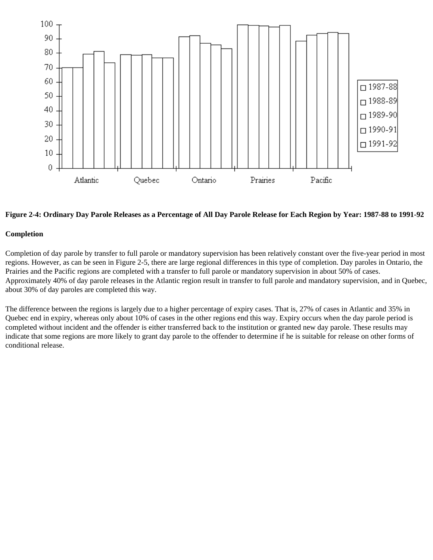

#### **Figure 2-4: Ordinary Day Parole Releases as a Percentage of All Day Parole Release for Each Region by Year: 1987-88 to 1991-92**

#### **Completion**

Completion of day parole by transfer to full parole or mandatory supervision has been relatively constant over the five-year period in most regions. However, as can be seen in Figure 2-5, there are large regional differences in this type of completion. Day paroles in Ontario, the Prairies and the Pacific regions are completed with a transfer to full parole or mandatory supervision in about 50% of cases. Approximately 40% of day parole releases in the Atlantic region result in transfer to full parole and mandatory supervision, and in Quebec, about 30% of day paroles are completed this way.

The difference between the regions is largely due to a higher percentage of expiry cases. That is, 27% of cases in Atlantic and 35% in Quebec end in expiry, whereas only about 10% of cases in the other regions end this way. Expiry occurs when the day parole period is completed without incident and the offender is either transferred back to the institution or granted new day parole. These results may indicate that some regions are more likely to grant day parole to the offender to determine if he is suitable for release on other forms of conditional release.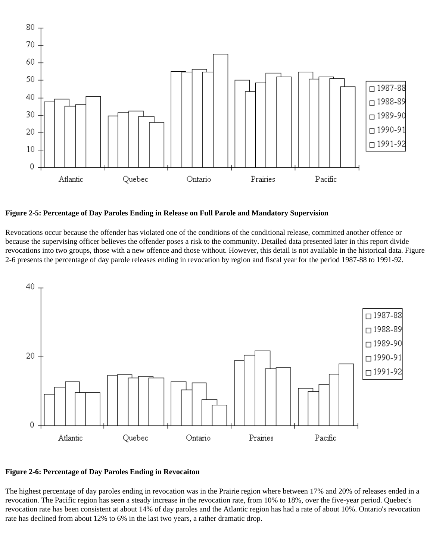

**Figure 2-5: Percentage of Day Paroles Ending in Release on Full Parole and Mandatory Supervision**

Revocations occur because the offender has violated one of the conditions of the conditional release, committed another offence or because the supervising officer believes the offender poses a risk to the community. Detailed data presented later in this report divide revocations into two groups, those with a new offence and those without. However, this detail is not available in the historical data. Figure 2-6 presents the percentage of day parole releases ending in revocation by region and fiscal year for the period 1987-88 to 1991-92.



#### **Figure 2-6: Percentage of Day Paroles Ending in Revocaiton**

The highest percentage of day paroles ending in revocation was in the Prairie region where between 17% and 20% of releases ended in a revocation. The Pacific region has seen a steady increase in the revocation rate, from 10% to 18%, over the five-year period. Quebec's revocation rate has been consistent at about 14% of day paroles and the Atlantic region has had a rate of about 10%. Ontario's revocation rate has declined from about 12% to 6% in the last two years, a rather dramatic drop.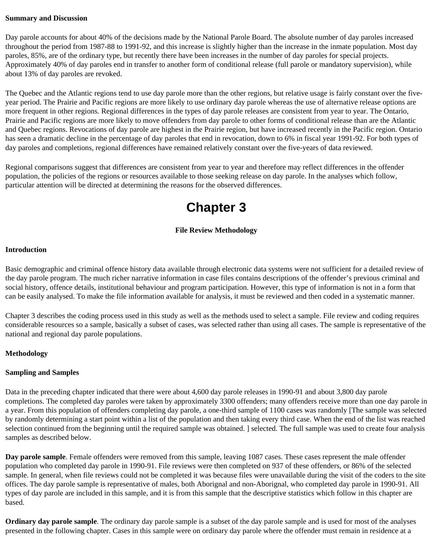#### **Summary and Discussion**

Day parole accounts for about 40% of the decisions made by the National Parole Board. The absolute number of day paroles increased throughout the period from 1987-88 to 1991-92, and this increase is slightly higher than the increase in the inmate population. Most day paroles, 85%, are of the ordinary type, but recently there have been increases in the number of day paroles for special projects. Approximately 40% of day paroles end in transfer to another form of conditional release (full parole or mandatory supervision), while about 13% of day paroles are revoked.

The Quebec and the Atlantic regions tend to use day parole more than the other regions, but relative usage is fairly constant over the fiveyear period. The Prairie and Pacific regions are more likely to use ordinary day parole whereas the use of alternative release options are more frequent in other regions. Regional differences in the types of day parole releases are consistent from year to year. The Ontario, Prairie and Pacific regions are more likely to move offenders from day parole to other forms of conditional release than are the Atlantic and Quebec regions. Revocations of day parole are highest in the Prairie region, but have increased recently in the Pacific region. Ontario has seen a dramatic decline in the percentage of day paroles that end in revocation, down to 6% in fiscal year 1991-92. For both types of day paroles and completions, regional differences have remained relatively constant over the five-years of data reviewed.

<span id="page-14-0"></span>Regional comparisons suggest that differences are consistent from year to year and therefore may reflect differences in the offender population, the policies of the regions or resources available to those seeking release on day parole. In the analyses which follow, particular attention will be directed at determining the reasons for the observed differences.

# **Chapter 3**

# **File Review Methodology**

#### **Introduction**

Basic demographic and criminal offence history data available through electronic data systems were not sufficient for a detailed review of the day parole program. The much richer narrative information in case files contains descriptions of the offender's previous criminal and social history, offence details, institutional behaviour and program participation. However, this type of information is not in a form that can be easily analysed. To make the file information available for analysis, it must be reviewed and then coded in a systematic manner.

Chapter 3 describes the coding process used in this study as well as the methods used to select a sample. File review and coding requires considerable resources so a sample, basically a subset of cases, was selected rather than using all cases. The sample is representative of the national and regional day parole populations.

### **Methodology**

#### **Sampling and Samples**

Data in the preceding chapter indicated that there were about 4,600 day parole releases in 1990-91 and about 3,800 day parole completions. The completed day paroles were taken by approximately 3300 offenders; many offenders receive more than one day parole in a year. From this population of offenders completing day parole, a one-third sample of 1100 cases was randomly [The sample was selected by randomly determining a start point within a list of the population and then taking every third case. When the end of the list was reached selection continued from the beginning until the required sample was obtained. ] selected. The full sample was used to create four analysis samples as described below.

**Day parole sample**. Female offenders were removed from this sample, leaving 1087 cases. These cases represent the male offender population who completed day parole in 1990-91. File reviews were then completed on 937 of these offenders, or 86% of the selected sample. In general, when file reviews could not be completed it was because files were unavailable during the visit of the coders to the site offices. The day parole sample is representative of males, both Aborignal and non-Aborignal, who completed day parole in 1990-91. All types of day parole are included in this sample, and it is from this sample that the descriptive statistics which follow in this chapter are based.

**Ordinary day parole sample**. The ordinary day parole sample is a subset of the day parole sample and is used for most of the analyses presented in the following chapter. Cases in this sample were on ordinary day parole where the offender must remain in residence at a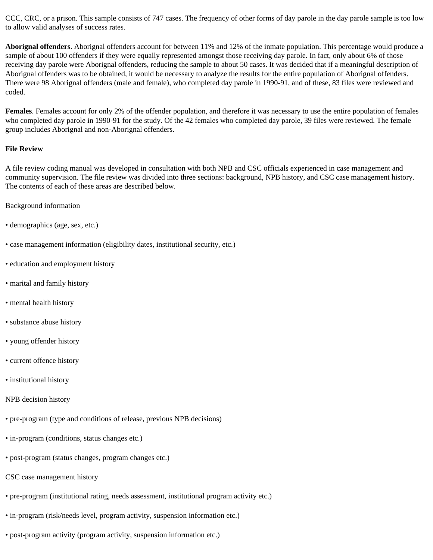CCC, CRC, or a prison. This sample consists of 747 cases. The frequency of other forms of day parole in the day parole sample is too low to allow valid analyses of success rates.

**Aborignal offenders**. Aborignal offenders account for between 11% and 12% of the inmate population. This percentage would produce a sample of about 100 offenders if they were equally represented amongst those receiving day parole. In fact, only about 6% of those receiving day parole were Aborignal offenders, reducing the sample to about 50 cases. It was decided that if a meaningful description of Aborignal offenders was to be obtained, it would be necessary to analyze the results for the entire population of Aborignal offenders. There were 98 Aborignal offenders (male and female), who completed day parole in 1990-91, and of these, 83 files were reviewed and coded.

**Females**. Females account for only 2% of the offender population, and therefore it was necessary to use the entire population of females who completed day parole in 1990-91 for the study. Of the 42 females who completed day parole, 39 files were reviewed. The female group includes Aborignal and non-Aborignal offenders.

#### **File Review**

A file review coding manual was developed in consultation with both NPB and CSC officials experienced in case management and community supervision. The file review was divided into three sections: background, NPB history, and CSC case management history. The contents of each of these areas are described below.

- Background information
- demographics (age, sex, etc.)
- case management information (eligibility dates, institutional security, etc.)
- education and employment history
- marital and family history
- mental health history
- substance abuse history
- young offender history
- current offence history
- institutional history
- NPB decision history
- pre-program (type and conditions of release, previous NPB decisions)
- in-program (conditions, status changes etc.)
- post-program (status changes, program changes etc.)
- CSC case management history
- pre-program (institutional rating, needs assessment, institutional program activity etc.)
- in-program (risk/needs level, program activity, suspension information etc.)
- post-program activity (program activity, suspension information etc.)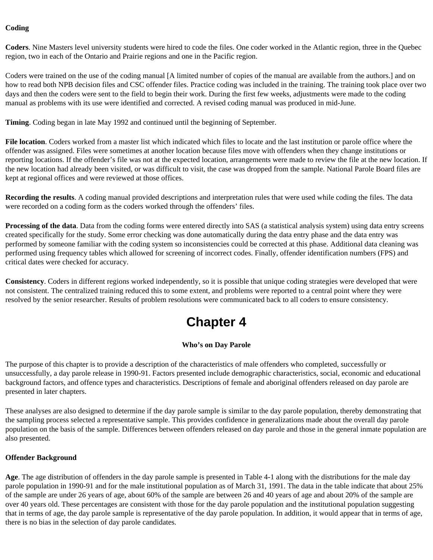### **Coding**

**Coders**. Nine Masters level university students were hired to code the files. One coder worked in the Atlantic region, three in the Quebec region, two in each of the Ontario and Prairie regions and one in the Pacific region.

Coders were trained on the use of the coding manual [A limited number of copies of the manual are available from the authors.] and on how to read both NPB decision files and CSC offender files. Practice coding was included in the training. The training took place over two days and then the coders were sent to the field to begin their work. During the first few weeks, adjustments were made to the coding manual as problems with its use were identified and corrected. A revised coding manual was produced in mid-June.

**Timing**. Coding began in late May 1992 and continued until the beginning of September.

**File location**. Coders worked from a master list which indicated which files to locate and the last institution or parole office where the offender was assigned. Files were sometimes at another location because files move with offenders when they change institutions or reporting locations. If the offender's file was not at the expected location, arrangements were made to review the file at the new location. If the new location had already been visited, or was difficult to visit, the case was dropped from the sample. National Parole Board files are kept at regional offices and were reviewed at those offices.

**Recording the results**. A coding manual provided descriptions and interpretation rules that were used while coding the files. The data were recorded on a coding form as the coders worked through the offenders' files.

**Processing of the data**. Data from the coding forms were entered directly into SAS (a statistical analysis system) using data entry screens created specifically for the study. Some error checking was done automatically during the data entry phase and the data entry was performed by someone familiar with the coding system so inconsistencies could be corrected at this phase. Additional data cleaning was performed using frequency tables which allowed for screening of incorrect codes. Finally, offender identification numbers (FPS) and critical dates were checked for accuracy.

<span id="page-16-0"></span>**Consistency**. Coders in different regions worked independently, so it is possible that unique coding strategies were developed that were not consistent. The centralized training reduced this to some extent, and problems were reported to a central point where they were resolved by the senior researcher. Results of problem resolutions were communicated back to all coders to ensure consistency.

# **Chapter 4**

### **Who's on Day Parole**

The purpose of this chapter is to provide a description of the characteristics of male offenders who completed, successfully or unsuccessfully, a day parole release in 1990-91. Factors presented include demographic characteristics, social, economic and educational background factors, and offence types and characteristics. Descriptions of female and aboriginal offenders released on day parole are presented in later chapters.

These analyses are also designed to determine if the day parole sample is similar to the day parole population, thereby demonstrating that the sampling process selected a representative sample. This provides confidence in generalizations made about the overall day parole population on the basis of the sample. Differences between offenders released on day parole and those in the general inmate population are also presented.

#### **Offender Background**

**Age**. The age distribution of offenders in the day parole sample is presented in Table 4-1 along with the distributions for the male day parole population in 1990-91 and for the male institutional population as of March 31, 1991. The data in the table indicate that about 25% of the sample are under 26 years of age, about 60% of the sample are between 26 and 40 years of age and about 20% of the sample are over 40 years old. These percentages are consistent with those for the day parole population and the institutional population suggesting that in terms of age, the day parole sample is representative of the day parole population. In addition, it would appear that in terms of age, there is no bias in the selection of day parole candidates.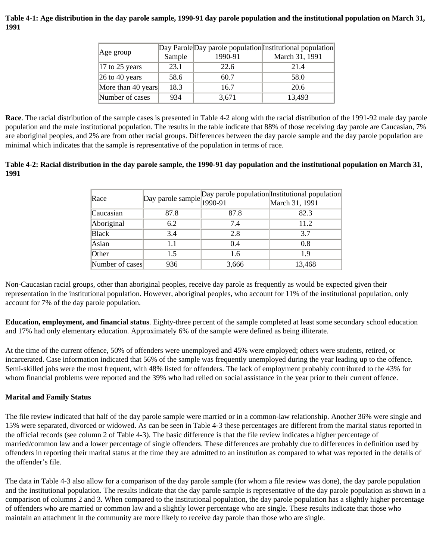### **Table 4-1: Age distribution in the day parole sample, 1990-91 day parole population and the institutional population on March 31, 1991**

| $ Age\,$ group                      | Sample | 1990-91 | Day Parole Day parole population Institutional population<br>March 31, 1991 |
|-------------------------------------|--------|---------|-----------------------------------------------------------------------------|
| $ 17 \text{ to } 25 \text{ years} $ | 23.1   | 22.6    | 21.4                                                                        |
| $\vert$ 26 to 40 years              | 58.6   | 60.7    | 58.0                                                                        |
| More than 40 years                  | 18.3   | 16.7    | 20.6                                                                        |
| Number of cases                     | 934    | 3,671   | 13,493                                                                      |

**Race**. The racial distribution of the sample cases is presented in Table 4-2 along with the racial distribution of the 1991-92 male day parole population and the male institutional population. The results in the table indicate that 88% of those receiving day parole are Caucasian, 7% are aboriginal peoples, and 2% are from other racial groups. Differences between the day parole sample and the day parole population are minimal which indicates that the sample is representative of the population in terms of race.

# **Table 4-2: Racial distribution in the day parole sample, the 1990-91 day population and the institutional population on March 31, 1991**

| Race            |      |       | Day parole sample Day parole population Institutional population |
|-----------------|------|-------|------------------------------------------------------------------|
| Caucasian       | 87.8 | 87.8  | 82.3                                                             |
| Aboriginal      | 6.2  | 7.4   | 11.2                                                             |
| Black           | 3.4  | 2.8   | 3.7                                                              |
| Asian           | 1.1  | 0.4   | 0.8                                                              |
| Other           | 1.5  | 1.6   | 1.9                                                              |
| Number of cases | 936  | 3,666 | 13,468                                                           |

Non-Caucasian racial groups, other than aboriginal peoples, receive day parole as frequently as would be expected given their representation in the institutional population. However, aboriginal peoples, who account for 11% of the institutional population, only account for 7% of the day parole population.

**Education, employment, and financial status**. Eighty-three percent of the sample completed at least some secondary school education and 17% had only elementary education. Approximately 6% of the sample were defined as being illiterate.

At the time of the current offence, 50% of offenders were unemployed and 45% were employed; others were students, retired, or incarcerated. Case information indicated that 56% of the sample was frequently unemployed during the year leading up to the offence. Semi-skilled jobs were the most frequent, with 48% listed for offenders. The lack of employment probably contributed to the 43% for whom financial problems were reported and the 39% who had relied on social assistance in the year prior to their current offence.

# **Marital and Family Status**

The file review indicated that half of the day parole sample were married or in a common-law relationship. Another 36% were single and 15% were separated, divorced or widowed. As can be seen in Table 4-3 these percentages are different from the marital status reported in the official records (see column 2 of Table 4-3). The basic difference is that the file review indicates a higher percentage of married/common law and a lower percentage of single offenders. These differences are probably due to differences in definition used by offenders in reporting their marital status at the time they are admitted to an institution as compared to what was reported in the details of the offender's file.

The data in Table 4-3 also allow for a comparison of the day parole sample (for whom a file review was done), the day parole population and the institutional population. The results indicate that the day parole sample is representative of the day parole population as shown in a comparison of columns 2 and 3. When compared to the institutional population, the day parole population has a slightly higher percentage of offenders who are married or common law and a slightly lower percentage who are single. These results indicate that those who maintain an attachment in the community are more likely to receive day parole than those who are single.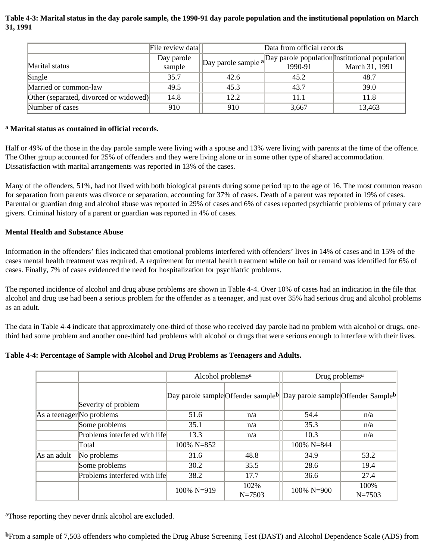# **Table 4-3: Marital status in the day parole sample, the 1990-91 day parole population and the institutional population on March 31, 1991**

|                                        | File review data | Data from official records |         |                                                                            |  |
|----------------------------------------|------------------|----------------------------|---------|----------------------------------------------------------------------------|--|
|                                        | Day parole       |                            |         | $\log_{10}$ parole sample a Day parole population Institutional population |  |
| Marital status                         | sample           |                            | 1990-91 | March 31, 1991                                                             |  |
| Single                                 | 35.7             | 42.6                       | 45.2    | 48.7                                                                       |  |
| Married or common-law                  | 49.5             | 45.3                       | 43.7    | 39.0                                                                       |  |
| Other (separated, divorced or widowed) | 14.8             | 12.2                       | 11.1    | 11.8                                                                       |  |
| Number of cases                        | 910              | 910                        | 3,667   | 13,463                                                                     |  |

### **a Marital status as contained in official records.**

Half or 49% of the those in the day parole sample were living with a spouse and 13% were living with parents at the time of the offence. The Other group accounted for 25% of offenders and they were living alone or in some other type of shared accommodation. Dissatisfaction with marital arrangements was reported in 13% of the cases.

Many of the offenders, 51%, had not lived with both biological parents during some period up to the age of 16. The most common reason for separation from parents was divorce or separation, accounting for 37% of cases. Death of a parent was reported in 19% of cases. Parental or guardian drug and alcohol abuse was reported in 29% of cases and 6% of cases reported psychiatric problems of primary care givers. Criminal history of a parent or guardian was reported in 4% of cases.

# **Mental Health and Substance Abuse**

Information in the offenders' files indicated that emotional problems interfered with offenders' lives in 14% of cases and in 15% of the cases mental health treatment was required. A requirement for mental health treatment while on bail or remand was identified for 6% of cases. Finally, 7% of cases evidenced the need for hospitalization for psychiatric problems.

The reported incidence of alcohol and drug abuse problems are shown in Table 4-4. Over 10% of cases had an indication in the file that alcohol and drug use had been a serious problem for the offender as a teenager, and just over 35% had serious drug and alcohol problems as an adult.

The data in Table 4-4 indicate that approximately one-third of those who received day parole had no problem with alcohol or drugs, onethird had some problem and another one-third had problems with alcohol or drugs that were serious enough to interfere with their lives.

# **Table 4-4: Percentage of Sample with Alcohol and Drug Problems as Teenagers and Adults.**

|                           |                               | Alcohol problems <sup>a</sup>                  |                    | Drug problems <sup>a</sup>                     |                    |
|---------------------------|-------------------------------|------------------------------------------------|--------------------|------------------------------------------------|--------------------|
|                           | Severity of problem           | Day parole sample Offender sample <sup>b</sup> |                    | Day parole sample Offender Sample <sup>b</sup> |                    |
| As a teenager No problems |                               | 51.6                                           | n/a                | 54.4                                           | n/a                |
|                           | Some problems                 | 35.1                                           | n/a                | 35.3                                           | n/a                |
|                           | Problems interfered with life | 13.3                                           | n/a                | 10.3                                           | n/a                |
|                           | Total                         | 100% N=852                                     |                    | $100\% N=844$                                  |                    |
| As an adult               | No problems                   | 31.6                                           | 48.8               | 34.9                                           | 53.2               |
|                           | Some problems                 | 30.2                                           | 35.5               | 28.6                                           | 19.4               |
|                           | Problems interfered with life | 38.2                                           | 17.7               | 36.6                                           | 27.4               |
|                           |                               | 100% N=919                                     | 102%<br>$N = 7503$ | $100\% N=900$                                  | 100%<br>$N = 7503$ |

aThose reporting they never drink alcohol are excluded.

**b**From a sample of 7,503 offenders who completed the Drug Abuse Screening Test (DAST) and Alcohol Dependence Scale (ADS) from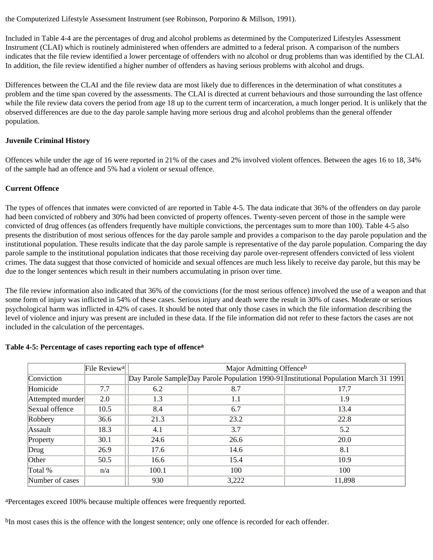the Computerized Lifestyle Assessment Instrument (see Robinson, Porporino & Millson, 1991).

Included in Table 4-4 are the percentages of drug and alcohol problems as determined by the Computerized Lifestyles Assessment Instrument (CLAI) which is routinely administered when offenders are admitted to a federal prison. A comparison of the numbers indicates that the file review identified a lower percentage of offenders with no alcohol or drug problems than was identified by the CLAI. In addition, the file review identified a higher number of offenders as having serious problems with alcohol and drugs.

Differences between the CLAI and the file review data are most likely due to differences in the determination of what constitutes a problem and the time span covered by the assessments. The CLAI is directed at current behaviours and those surrounding the last offence while the file review data covers the period from age 18 up to the current term of incarceration, a much longer period. It is unlikely that the observed differences are due to the day parole sample having more serious drug and alcohol problems than the general offender population.

### **Juvenile Criminal History**

Offences while under the age of 16 were reported in 21% of the cases and 2% involved violent offences. Between the ages 16 to 18, 34% of the sample had an offence and 5% had a violent or sexual offence.

#### **Current Offence**

The types of offences that inmates were convicted of are reported in Table 4-5. The data indicate that 36% of the offenders on day parole had been convicted of robbery and 30% had been convicted of property offences. Twenty-seven percent of those in the sample were convicted of drug offences (as offenders frequently have multiple convictions, the percentages sum to more than 100). Table 4-5 also presents the distribution of most serious offences for the day parole sample and provides a comparison to the day parole population and the institutional population. These results indicate that the day parole sample is representative of the day parole population. Comparing the day parole sample to the institutional population indicates that those receiving day parole over-represent offenders convicted of less violent crimes. The data suggest that those convicted of homicide and sexual offences are much less likely to receive day parole, but this may be due to the longer sentences which result in their numbers accumulating in prison over time.

The file review information also indicated that 36% of the convictions (for the most serious offence) involved the use of a weapon and that some form of injury was inflicted in 54% of these cases. Serious injury and death were the result in 30% of cases. Moderate or serious psychological harm was inflicted in 42% of cases. It should be noted that only those cases in which the file information describing the level of violence and injury was present are included in these data. If the file information did not refer to these factors the cases are not included in the calculation of the percentages.

|                  | File Review <sup>a</sup> |       | Major Admitting Offenceb |                                                                                        |  |  |  |
|------------------|--------------------------|-------|--------------------------|----------------------------------------------------------------------------------------|--|--|--|
| Conviction       |                          |       |                          | Day Parole Sample Day Parole Population 1990-91 Institutional Population March 31 1991 |  |  |  |
| Homicide         | 7.7                      | 6.2   | 8.7                      | 17.7                                                                                   |  |  |  |
| Attempted murder | 2.0                      | 1.3   | 1.1                      | 1.9                                                                                    |  |  |  |
| Sexual offence   | 10.5                     | 8.4   | 6.7                      | 13.4                                                                                   |  |  |  |
| Robbery          | 36.6                     | 21.3  | 23.2                     | 22.8                                                                                   |  |  |  |
| Assault          | 18.3                     | 4.1   | 3.7                      | 5.2                                                                                    |  |  |  |
| Property         | 30.1                     | 24.6  | 26.6                     | 20.0                                                                                   |  |  |  |
| Drug             | 26.9                     | 17.6  | 14.6                     | 8.1                                                                                    |  |  |  |
| Other            | 50.5                     | 16.6  | 15.4                     | 10.9                                                                                   |  |  |  |
| Total %          | n/a                      | 100.1 | 100                      | 100                                                                                    |  |  |  |
| Number of cases  |                          | 930   | 3,222                    | 11,898                                                                                 |  |  |  |

### **Table 4-5: Percentage of cases reporting each type of offencea**

aPercentages exceed 100% because multiple offences were frequently reported.

bIn most cases this is the offence with the longest sentence; only one offence is recorded for each offender.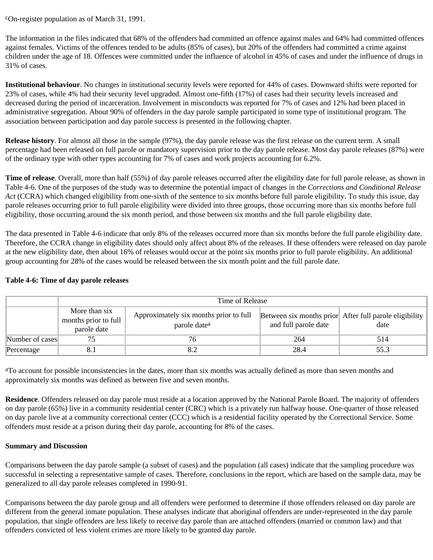cOn-register population as of March 31, 1991.

The information in the files indicated that 68% of the offenders had committed an offence against males and 64% had committed offences against females. Victims of the offences tended to be adults (85% of cases), but 20% of the offenders had committed a crime against children under the age of 18. Offences were committed under the influence of alcohol in 45% of cases and under the influence of drugs in 31% of cases.

**Institutional behaviour**. No changes in institutional security levels were reported for 44% of cases. Downward shifts were reported for 23% of cases, while 4% had their security level upgraded. Almost one-fifth (17%) of cases had their security levels increased and decreased during the period of incarceration. Involvement in misconducts was reported for 7% of cases and 12% had been placed in administrative segregation. About 90% of offenders in the day parole sample participated in some type of institutional program. The association between participation and day parole success is presented in the following chapter.

**Release history**. For almost all those in the sample (97%), the day parole release was the first release on the current term. A small percentage had been released on full parole or mandatory supervision prior to the day parole release. Most day parole releases (87%) were of the ordinary type with other types accounting for 7% of cases and work projects accounting for 6.2%.

**Time of release**. Overall, more than half (55%) of day parole releases occurred after the eligibility date for full parole release, as shown in Table 4-6. One of the purposes of the study was to determine the potential impact of changes in the *Corrections and Conditional Release Act* (CCRA) which changed eligibility from one-sixth of the sentence to six months before full parole eligibility. To study this issue, day parole releases occurring prior to full parole eligibility were divided into three groups, those occurring more than six months before full eligibility, those occurring around the six month period, and those between six months and the full parole eligibility date.

The data presented in Table 4-6 indicate that only 8% of the releases occurred more than six months before the full parole eligibility date. Therefore, the CCRA change in eligibility dates should only affect about 8% of the releases. If these offenders were released on day parole at the new eligibility date, then about 16% of releases would occur at the point six months prior to full parole eligibility. An additional group accounting for 28% of the cases would be released between the six month point and the full parole date.

|                 | Time of Release                                      |                                                                    |                      |                                                                |  |  |
|-----------------|------------------------------------------------------|--------------------------------------------------------------------|----------------------|----------------------------------------------------------------|--|--|
|                 | More than six<br>months prior to full<br>parole date | Approximately six months prior to full<br>parole date <sup>a</sup> | and full parole date | Between six months prior After full parole eligibility<br>date |  |  |
| Number of cases |                                                      |                                                                    | 264                  | 514                                                            |  |  |
| Percentage      | 8.1                                                  |                                                                    | 28.4                 | 55.3                                                           |  |  |

# **Table 4-6: Time of day parole releases**

aTo account for possible inconsistencies in the dates, more than six months was actually defined as more than seven months and approximately six months was defined as between five and seven months.

**Residence**. Offenders released on day parole must reside at a location approved by the National Parole Board. The majority of offenders on day parole (65%) live in a community residential center (CRC) which is a privately run halfway house. One-quarter of those released on day parole live at a community correctional center (CCC) which is a residential facility operated by the Correctional Service. Some offenders must reside at a prison during their day parole, accounting for 8% of the cases.

### **Summary and Discussion**

Comparisons between the day parole sample (a subset of cases) and the population (all cases) indicate that the sampling procedure was successful in selecting a representative sample of cases. Therefore, conclusions in the report, which are based on the sample data, may be generalized to all day parole releases completed in 1990-91.

Comparisons between the day parole group and all offenders were performed to determine if those offenders released on day parole are different from the general inmate population. These analyses indicate that aboriginal offenders are under-represented in the day parole population, that single offenders are less likely to receive day parole than are attached offenders (married or common law) and that offenders convicted of less violent crimes are more likely to be granted day parole.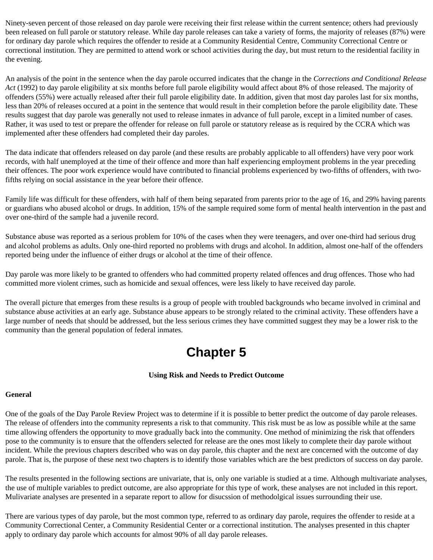Ninety-seven percent of those released on day parole were receiving their first release within the current sentence; others had previously been released on full parole or statutory release. While day parole releases can take a variety of forms, the majority of releases (87%) were for ordinary day parole which requires the offender to reside at a Community Residential Centre, Community Correctional Centre or correctional institution. They are permitted to attend work or school activities during the day, but must return to the residential facility in the evening.

An analysis of the point in the sentence when the day parole occurred indicates that the change in the *Corrections and Conditional Release Act* (1992) to day parole eligibility at six months before full parole eligibility would affect about 8% of those released. The majority of offenders (55%) were actually released after their full parole eligibility date. In addition, given that most day paroles last for six months, less than 20% of releases occured at a point in the sentence that would result in their completion before the parole eligibility date. These results suggest that day parole was generally not used to release inmates in advance of full parole, except in a limited number of cases. Rather, it was used to test or prepare the offender for release on full parole or statutory release as is required by the CCRA which was implemented after these offenders had completed their day paroles.

The data indicate that offenders released on day parole (and these results are probably applicable to all offenders) have very poor work records, with half unemployed at the time of their offence and more than half experiencing employment problems in the year preceding their offences. The poor work experience would have contributed to financial problems experienced by two-fifths of offenders, with twofifths relying on social assistance in the year before their offence.

Family life was difficult for these offenders, with half of them being separated from parents prior to the age of 16, and 29% having parents or guardians who abused alcohol or drugs. In addition, 15% of the sample required some form of mental health intervention in the past and over one-third of the sample had a juvenile record.

Substance abuse was reported as a serious problem for 10% of the cases when they were teenagers, and over one-third had serious drug and alcohol problems as adults. Only one-third reported no problems with drugs and alcohol. In addition, almost one-half of the offenders reported being under the influence of either drugs or alcohol at the time of their offence.

Day parole was more likely to be granted to offenders who had committed property related offences and drug offences. Those who had committed more violent crimes, such as homicide and sexual offences, were less likely to have received day parole.

<span id="page-21-0"></span>The overall picture that emerges from these results is a group of people with troubled backgrounds who became involved in criminal and substance abuse activities at an early age. Substance abuse appears to be strongly related to the criminal activity. These offenders have a large number of needs that should be addressed, but the less serious crimes they have committed suggest they may be a lower risk to the community than the general population of federal inmates.

# **Chapter 5**

### **Using Risk and Needs to Predict Outcome**

### **General**

One of the goals of the Day Parole Review Project was to determine if it is possible to better predict the outcome of day parole releases. The release of offenders into the community represents a risk to that community. This risk must be as low as possible while at the same time allowing offenders the opportunity to move gradually back into the community. One method of minimizing the risk that offenders pose to the community is to ensure that the offenders selected for release are the ones most likely to complete their day parole without incident. While the previous chapters described who was on day parole, this chapter and the next are concerned with the outcome of day parole. That is, the purpose of these next two chapters is to identify those variables which are the best predictors of success on day parole.

The results presented in the following sections are univariate, that is, only one variable is studied at a time. Although multivariate analyses, the use of multiple variables to predict outcome, are also appropriate for this type of work, these analyses are not included in this report. Mulivariate analyses are presented in a separate report to allow for disucssion of methodolgical issues surrounding their use.

There are various types of day parole, but the most common type, referred to as ordinary day parole, requires the offender to reside at a Community Correctional Center, a Community Residential Center or a correctional institution. The analyses presented in this chapter apply to ordinary day parole which accounts for almost 90% of all day parole releases.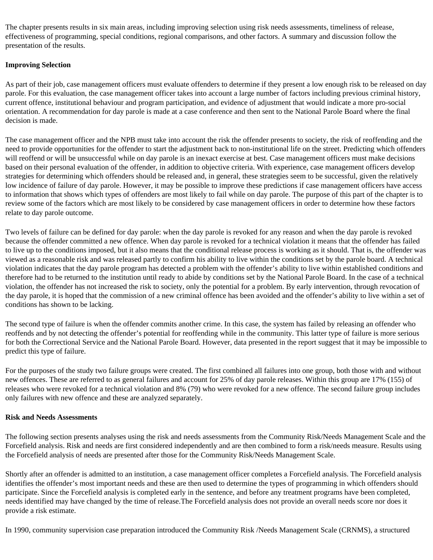The chapter presents results in six main areas, including improving selection using risk needs assessments, timeliness of release, effectiveness of programming, special conditions, regional comparisons, and other factors. A summary and discussion follow the presentation of the results.

# **Improving Selection**

As part of their job, case management officers must evaluate offenders to determine if they present a low enough risk to be released on day parole. For this evaluation, the case management officer takes into account a large number of factors including previous criminal history, current offence, institutional behaviour and program participation, and evidence of adjustment that would indicate a more pro-social orientation. A recommendation for day parole is made at a case conference and then sent to the National Parole Board where the final decision is made.

The case management officer and the NPB must take into account the risk the offender presents to society, the risk of reoffending and the need to provide opportunities for the offender to start the adjustment back to non-institutional life on the street. Predicting which offenders will reoffend or will be unsuccessful while on day parole is an inexact exercise at best. Case management officers must make decisions based on their personal evaluation of the offender, in addition to objective criteria. With experience, case management officers develop strategies for determining which offenders should be released and, in general, these strategies seem to be successful, given the relatively low incidence of failure of day parole. However, it may be possible to improve these predictions if case management officers have access to information that shows which types of offenders are most likely to fail while on day parole. The purpose of this part of the chapter is to review some of the factors which are most likely to be considered by case management officers in order to determine how these factors relate to day parole outcome.

Two levels of failure can be defined for day parole: when the day parole is revoked for any reason and when the day parole is revoked because the offender committed a new offence. When day parole is revoked for a technical violation it means that the offender has failed to live up to the conditions imposed, but it also means that the conditional release process is working as it should. That is, the offender was viewed as a reasonable risk and was released partly to confirm his ability to live within the conditions set by the parole board. A technical violation indicates that the day parole program has detected a problem with the offender's ability to live within established conditions and therefore had to be returned to the institution until ready to abide by conditions set by the National Parole Board. In the case of a technical violation, the offender has not increased the risk to society, only the potential for a problem. By early intervention, through revocation of the day parole, it is hoped that the commission of a new criminal offence has been avoided and the offender's ability to live within a set of conditions has shown to be lacking.

The second type of failure is when the offender commits another crime. In this case, the system has failed by releasing an offender who reoffends and by not detecting the offender's potential for reoffending while in the community. This latter type of failure is more serious for both the Correctional Service and the National Parole Board. However, data presented in the report suggest that it may be impossible to predict this type of failure.

For the purposes of the study two failure groups were created. The first combined all failures into one group, both those with and without new offences. These are referred to as general failures and account for 25% of day parole releases. Within this group are 17% (155) of releases who were revoked for a technical violation and 8% (79) who were revoked for a new offence. The second failure group includes only failures with new offence and these are analyzed separately.

### **Risk and Needs Assessments**

The following section presents analyses using the risk and needs assessments from the Community Risk/Needs Management Scale and the Forcefield analysis. Risk and needs are first considered independently and are then combined to form a risk/needs measure. Results using the Forcefield analysis of needs are presented after those for the Community Risk/Needs Management Scale.

Shortly after an offender is admitted to an institution, a case management officer completes a Forcefield analysis. The Forcefield analysis identifies the offender's most important needs and these are then used to determine the types of programming in which offenders should participate. Since the Forcefield analysis is completed early in the sentence, and before any treatment programs have been completed, needs identified may have changed by the time of release.The Forcefield analysis does not provide an overall needs score nor does it provide a risk estimate.

In 1990, community supervision case preparation introduced the Community Risk /Needs Management Scale (CRNMS), a structured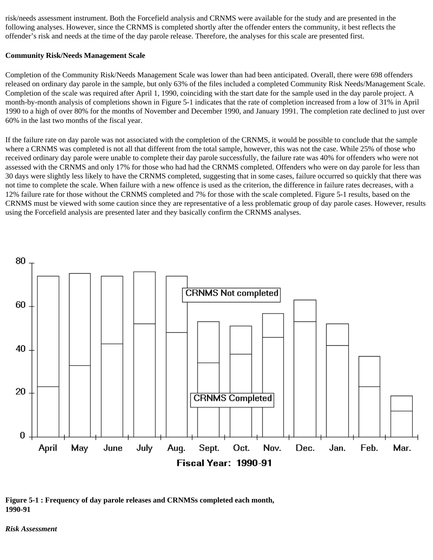risk/needs assessment instrument. Both the Forcefield analysis and CRNMS were available for the study and are presented in the following analyses. However, since the CRNMS is completed shortly after the offender enters the community, it best reflects the offender's risk and needs at the time of the day parole release. Therefore, the analyses for this scale are presented first.

#### **Community Risk/Needs Management Scale**

Completion of the Community Risk/Needs Management Scale was lower than had been anticipated. Overall, there were 698 offenders released on ordinary day parole in the sample, but only 63% of the files included a completed Community Risk Needs/Management Scale. Completion of the scale was required after April 1, 1990, coinciding with the start date for the sample used in the day parole project. A month-by-month analysis of completions shown in Figure 5-1 indicates that the rate of completion increased from a low of 31% in April 1990 to a high of over 80% for the months of November and December 1990, and January 1991. The completion rate declined to just over 60% in the last two months of the fiscal year.

If the failure rate on day parole was not associated with the completion of the CRNMS, it would be possible to conclude that the sample where a CRNMS was completed is not all that different from the total sample, however, this was not the case. While 25% of those who received ordinary day parole were unable to complete their day parole successfully, the failure rate was 40% for offenders who were not assessed with the CRNMS and only 17% for those who had had the CRNMS completed. Offenders who were on day parole for less than 30 days were slightly less likely to have the CRNMS completed, suggesting that in some cases, failure occurred so quickly that there was not time to complete the scale. When failure with a new offence is used as the criterion, the difference in failure rates decreases, with a 12% failure rate for those without the CRNMS completed and 7% for those with the scale completed. Figure 5-1 results, based on the CRNMS must be viewed with some caution since they are representative of a less problematic group of day parole cases. However, results using the Forcefield analysis are presented later and they basically confirm the CRNMS analyses.



**Figure 5-1 : Frequency of day parole releases and CRNMSs completed each month, 1990-91**

*Risk Assessment*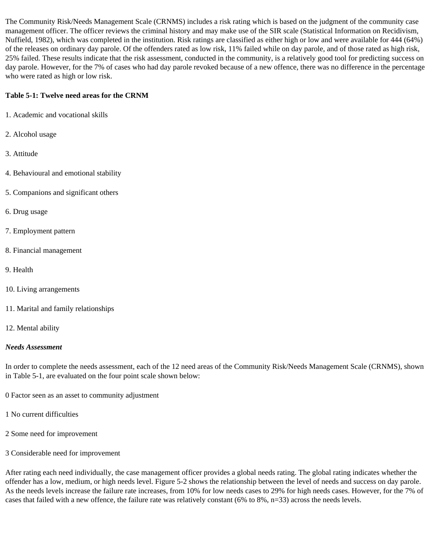The Community Risk/Needs Management Scale (CRNMS) includes a risk rating which is based on the judgment of the community case management officer. The officer reviews the criminal history and may make use of the SIR scale (Statistical Information on Recidivism, Nuffield, 1982), which was completed in the institution. Risk ratings are classified as either high or low and were available for 444 (64%) of the releases on ordinary day parole. Of the offenders rated as low risk, 11% failed while on day parole, and of those rated as high risk, 25% failed. These results indicate that the risk assessment, conducted in the community, is a relatively good tool for predicting success on day parole. However, for the 7% of cases who had day parole revoked because of a new offence, there was no difference in the percentage who were rated as high or low risk.

# **Table 5-1: Twelve need areas for the CRNM**

- 1. Academic and vocational skills
- 2. Alcohol usage
- 3. Attitude
- 4. Behavioural and emotional stability
- 5. Companions and significant others
- 6. Drug usage
- 7. Employment pattern
- 8. Financial management
- 9. Health
- 10. Living arrangements
- 11. Marital and family relationships
- 12. Mental ability

### *Needs Assessment*

In order to complete the needs assessment, each of the 12 need areas of the Community Risk/Needs Management Scale (CRNMS), shown in Table 5-1, are evaluated on the four point scale shown below:

- 0 Factor seen as an asset to community adjustment
- 1 No current difficulties
- 2 Some need for improvement
- 3 Considerable need for improvement

After rating each need individually, the case management officer provides a global needs rating. The global rating indicates whether the offender has a low, medium, or high needs level. Figure 5-2 shows the relationship between the level of needs and success on day parole. As the needs levels increase the failure rate increases, from 10% for low needs cases to 29% for high needs cases. However, for the 7% of cases that failed with a new offence, the failure rate was relatively constant (6% to 8%, n=33) across the needs levels.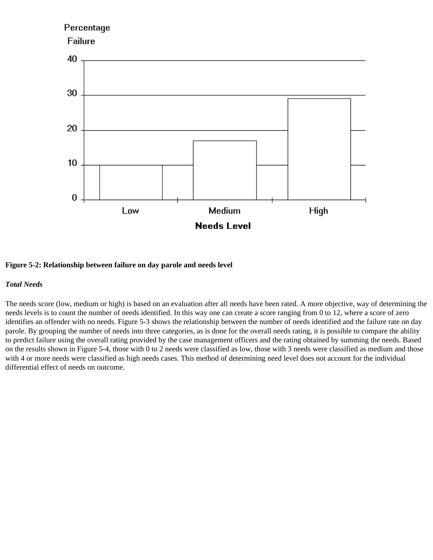# Percentage **Failure** 40 30 20 10 0 Medium High Low **Needs Level**

### **Figure 5-2: Relationship between failure on day parole and needs level**

#### *Total Needs*

The needs score (low, medium or high) is based on an evaluation after all needs have been rated. A more objective, way of determining the needs levels is to count the number of needs identified. In this way one can create a score ranging from 0 to 12, where a score of zero identifies an offender with no needs. Figure 5-3 shows the relationship between the number of needs identified and the failure rate on day parole. By grouping the number of needs into three categories, as is done for the overall needs rating, it is possible to compare the ability to predict failure using the overall rating provided by the case management officers and the rating obtained by summing the needs. Based on the results shown in Figure 5-4, those with 0 to 2 needs were classified as low, those with 3 needs were classified as medium and those with 4 or more needs were classified as high needs cases. This method of determining need level does not account for the individual differential effect of needs on outcome.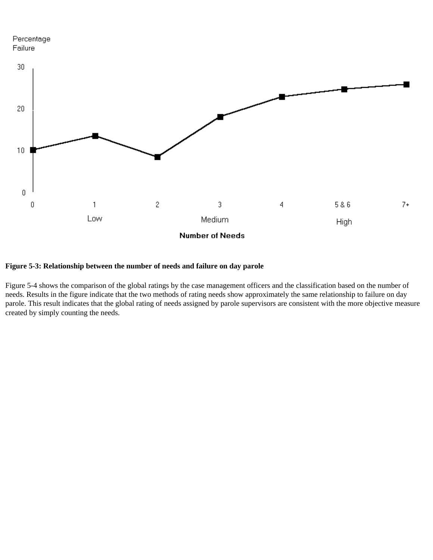# Percentage Failure



# **Figure 5-3: Relationship between the number of needs and failure on day parole**

Figure 5-4 shows the comparison of the global ratings by the case management officers and the classification based on the number of needs. Results in the figure indicate that the two methods of rating needs show approximately the same relationship to failure on day parole. This result indicates that the global rating of needs assigned by parole supervisors are consistent with the more objective measure created by simply counting the needs.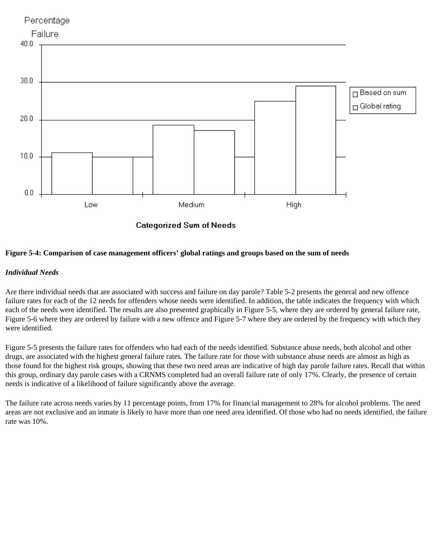

**Categorized Sum of Needs** 

### **Figure 5-4: Comparison of case management officers' global ratings and groups based on the sum of needs**

### *Individual Needs*

Are there individual needs that are associated with success and failure on day parole? Table 5-2 presents the general and new offence failure rates for each of the 12 needs for offenders whose needs were identified. In addition, the table indicates the frequency with which each of the needs were identified. The results are also presented graphically in Figure 5-5, where they are ordered by general failure rate, Figure 5-6 where they are ordered by failure with a new offence and Figure 5-7 where they are ordered by the frequency with which they were identified.

Figure 5-5 presents the failure rates for offenders who had each of the needs identified. Substance abuse needs, both alcohol and other drugs, are associated with the highest general failure rates. The failure rate for those with substance abuse needs are almost as high as those found for the highest risk groups, showing that these two need areas are indicative of high day parole failure rates. Recall that within this group, ordinary day parole cases with a CRNMS completed had an overall failure rate of only 17%. Clearly, the presence of certain needs is indicative of a likelihood of failure significantly above the average.

The failure rate across needs varies by 11 percentage points, from 17% for financial management to 28% for alcohol problems. The need areas are not exclusive and an inmate is likely to have more than one need area identified. Of those who had no needs identified, the failure rate was 10%.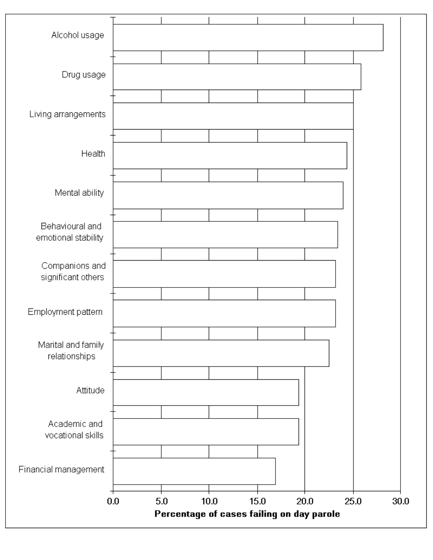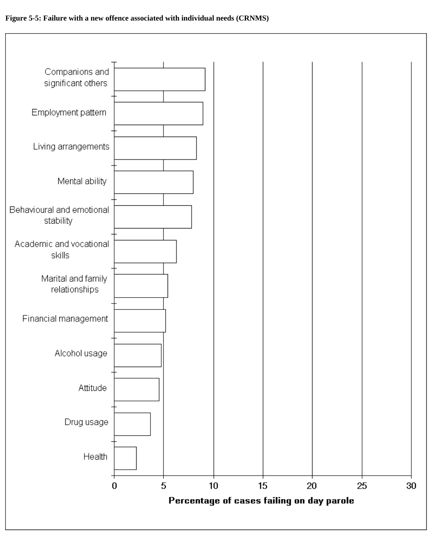

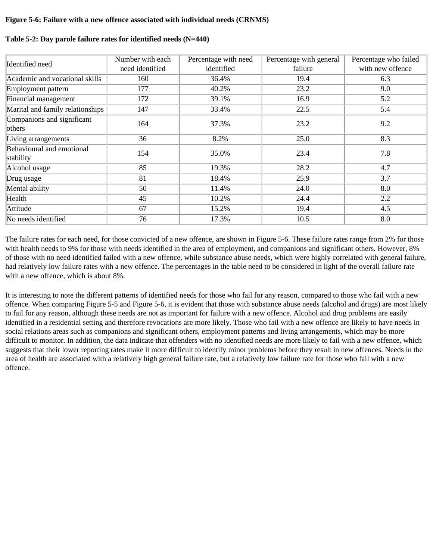### **Figure 5-6: Failure with a new offence associated with individual needs (CRNMS)**

| Identified need                        | Number with each<br>need identified | Percentage with need<br>identified | Percentage with general<br>failure | Percentage who failed<br>with new offence |
|----------------------------------------|-------------------------------------|------------------------------------|------------------------------------|-------------------------------------------|
| Academic and vocational skills         | 160                                 | 36.4%                              | 19.4                               | 6.3                                       |
| Employment pattern                     | 177                                 | 40.2%                              | 23.2                               | 9.0                                       |
| Financial management                   | 172                                 | 39.1%                              | 16.9                               | 5.2                                       |
| Marital and family relationships       | 147                                 | 33.4%                              | 22.5                               | 5.4                                       |
| Companions and significant<br>others   | 164                                 | 37.3%                              | 23.2                               | 9.2                                       |
| Living arrangements                    | 36                                  | 8.2%                               | 25.0                               | 8.3                                       |
| Behavioural and emotional<br>stability | 154                                 | 35.0%                              | 23.4                               | 7.8                                       |
| Alcohol usage                          | 85                                  | 19.3%                              | 28.2                               | 4.7                                       |
| Drug usage                             | 81                                  | 18.4%                              | 25.9                               | 3.7                                       |
| Mental ability                         | 50                                  | 11.4%                              | 24.0                               | 8.0                                       |
| Health                                 | 45                                  | 10.2%                              | 24.4                               | 2.2                                       |
| Attitude                               | 67                                  | 15.2%                              | 19.4                               | 4.5                                       |
| No needs identified                    | 76                                  | 17.3%                              | 10.5                               | 8.0                                       |

### **Table 5-2: Day parole failure rates for identified needs (N=440)**

The failure rates for each need, for those convicted of a new offence, are shown in Figure 5-6. These failure rates range from 2% for those with health needs to 9% for those with needs identified in the area of employment, and companions and significant others. However, 8% of those with no need identified failed with a new offence, while substance abuse needs, which were highly correlated with general failure, had relatively low failure rates with a new offence. The percentages in the table need to be considered in light of the overall failure rate with a new offence, which is about 8%.

It is interesting to note the different patterns of identified needs for those who fail for any reason, compared to those who fail with a new offence. When comparing Figure 5-5 and Figure 5-6, it is evident that those with substance abuse needs (alcohol and drugs) are most likely to fail for any reason, although these needs are not as important for failure with a new offence. Alcohol and drug problems are easily identified in a residential setting and therefore revocations are more likely. Those who fail with a new offence are likely to have needs in social relations areas such as companions and significant others, employment patterns and living arrangements, which may be more difficult to monitor. In addition, the data indicate that offenders with no identified needs are more likely to fail with a new offence, which suggests that their lower reporting rates make it more difficult to identify minor problems before they result in new offences. Needs in the area of health are associated with a relatively high general failure rate, but a relatively low failure rate for those who fail with a new offence.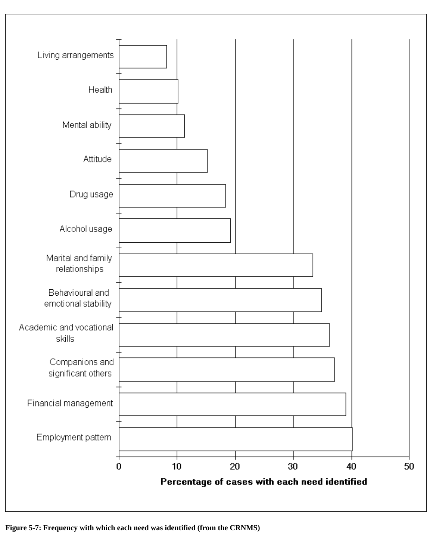

**Figure 5-7: Frequency with which each need was identified (from the CRNMS)**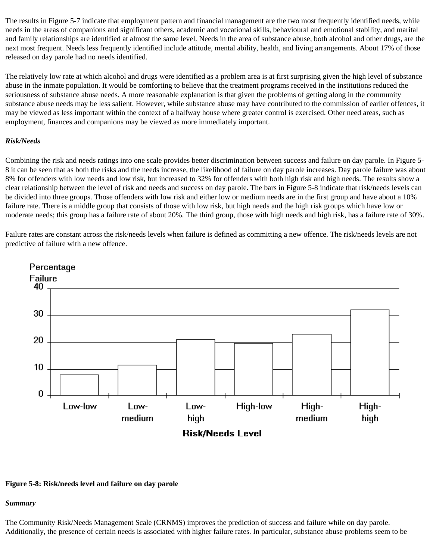The results in Figure 5-7 indicate that employment pattern and financial management are the two most frequently identified needs, while needs in the areas of companions and significant others, academic and vocational skills, behavioural and emotional stability, and marital and family relationships are identified at almost the same level. Needs in the area of substance abuse, both alcohol and other drugs, are the next most frequent. Needs less frequently identified include attitude, mental ability, health, and living arrangements. About 17% of those released on day parole had no needs identified.

The relatively low rate at which alcohol and drugs were identified as a problem area is at first surprising given the high level of substance abuse in the inmate population. It would be comforting to believe that the treatment programs received in the institutions reduced the seriousness of substance abuse needs. A more reasonable explanation is that given the problems of getting along in the community substance abuse needs may be less salient. However, while substance abuse may have contributed to the commission of earlier offences, it may be viewed as less important within the context of a halfway house where greater control is exercised. Other need areas, such as employment, finances and companions may be viewed as more immediately important.

### *Risk/Needs*

Combining the risk and needs ratings into one scale provides better discrimination between success and failure on day parole. In Figure 5- 8 it can be seen that as both the risks and the needs increase, the likelihood of failure on day parole increases. Day parole failure was about 8% for offenders with low needs and low risk, but increased to 32% for offenders with both high risk and high needs. The results show a clear relationship between the level of risk and needs and success on day parole. The bars in Figure 5-8 indicate that risk/needs levels can be divided into three groups. Those offenders with low risk and either low or medium needs are in the first group and have about a 10% failure rate. There is a middle group that consists of those with low risk, but high needs and the high risk groups which have low or moderate needs; this group has a failure rate of about 20%. The third group, those with high needs and high risk, has a failure rate of 30%.

Failure rates are constant across the risk/needs levels when failure is defined as committing a new offence. The risk/needs levels are not predictive of failure with a new offence.



#### **Figure 5-8: Risk/needs level and failure on day parole**

#### *Summary*

The Community Risk/Needs Management Scale (CRNMS) improves the prediction of success and failure while on day parole. Additionally, the presence of certain needs is associated with higher failure rates. In particular, substance abuse problems seem to be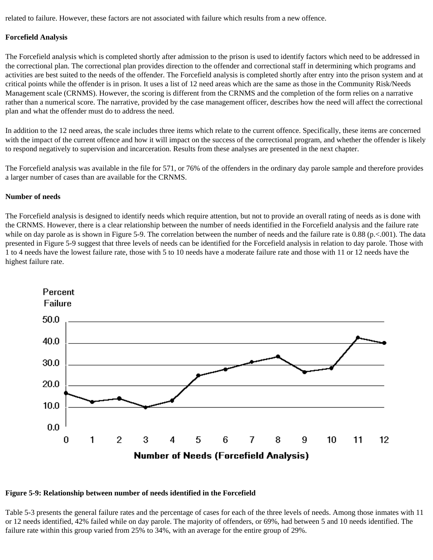related to failure. However, these factors are not associated with failure which results from a new offence.

#### **Forcefield Analysis**

The Forcefield analysis which is completed shortly after admission to the prison is used to identify factors which need to be addressed in the correctional plan. The correctional plan provides direction to the offender and correctional staff in determining which programs and activities are best suited to the needs of the offender. The Forcefield analysis is completed shortly after entry into the prison system and at critical points while the offender is in prison. It uses a list of 12 need areas which are the same as those in the Community Risk/Needs Management scale (CRNMS). However, the scoring is different from the CRNMS and the completion of the form relies on a narrative rather than a numerical score. The narrative, provided by the case management officer, describes how the need will affect the correctional plan and what the offender must do to address the need.

In addition to the 12 need areas, the scale includes three items which relate to the current offence. Specifically, these items are concerned with the impact of the current offence and how it will impact on the success of the correctional program, and whether the offender is likely to respond negatively to supervision and incarceration. Results from these analyses are presented in the next chapter.

The Forcefield analysis was available in the file for 571, or 76% of the offenders in the ordinary day parole sample and therefore provides a larger number of cases than are available for the CRNMS.

#### **Number of needs**

The Forcefield analysis is designed to identify needs which require attention, but not to provide an overall rating of needs as is done with the CRNMS. However, there is a clear relationship between the number of needs identified in the Forcefield analysis and the failure rate while on day parole as is shown in Figure 5-9. The correlation between the number of needs and the failure rate is 0.88 (p.<.001). The data presented in Figure 5-9 suggest that three levels of needs can be identified for the Forcefield analysis in relation to day parole. Those with 1 to 4 needs have the lowest failure rate, those with 5 to 10 needs have a moderate failure rate and those with 11 or 12 needs have the highest failure rate.



#### **Figure 5-9: Relationship between number of needs identified in the Forcefield**

Table 5-3 presents the general failure rates and the percentage of cases for each of the three levels of needs. Among those inmates with 11 or 12 needs identified, 42% failed while on day parole. The majority of offenders, or 69%, had between 5 and 10 needs identified. The failure rate within this group varied from 25% to 34%, with an average for the entire group of 29%.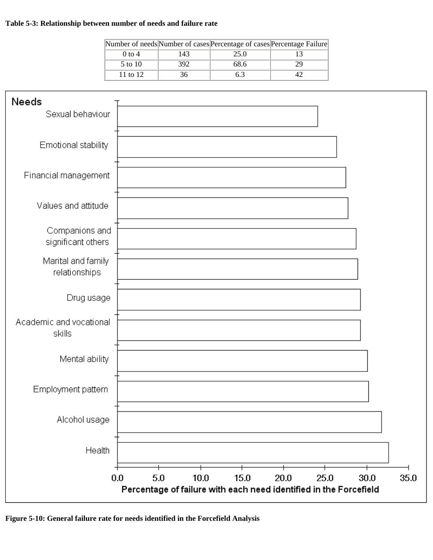# **Table 5-3: Relationship between number of needs and failure rate**

|          |     | Number of needs Number of cases Percentage of cases Percentage Failure |  |
|----------|-----|------------------------------------------------------------------------|--|
| $0$ to 4 | 143 | 25.0                                                                   |  |
| 5 to 10  | 392 | 68.6                                                                   |  |
| 11 to 12 |     |                                                                        |  |



**Figure 5-10: General failure rate for needs identified in the Forcefield Analysis**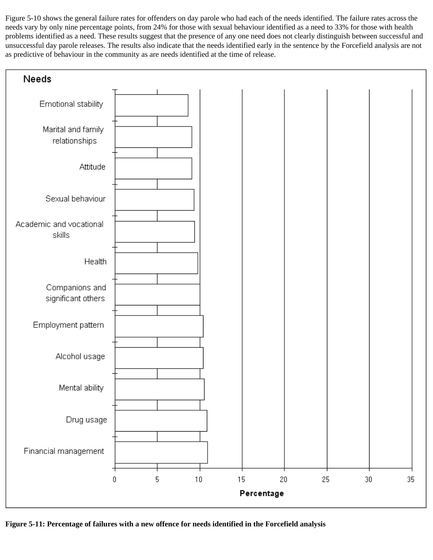Figure 5-10 shows the general failure rates for offenders on day parole who had each of the needs identified. The failure rates across the needs vary by only nine percentage points, from 24% for those with sexual behaviour identified as a need to 33% for those with health problems identified as a need. These results suggest that the presence of any one need does not clearly distinguish between successful and unsuccessful day parole releases. The results also indicate that the needs identified early in the sentence by the Forcefield analysis are not as predictive of behaviour in the community as are needs identified at the time of release.



**Figure 5-11: Percentage of failures with a new offence for needs identified in the Forcefield analysis**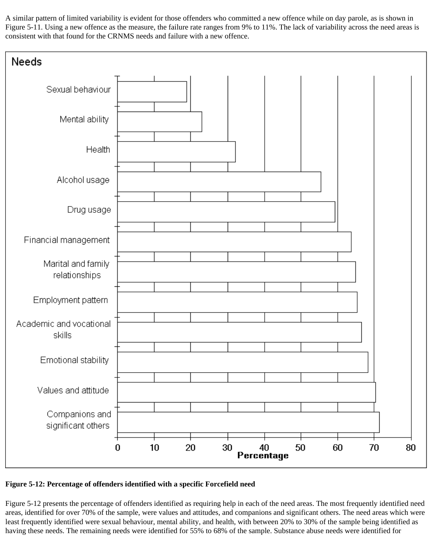A similar pattern of limited variability is evident for those offenders who committed a new offence while on day parole, as is shown in Figure 5-11. Using a new offence as the measure, the failure rate ranges from 9% to 11%. The lack of variability across the need areas is consistent with that found for the CRNMS needs and failure with a new offence.



**Figure 5-12: Percentage of offenders identified with a specific Forcefield need**

Figure 5-12 presents the percentage of offenders identified as requiring help in each of the need areas. The most frequently identified need areas, identified for over 70% of the sample, were values and attitudes, and companions and significant others. The need areas which were least frequently identified were sexual behaviour, mental ability, and health, with between 20% to 30% of the sample being identified as having these needs. The remaining needs were identified for 55% to 68% of the sample. Substance abuse needs were identified for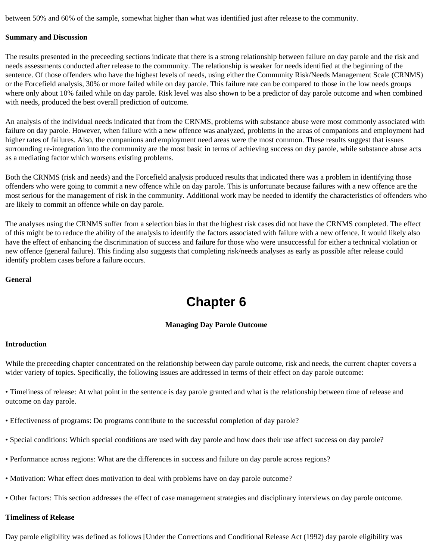between 50% and 60% of the sample, somewhat higher than what was identified just after release to the community.

#### **Summary and Discussion**

The results presented in the preceeding sections indicate that there is a strong relationship between failure on day parole and the risk and needs assessments conducted after release to the community. The relationship is weaker for needs identified at the beginning of the sentence. Of those offenders who have the highest levels of needs, using either the Community Risk/Needs Management Scale (CRNMS) or the Forcefield analysis, 30% or more failed while on day parole. This failure rate can be compared to those in the low needs groups where only about 10% failed while on day parole. Risk level was also shown to be a predictor of day parole outcome and when combined with needs, produced the best overall prediction of outcome.

An analysis of the individual needs indicated that from the CRNMS, problems with substance abuse were most commonly associated with failure on day parole. However, when failure with a new offence was analyzed, problems in the areas of companions and employment had higher rates of failures. Also, the companions and employment need areas were the most common. These results suggest that issues surrounding re-integration into the community are the most basic in terms of achieving success on day parole, while substance abuse acts as a mediating factor which worsens existing problems.

Both the CRNMS (risk and needs) and the Forcefield analysis produced results that indicated there was a problem in identifying those offenders who were going to commit a new offence while on day parole. This is unfortunate because failures with a new offence are the most serious for the management of risk in the community. Additional work may be needed to identify the characteristics of offenders who are likely to commit an offence while on day parole.

The analyses using the CRNMS suffer from a selection bias in that the highest risk cases did not have the CRNMS completed. The effect of this might be to reduce the ability of the analysis to identify the factors associated with failure with a new offence. It would likely also have the effect of enhancing the discrimination of success and failure for those who were unsuccessful for either a technical violation or new offence (general failure). This finding also suggests that completing risk/needs analyses as early as possible after release could identify problem cases before a failure occurs.

#### **General**

# **Chapter 6**

## **Managing Day Parole Outcome**

#### **Introduction**

While the preceeding chapter concentrated on the relationship between day parole outcome, risk and needs, the current chapter covers a wider variety of topics. Specifically, the following issues are addressed in terms of their effect on day parole outcome:

• Timeliness of release: At what point in the sentence is day parole granted and what is the relationship between time of release and outcome on day parole.

- Effectiveness of programs: Do programs contribute to the successful completion of day parole?
- Special conditions: Which special conditions are used with day parole and how does their use affect success on day parole?
- Performance across regions: What are the differences in success and failure on day parole across regions?
- Motivation: What effect does motivation to deal with problems have on day parole outcome?
- Other factors: This section addresses the effect of case management strategies and disciplinary interviews on day parole outcome.

#### **Timeliness of Release**

Day parole eligibility was defined as follows [Under the Corrections and Conditional Release Act (1992) day parole eligibility was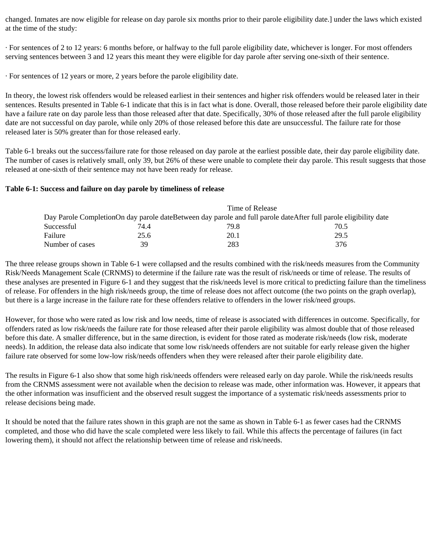changed. Inmates are now eligible for release on day parole six months prior to their parole eligibility date.] under the laws which existed at the time of the study:

· For sentences of 2 to 12 years: 6 months before, or halfway to the full parole eligibility date, whichever is longer. For most offenders serving sentences between 3 and 12 years this meant they were eligible for day parole after serving one-sixth of their sentence.

· For sentences of 12 years or more, 2 years before the parole eligibility date.

In theory, the lowest risk offenders would be released earliest in their sentences and higher risk offenders would be released later in their sentences. Results presented in Table 6-1 indicate that this is in fact what is done. Overall, those released before their parole eligibility date have a failure rate on day parole less than those released after that date. Specifically, 30% of those released after the full parole eligibility date are not successful on day parole, while only 20% of those released before this date are unsuccessful. The failure rate for those released later is 50% greater than for those released early.

Table 6-1 breaks out the success/failure rate for those released on day parole at the earliest possible date, their day parole eligibility date. The number of cases is relatively small, only 39, but 26% of these were unable to complete their day parole. This result suggests that those released at one-sixth of their sentence may not have been ready for release.

## **Table 6-1: Success and failure on day parole by timeliness of release**

|                 |      | Time of Release |                                                                                                                  |
|-----------------|------|-----------------|------------------------------------------------------------------------------------------------------------------|
|                 |      |                 | Day Parole CompletionOn day parole dateBetween day parole and full parole dateAfter full parole eligibility date |
| Successful      | 74.4 | 79.8            | 70.5                                                                                                             |
| Failure         | 25.6 | 20.1            | 29.5                                                                                                             |
| Number of cases | 39   | 283             | 376                                                                                                              |

The three release groups shown in Table 6-1 were collapsed and the results combined with the risk/needs measures from the Community Risk/Needs Management Scale (CRNMS) to determine if the failure rate was the result of risk/needs or time of release. The results of these analyses are presented in Figure 6-1 and they suggest that the risk/needs level is more critical to predicting failure than the timeliness of release. For offenders in the high risk/needs group, the time of release does not affect outcome (the two points on the graph overlap), but there is a large increase in the failure rate for these offenders relative to offenders in the lower risk/need groups.

However, for those who were rated as low risk and low needs, time of release is associated with differences in outcome. Specifically, for offenders rated as low risk/needs the failure rate for those released after their parole eligibility was almost double that of those released before this date. A smaller difference, but in the same direction, is evident for those rated as moderate risk/needs (low risk, moderate needs). In addition, the release data also indicate that some low risk/needs offenders are not suitable for early release given the higher failure rate observed for some low-low risk/needs offenders when they were released after their parole eligibility date.

The results in Figure 6-1 also show that some high risk/needs offenders were released early on day parole. While the risk/needs results from the CRNMS assessment were not available when the decision to release was made, other information was. However, it appears that the other information was insufficient and the observed result suggest the importance of a systematic risk/needs assessments prior to release decisions being made.

It should be noted that the failure rates shown in this graph are not the same as shown in Table 6-1 as fewer cases had the CRNMS completed, and those who did have the scale completed were less likely to fail. While this affects the percentage of failures (in fact lowering them), it should not affect the relationship between time of release and risk/needs.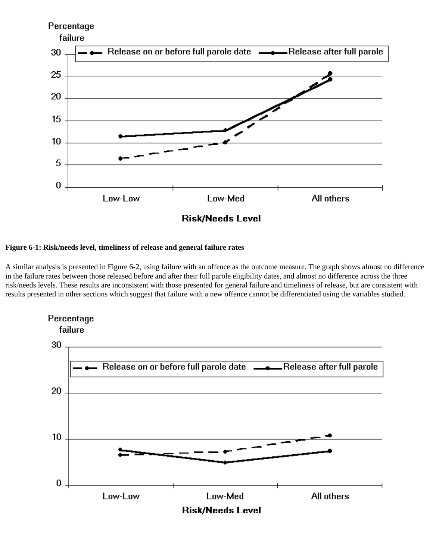

## **Figure 6-1: Risk/needs level, timeliness of release and general failure rates**

A similar analysis is presented in Figure 6-2, using failure with an offence as the outcome measure. The graph shows almost no difference in the failure rates between those released before and after their full parole eligibility dates, and almost no difference across the three risk/needs levels. These results are inconsistent with those presented for general failure and timeliness of release, but are consistent with results presented in other sections which suggest that failure with a new offence cannot be differentiated using the variables studied.

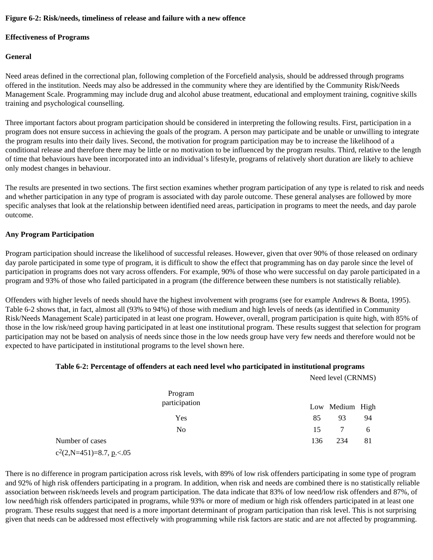## **Figure 6-2: Risk/needs, timeliness of release and failure with a new offence**

## **Effectiveness of Programs**

# **General**

Need areas defined in the correctional plan, following completion of the Forcefield analysis, should be addressed through programs offered in the institution. Needs may also be addressed in the community where they are identified by the Community Risk/Needs Management Scale. Programming may include drug and alcohol abuse treatment, educational and employment training, cognitive skills training and psychological counselling.

Three important factors about program participation should be considered in interpreting the following results. First, participation in a program does not ensure success in achieving the goals of the program. A person may participate and be unable or unwilling to integrate the program results into their daily lives. Second, the motivation for program participation may be to increase the likelihood of a conditional release and therefore there may be little or no motivation to be influenced by the program results. Third, relative to the length of time that behaviours have been incorporated into an individual's lifestyle, programs of relatively short duration are likely to achieve only modest changes in behaviour.

The results are presented in two sections. The first section examines whether program participation of any type is related to risk and needs and whether participation in any type of program is associated with day parole outcome. These general analyses are followed by more specific analyses that look at the relationship between identified need areas, participation in programs to meet the needs, and day parole outcome.

## **Any Program Participation**

Program participation should increase the likelihood of successful releases. However, given that over 90% of those released on ordinary day parole participated in some type of program, it is difficult to show the effect that programming has on day parole since the level of participation in programs does not vary across offenders. For example, 90% of those who were successful on day parole participated in a program and 93% of those who failed participated in a program (the difference between these numbers is not statistically reliable).

Offenders with higher levels of needs should have the highest involvement with programs (see for example Andrews & Bonta, 1995). Table 6-2 shows that, in fact, almost all (93% to 94%) of those with medium and high levels of needs (as identified in Community Risk/Needs Management Scale) participated in at least one program. However, overall, program participation is quite high, with 85% of those in the low risk/need group having participated in at least one institutional program. These results suggest that selection for program participation may not be based on analysis of needs since those in the low needs group have very few needs and therefore would not be expected to have participated in institutional programs to the level shown here.

## **Table 6-2: Percentage of offenders at each need level who participated in institutional programs**

|                               | Need level (CRNMS) |    |
|-------------------------------|--------------------|----|
| Program<br>participation      | Low Medium High    |    |
| Yes                           | 85<br>93           | 94 |
| No                            | 15                 | 6  |
| Number of cases               | 234<br>136         | 81 |
| $c^2(2,N=451)=8.7, p\le 0.05$ |                    |    |

There is no difference in program participation across risk levels, with 89% of low risk offenders participating in some type of program and 92% of high risk offenders participating in a program. In addition, when risk and needs are combined there is no statistically reliable association between risk/needs levels and program participation. The data indicate that 83% of low need/low risk offenders and 87%, of low need/high risk offenders participated in programs, while 93% or more of medium or high risk offenders participated in at least one program. These results suggest that need is a more important determinant of program participation than risk level. This is not surprising given that needs can be addressed most effectively with programming while risk factors are static and are not affected by programming.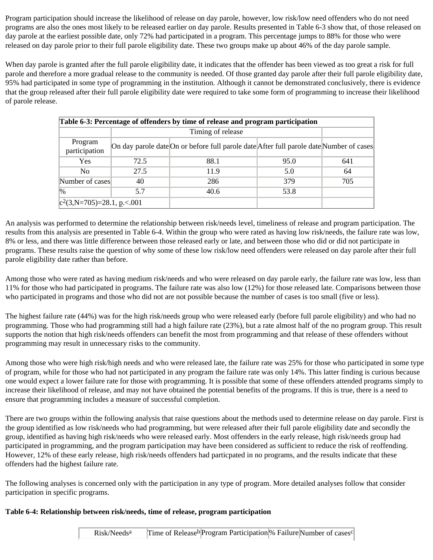Program participation should increase the likelihood of release on day parole, however, low risk/low need offenders who do not need programs are also the ones most likely to be released earlier on day parole. Results presented in Table 6-3 show that, of those released on day parole at the earliest possible date, only 72% had participated in a program. This percentage jumps to 88% for those who were released on day parole prior to their full parole eligibility date. These two groups make up about 46% of the day parole sample.

When day parole is granted after the full parole eligibility date, it indicates that the offender has been viewed as too great a risk for full parole and therefore a more gradual release to the community is needed. Of those granted day parole after their full parole eligibility date, 95% had participated in some type of programming in the institution. Although it cannot be demonstrated conclusively, there is evidence that the group released after their full parole eligibility date were required to take some form of programming to increase their likelihood of parole release.

| Table 6-3: Percentage of offenders by time of release and program participation |      |                                                                                         |      |     |  |  |  |
|---------------------------------------------------------------------------------|------|-----------------------------------------------------------------------------------------|------|-----|--|--|--|
|                                                                                 |      | Timing of release                                                                       |      |     |  |  |  |
| Program<br>participation                                                        |      | On day parole date On or before full parole date After full parole date Number of cases |      |     |  |  |  |
| Yes                                                                             | 72.5 | 88.1                                                                                    | 95.0 | 641 |  |  |  |
| N <sub>0</sub>                                                                  | 27.5 | 11.9                                                                                    | 5.0  | 64  |  |  |  |
| Number of cases                                                                 | 40   | 286                                                                                     | 379  | 705 |  |  |  |
| $\frac{10}{6}$                                                                  | 5.7  | 40.6                                                                                    | 53.8 |     |  |  |  |
| $ c^2(3,N=705)=28.1, p\lt 0.001$                                                |      |                                                                                         |      |     |  |  |  |

An analysis was performed to determine the relationship between risk/needs level, timeliness of release and program participation. The results from this analysis are presented in Table 6-4. Within the group who were rated as having low risk/needs, the failure rate was low, 8% or less, and there was little difference between those released early or late, and between those who did or did not participate in programs. These results raise the question of why some of these low risk/low need offenders were released on day parole after their full parole eligibility date rather than before.

Among those who were rated as having medium risk/needs and who were released on day parole early, the failure rate was low, less than 11% for those who had participated in programs. The failure rate was also low (12%) for those released late. Comparisons between those who participated in programs and those who did not are not possible because the number of cases is too small (five or less).

The highest failure rate (44%) was for the high risk/needs group who were released early (before full parole eligibility) and who had no programming. Those who had programming still had a high failure rate (23%), but a rate almost half of the no program group. This result supports the notion that high risk/needs offenders can benefit the most from programming and that release of these offenders without programming may result in unnecessary risks to the community.

Among those who were high risk/high needs and who were released late, the failure rate was 25% for those who participated in some type of program, while for those who had not participated in any program the failure rate was only 14%. This latter finding is curious because one would expect a lower failure rate for those with programming. It is possible that some of these offenders attended programs simply to increase their likelihood of release, and may not have obtained the potential benefits of the programs. If this is true, there is a need to ensure that programming includes a measure of successful completion.

There are two groups within the following analysis that raise questions about the methods used to determine release on day parole. First is the group identified as low risk/needs who had programming, but were released after their full parole eligibility date and secondly the group, identified as having high risk/needs who were released early. Most offenders in the early release, high risk/needs group had participated in programming, and the program participation may have been considered as sufficient to reduce the risk of reoffending. However, 12% of these early release, high risk/needs offenders had particpated in no programs, and the results indicate that these offenders had the highest failure rate.

The following analyses is concerned only with the participation in any type of program. More detailed analyses follow that consider participation in specific programs.

# **Table 6-4: Relationship between risk/needs, time of release, program participation**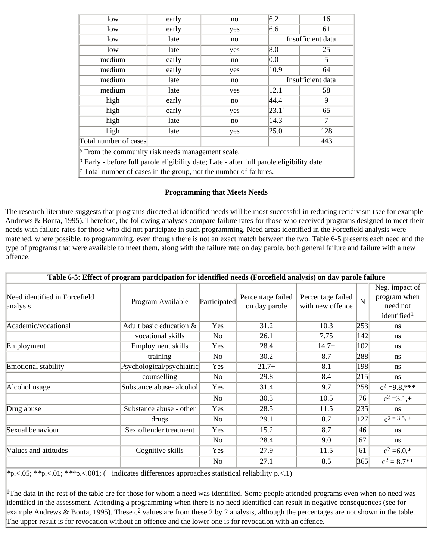| low                                                                                                  | early | no  | 6.2            | 16                |  |
|------------------------------------------------------------------------------------------------------|-------|-----|----------------|-------------------|--|
| low                                                                                                  | early | yes | 6.6            | 61                |  |
| low                                                                                                  | late  | no  |                | Insufficient data |  |
| low                                                                                                  | late  | yes | 8.0            | 25                |  |
| medium                                                                                               | early | no  | 0.0            | 5                 |  |
| medium                                                                                               | early | yes | 10.9           | 64                |  |
| medium                                                                                               | late  | no  |                | Insufficient data |  |
| medium                                                                                               | late  | yes | 12.1           | 58                |  |
| high                                                                                                 | early | no  | 44.4           | 9                 |  |
| high                                                                                                 | early | yes | $ 23.1\rangle$ | 65                |  |
| high                                                                                                 | late  | no  | 14.3           | 7                 |  |
| high                                                                                                 | late  | yes | 25.0           | 128               |  |
| Total number of cases                                                                                |       |     |                | 443               |  |
| $\alpha$ From the community risk needs management scale.                                             |       |     |                |                   |  |
| $\mathbb{P}$ Early - before full parole eligibility date; Late - after full parole eligibility date. |       |     |                |                   |  |

## Total number of cases in the group, not the number of failures.

#### **Programming that Meets Needs**

The research literature suggests that programs directed at identified needs will be most successful in reducing recidivism (see for example Andrews & Bonta, 1995). Therefore, the following analyses compare failure rates for those who received programs designed to meet their needs with failure rates for those who did not participate in such programming. Need areas identified in the Forcefield analysis were matched, where possible, to programming, even though there is not an exact match between the two. Table 6-5 presents each need and the type of programs that were available to meet them, along with the failure rate on day parole, both general failure and failure with a new offence.

|                                           | Table 6-5: Effect of program participation for identified needs (Forcefield analysis) on day parole failure |                |                                    |                                       |                |                                                                       |
|-------------------------------------------|-------------------------------------------------------------------------------------------------------------|----------------|------------------------------------|---------------------------------------|----------------|-----------------------------------------------------------------------|
| Need identified in Forcefield<br>analysis | Program Available                                                                                           | Participated   | Percentage failed<br>on day parole | Percentage failed<br>with new offence | $\overline{N}$ | Neg. impact of<br>program when<br>need not<br>identified <sup>1</sup> |
| Academic/vocational                       | Adult basic education &                                                                                     | Yes            | 31.2                               | 10.3                                  | 253            | ns                                                                    |
|                                           | vocational skills                                                                                           | No             | 26.1                               | 7.75                                  | 142            | ns                                                                    |
| Employment                                | Employment skills                                                                                           | Yes            | 28.4                               | $14.7+$                               | 102            | ns                                                                    |
|                                           | training                                                                                                    | No             | 30.2                               | 8.7                                   | 288            | ns                                                                    |
| Emotional stability                       | Psychological/psychiatric                                                                                   | Yes            | $21.7+$                            | 8.1                                   | 198            | ns                                                                    |
|                                           | counselling                                                                                                 | No             | 29.8                               | 8.4                                   | 215            | ns                                                                    |
| Alcohol usage                             | Substance abuse- alcohol                                                                                    | Yes            | 31.4                               | 9.7                                   | 258            | $c^2 = 9.8$ ,***                                                      |
|                                           |                                                                                                             | N <sub>0</sub> | 30.3                               | 10.5                                  | 76             | $c^2 = 3.1 +$                                                         |
| Drug abuse                                | Substance abuse - other                                                                                     | Yes            | 28.5                               | 11.5                                  | 235            | ns                                                                    |
|                                           | drugs                                                                                                       | N <sub>0</sub> | 29.1                               | 8.7                                   | 127            | $c^{2} = 3.5, +$                                                      |
| Sexual behaviour                          | Sex offender treatment                                                                                      | Yes            | 15.2                               | 8.7                                   | 46             | ns                                                                    |
|                                           |                                                                                                             | N <sub>0</sub> | 28.4                               | 9.0                                   | 67             | ns                                                                    |
| Values and attitudes                      | Cognitive skills                                                                                            | Yes            | 27.9                               | 11.5                                  | 61             | $c^2 = 6.0,*$                                                         |
|                                           |                                                                                                             | N <sub>0</sub> | 27.1                               | 8.5                                   | 365            | $c^2 = 8.7**$                                                         |

\*p.<.05; \*\*p.<.01; \*\*\*p.<.001; (+ indicates differences approaches statistical reliability p.<.1)

<sup>1</sup>The data in the rest of the table are for those for whom a need was identified. Some people attended programs even when no need was identified in the assessment. Attending a programming when there is no need identified can result in negative consequences (see for example Andrews & Bonta, 1995). These  $c^2$  values are from these 2 by 2 analysis, although the percentages are not shown in the table. The upper result is for revocation without an offence and the lower one is for revocation with an offence.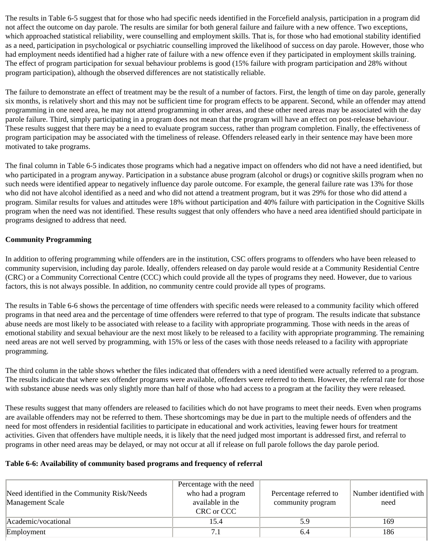The results in Table 6-5 suggest that for those who had specific needs identified in the Forcefield analysis, participation in a program did not affect the outcome on day parole. The results are similar for both general failure and failure with a new offence. Two exceptions, which approached statistical reliability, were counselling and employment skills. That is, for those who had emotional stability identified as a need, participation in psychological or psychiatric counselling improved the likelihood of success on day parole. However, those who had employment needs identified had a higher rate of failure with a new offence even if they participated in employment skills training. The effect of program participation for sexual behaviour problems is good (15% failure with program participation and 28% without program participation), although the observed differences are not statistically reliable.

The failure to demonstrate an effect of treatment may be the result of a number of factors. First, the length of time on day parole, generally six months, is relatively short and this may not be sufficient time for program effects to be apparent. Second, while an offender may attend programming in one need area, he may not attend programming in other areas, and these other need areas may be associated with the day parole failure. Third, simply participating in a program does not mean that the program will have an effect on post-release behaviour. These results suggest that there may be a need to evaluate program success, rather than program completion. Finally, the effectiveness of program participation may be associated with the timeliness of release. Offenders released early in their sentence may have been more motivated to take programs.

The final column in Table 6-5 indicates those programs which had a negative impact on offenders who did not have a need identified, but who participated in a program anyway. Participation in a substance abuse program (alcohol or drugs) or cognitive skills program when no such needs were identified appear to negatively influence day parole outcome. For example, the general failure rate was 13% for those who did not have alcohol identified as a need and who did not attend a treatment program, but it was 29% for those who did attend a program. Similar results for values and attitudes were 18% without participation and 40% failure with participation in the Cognitive Skills program when the need was not identified. These results suggest that only offenders who have a need area identified should participate in programs designed to address that need.

# **Community Programming**

In addition to offering programming while offenders are in the institution, CSC offers programs to offenders who have been released to community supervision, including day parole. Ideally, offenders released on day parole would reside at a Community Residential Centre (CRC) or a Community Correctional Centre (CCC) which could provide all the types of programs they need. However, due to various factors, this is not always possible. In addition, no community centre could provide all types of programs.

The results in Table 6-6 shows the percentage of time offenders with specific needs were released to a community facility which offered programs in that need area and the percentage of time offenders were referred to that type of program. The results indicate that substance abuse needs are most likely to be associated with release to a facility with appropriate programming. Those with needs in the areas of emotional stability and sexual behaviour are the next most likely to be released to a facility with appropriate programming. The remaining need areas are not well served by programming, with 15% or less of the cases with those needs released to a facility with appropriate programming.

The third column in the table shows whether the files indicated that offenders with a need identified were actually referred to a program. The results indicate that where sex offender programs were available, offenders were referred to them. However, the referral rate for those with substance abuse needs was only slightly more than half of those who had access to a program at the facility they were released.

These results suggest that many offenders are released to facilities which do not have programs to meet their needs. Even when programs are available offenders may not be referred to them. These shortcomings may be due in part to the multiple needs of offenders and the need for most offenders in residential facilities to participate in educational and work activities, leaving fewer hours for treatment activities. Given that offenders have multiple needs, it is likely that the need judged most important is addressed first, and referral to programs in other need areas may be delayed, or may not occur at all if release on full parole follows the day parole period.

# **Table 6-6: Availability of community based programs and frequency of referral**

| Need identified in the Community Risk/Needs<br>Management Scale | Percentage with the need<br>who had a program<br>available in the<br>CRC or CCC | Percentage referred to<br>community program | Number identified with<br>need |
|-----------------------------------------------------------------|---------------------------------------------------------------------------------|---------------------------------------------|--------------------------------|
| Academic/vocational                                             | 15.4                                                                            | 5.9                                         | 169                            |
| Employment                                                      |                                                                                 |                                             | 186                            |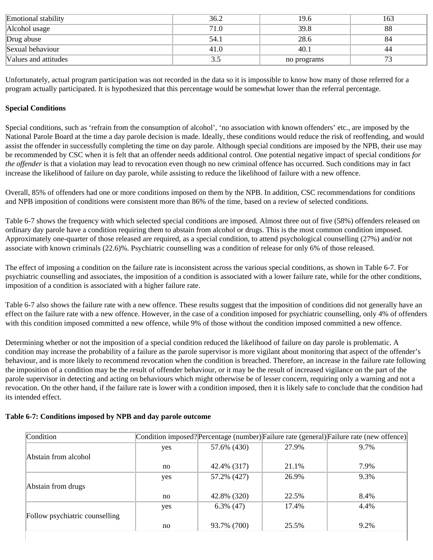| Emotional stability  | 36.2  | 19.6        | 163 |
|----------------------|-------|-------------|-----|
| Alcohol usage        | 71.0  | 39.8        | 88  |
| Drug abuse           | 54.1  | 28.6        | 84  |
| Sexual behaviour     | 41.0  | 40.1        | 44  |
| Values and attitudes | ن د ک | no programs |     |

Unfortunately, actual program participation was not recorded in the data so it is impossible to know how many of those referred for a program actually participated. It is hypothesized that this percentage would be somewhat lower than the referral percentage.

## **Special Conditions**

Special conditions, such as 'refrain from the consumption of alcohol', 'no association with known offenders' etc., are imposed by the National Parole Board at the time a day parole decision is made. Ideally, these conditions would reduce the risk of reoffending, and would assist the offender in successfully completing the time on day parole. Although special conditions are imposed by the NPB, their use may be recommended by CSC when it is felt that an offender needs additional control. One potential negative impact of special conditions *for the offender* is that a violation may lead to revocation even though no new criminal offence has occurred. Such conditions may in fact increase the likelihood of failure on day parole, while assisting to reduce the likelihood of failure with a new offence.

Overall, 85% of offenders had one or more conditions imposed on them by the NPB. In addition, CSC recommendations for conditions and NPB imposition of conditions were consistent more than 86% of the time, based on a review of selected conditions.

Table 6-7 shows the frequency with which selected special conditions are imposed. Almost three out of five (58%) offenders released on ordinary day parole have a condition requiring them to abstain from alcohol or drugs. This is the most common condition imposed. Approximately one-quarter of those released are required, as a special condition, to attend psychological counselling (27%) and/or not associate with known criminals (22.6)%. Psychiatric counselling was a condition of release for only 6% of those released.

The effect of imposing a condition on the failure rate is inconsistent across the various special conditions, as shown in Table 6-7. For psychiatric counselling and associates, the imposition of a condition is associated with a lower failure rate, while for the other conditions, imposition of a condition is associated with a higher failure rate.

Table 6-7 also shows the failure rate with a new offence. These results suggest that the imposition of conditions did not generally have an effect on the failure rate with a new offence. However, in the case of a condition imposed for psychiatric counselling, only 4% of offenders with this condition imposed committed a new offence, while 9% of those without the condition imposed committed a new offence.

Determining whether or not the imposition of a special condition reduced the likelihood of failure on day parole is problematic. A condition may increase the probability of a failure as the parole supervisor is more vigilant about monitoring that aspect of the offender's behaviour, and is more likely to recommend revocation when the condition is breached. Therefore, an increase in the failure rate following the imposition of a condition may be the result of offender behaviour, or it may be the result of increased vigilance on the part of the parole supervisor in detecting and acting on behaviours which might otherwise be of lesser concern, requiring only a warning and not a revocation. On the other hand, if the failure rate is lower with a condition imposed, then it is likely safe to conclude that the condition had its intended effect.

| Condition                      |     |              |       | Condition imposed? Percentage (number) Failure rate (general) Failure rate (new offence) |
|--------------------------------|-----|--------------|-------|------------------------------------------------------------------------------------------|
|                                | yes | 57.6% (430)  | 27.9% | 9.7%                                                                                     |
| Abstain from alcohol           |     |              |       |                                                                                          |
|                                | no  | 42.4% (317)  | 21.1% | 7.9%                                                                                     |
|                                | yes | 57.2% (427)  | 26.9% | 9.3%                                                                                     |
| Abstain from drugs             |     |              |       |                                                                                          |
|                                | no  | 42.8% (320)  | 22.5% | 8.4%                                                                                     |
|                                | yes | $6.3\%$ (47) | 17.4% | 4.4%                                                                                     |
| Follow psychiatric counselling |     |              |       |                                                                                          |
|                                | no  | 93.7% (700)  | 25.5% | 9.2%                                                                                     |

# **Table 6-7: Conditions imposed by NPB and day parole outcome**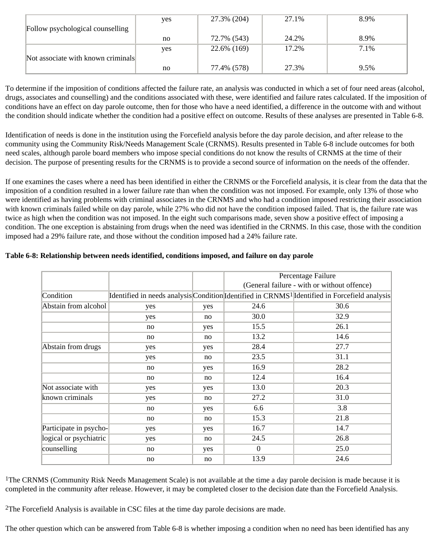|                                    | yes | 27.3% (204) | 27.1% | 8.9% |
|------------------------------------|-----|-------------|-------|------|
| Follow psychological counselling   |     |             |       |      |
|                                    | no  | 72.7% (543) | 24.2% | 8.9% |
|                                    | yes | 22.6% (169) | 17.2% | 7.1% |
| Not associate with known criminals |     |             |       |      |
|                                    | no  | 77.4% (578) | 27.3% | 9.5% |

To determine if the imposition of conditions affected the failure rate, an analysis was conducted in which a set of four need areas (alcohol, drugs, associates and counselling) and the conditions associated with these, were identified and failure rates calculated. If the imposition of conditions have an effect on day parole outcome, then for those who have a need identified, a difference in the outcome with and without the condition should indicate whether the condition had a positive effect on outcome. Results of these analyses are presented in Table 6-8.

Identification of needs is done in the institution using the Forcefield analysis before the day parole decision, and after release to the community using the Community Risk/Needs Management Scale (CRNMS). Results presented in Table 6-8 include outcomes for both need scales, although parole board members who impose special conditions do not know the results of CRNMS at the time of their decision. The purpose of presenting results for the CRNMS is to provide a second source of information on the needs of the offender.

If one examines the cases where a need has been identified in either the CRNMS or the Forcefield analysis, it is clear from the data that the imposition of a condition resulted in a lower failure rate than when the condition was not imposed. For example, only 13% of those who were identified as having problems with criminal associates in the CRNMS and who had a condition imposed restricting their association with known criminals failed while on day parole, while 27% who did not have the condition imposed failed. That is, the failure rate was twice as high when the condition was not imposed. In the eight such comparisons made, seven show a positive effect of imposing a condition. The one exception is abstaining from drugs when the need was identified in the CRNMS. In this case, those with the condition imposed had a 29% failure rate, and those without the condition imposed had a 24% failure rate.

|                        |     |     | Percentage Failure                          |                                                                                                           |  |
|------------------------|-----|-----|---------------------------------------------|-----------------------------------------------------------------------------------------------------------|--|
|                        |     |     | (General failure - with or without offence) |                                                                                                           |  |
| Condition              |     |     |                                             | Identified in needs analysis Condition Identified in CRNMS <sup>1</sup> Identified in Forcefield analysis |  |
| Abstain from alcohol   | yes | yes | 24.6                                        | 30.6                                                                                                      |  |
|                        | yes | no  | 30.0                                        | 32.9                                                                                                      |  |
|                        | no  | yes | 15.5                                        | 26.1                                                                                                      |  |
|                        | no  | no  | 13.2                                        | 14.6                                                                                                      |  |
| Abstain from drugs     | yes | yes | 28.4                                        | 27.7                                                                                                      |  |
|                        | yes | no  | 23.5                                        | 31.1                                                                                                      |  |
|                        | no  | yes | 16.9                                        | 28.2                                                                                                      |  |
|                        | no  | no  | 12.4                                        | 16.4                                                                                                      |  |
| Not associate with     | yes | yes | 13.0                                        | 20.3                                                                                                      |  |
| known criminals        | yes | no  | 27.2                                        | 31.0                                                                                                      |  |
|                        | no  | yes | 6.6                                         | 3.8                                                                                                       |  |
|                        | no  | no  | 15.3                                        | 21.8                                                                                                      |  |
| Participate in psycho- | yes | yes | 16.7                                        | 14.7                                                                                                      |  |
| logical or psychiatric | yes | no  | 24.5                                        | 26.8                                                                                                      |  |
| counselling            | no  | yes | $\Omega$                                    | 25.0                                                                                                      |  |
|                        | no  | no  | 13.9                                        | 24.6                                                                                                      |  |

## **Table 6-8: Relationship between needs identified, conditions imposed, and failure on day parole**

<sup>1</sup>The CRNMS (Community Risk Needs Management Scale) is not available at the time a day parole decision is made because it is completed in the community after release. However, it may be completed closer to the decision date than the Forcefield Analysis.

2The Forcefield Analysis is available in CSC files at the time day parole decisions are made.

The other question which can be answered from Table 6-8 is whether imposing a condition when no need has been identified has any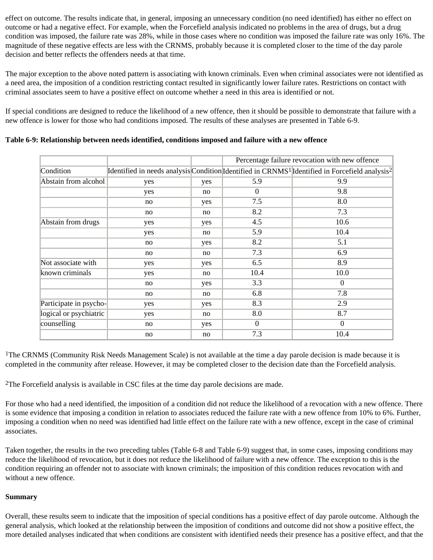effect on outcome. The results indicate that, in general, imposing an unnecessary condition (no need identified) has either no effect on outcome or had a negative effect. For example, when the Forcefield analysis indicated no problems in the area of drugs, but a drug condition was imposed, the failure rate was 28%, while in those cases where no condition was imposed the failure rate was only 16%. The magnitude of these negative effects are less with the CRNMS, probably because it is completed closer to the time of the day parole decision and better reflects the offenders needs at that time.

The major exception to the above noted pattern is associating with known criminals. Even when criminal associates were not identified as a need area, the imposition of a condition restricting contact resulted in significantly lower failure rates. Restrictions on contact with criminal associates seem to have a positive effect on outcome whether a need in this area is identified or not.

If special conditions are designed to reduce the likelihood of a new offence, then it should be possible to demonstrate that failure with a new offence is lower for those who had conditions imposed. The results of these analyses are presented in Table 6-9.

|                        |     |     |                | Percentage failure revocation with new offence                                                                         |
|------------------------|-----|-----|----------------|------------------------------------------------------------------------------------------------------------------------|
| Condition              |     |     |                | Identified in needs analysis Condition Identified in CRNMS <sup>1</sup> Identified in Forcefield analysis <sup>2</sup> |
| Abstain from alcohol   | yes | yes | 5.9            | 9.9                                                                                                                    |
|                        | yes | no  | $\overline{0}$ | 9.8                                                                                                                    |
|                        | no  | yes | 7.5            | 8.0                                                                                                                    |
|                        | no  | no  | 8.2            | 7.3                                                                                                                    |
| Abstain from drugs     | yes | yes | 4.5            | 10.6                                                                                                                   |
|                        | yes | no  | 5.9            | 10.4                                                                                                                   |
|                        | no  | yes | 8.2            | 5.1                                                                                                                    |
|                        | no  | no  | 7.3            | 6.9                                                                                                                    |
| Not associate with     | yes | yes | 6.5            | 8.9                                                                                                                    |
| known criminals        | yes | no  | 10.4           | 10.0                                                                                                                   |
|                        | no  | yes | 3.3            | $\theta$                                                                                                               |
|                        | no  | no  | 6.8            | 7.8                                                                                                                    |
| Participate in psycho- | yes | yes | 8.3            | 2.9                                                                                                                    |
| logical or psychiatric | yes | no  | 8.0            | 8.7                                                                                                                    |
| counselling            | no  | yes | $\theta$       | $\theta$                                                                                                               |
|                        | no  | no  | 7.3            | 10.4                                                                                                                   |

**Table 6-9: Relationship between needs identified, conditions imposed and failure with a new offence**

<sup>1</sup>The CRNMS (Community Risk Needs Management Scale) is not available at the time a day parole decision is made because it is completed in the community after release. However, it may be completed closer to the decision date than the Forcefield analysis.

2The Forcefield analysis is available in CSC files at the time day parole decisions are made.

For those who had a need identified, the imposition of a condition did not reduce the likelihood of a revocation with a new offence. There is some evidence that imposing a condition in relation to associates reduced the failure rate with a new offence from 10% to 6%. Further, imposing a condition when no need was identified had little effect on the failure rate with a new offence, except in the case of criminal associates.

Taken together, the results in the two preceding tables (Table 6-8 and Table 6-9) suggest that, in some cases, imposing conditions may reduce the likelihood of revocation, but it does not reduce the likelihood of failure with a new offence. The exception to this is the condition requiring an offender not to associate with known criminals; the imposition of this condition reduces revocation with and without a new offence.

## **Summary**

Overall, these results seem to indicate that the imposition of special conditions has a positive effect of day parole outcome. Although the general analysis, which looked at the relationship between the imposition of conditions and outcome did not show a positive effect, the more detailed analyses indicated that when conditions are consistent with identified needs their presence has a positive effect, and that the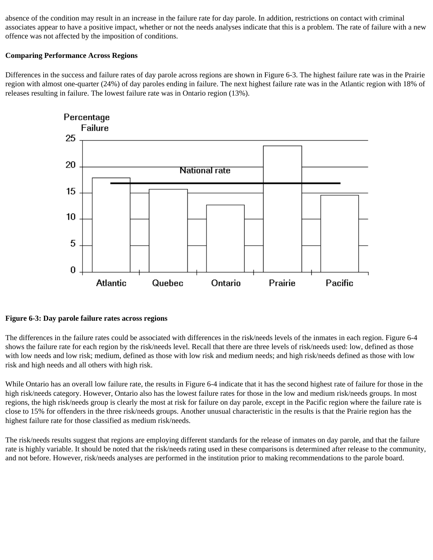absence of the condition may result in an increase in the failure rate for day parole. In addition, restrictions on contact with criminal associates appear to have a positive impact, whether or not the needs analyses indicate that this is a problem. The rate of failure with a new offence was not affected by the imposition of conditions.

## **Comparing Performance Across Regions**

Differences in the success and failure rates of day parole across regions are shown in Figure 6-3. The highest failure rate was in the Prairie region with almost one-quarter (24%) of day paroles ending in failure. The next highest failure rate was in the Atlantic region with 18% of releases resulting in failure. The lowest failure rate was in Ontario region (13%).



# **Figure 6-3: Day parole failure rates across regions**

The differences in the failure rates could be associated with differences in the risk/needs levels of the inmates in each region. Figure 6-4 shows the failure rate for each region by the risk/needs level. Recall that there are three levels of risk/needs used: low, defined as those with low needs and low risk; medium, defined as those with low risk and medium needs; and high risk/needs defined as those with low risk and high needs and all others with high risk.

While Ontario has an overall low failure rate, the results in Figure 6-4 indicate that it has the second highest rate of failure for those in the high risk/needs category. However, Ontario also has the lowest failure rates for those in the low and medium risk/needs groups. In most regions, the high risk/needs group is clearly the most at risk for failure on day parole, except in the Pacific region where the failure rate is close to 15% for offenders in the three risk/needs groups. Another unusual characteristic in the results is that the Prairie region has the highest failure rate for those classified as medium risk/needs.

The risk/needs results suggest that regions are employing different standards for the release of inmates on day parole, and that the failure rate is highly variable. It should be noted that the risk/needs rating used in these comparisons is determined after release to the community, and not before. However, risk/needs analyses are performed in the institution prior to making recommendations to the parole board.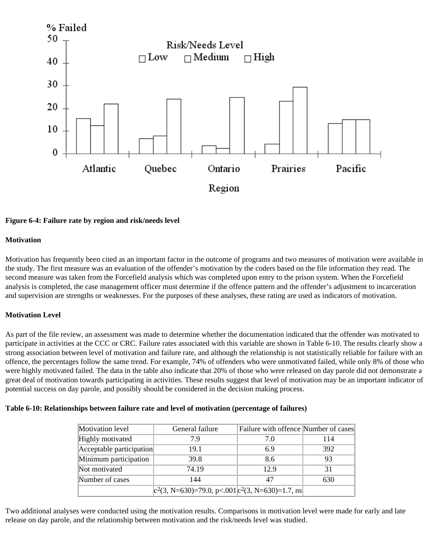

#### **Figure 6-4: Failure rate by region and risk/needs level**

#### **Motivation**

Motivation has frequently been cited as an important factor in the outcome of programs and two measures of motivation were available in the study. The first measure was an evaluation of the offender's motivation by the coders based on the file information they read. The second measure was taken from the Forcefield analysis which was completed upon entry to the prison system. When the Forcefield analysis is completed, the case management officer must determine if the offence pattern and the offender's adjustment to incarceration and supervision are strengths or weaknesses. For the purposes of these analyses, these rating are used as indicators of motivation.

## **Motivation Level**

As part of the file review, an assessment was made to determine whether the documentation indicated that the offender was motivated to participate in activities at the CCC or CRC. Failure rates associated with this variable are shown in Table 6-10. The results clearly show a strong association between level of motivation and failure rate, and although the relationship is not statistically reliable for failure with an offence, the percentages follow the same trend. For example, 74% of offenders who were unmotivated failed, while only 8% of those who were highly motivated failed. The data in the table also indicate that 20% of those who were released on day parole did not demonstrate a great deal of motivation towards participating in activities. These results suggest that level of motivation may be an important indicator of potential success on day parole, and possibly should be considered in the decision making process.

#### **Table 6-10: Relationships between failure rate and level of motivation (percentage of failures)**

| Motivation level         | General failure                                      | Failure with offence Number of cases |     |
|--------------------------|------------------------------------------------------|--------------------------------------|-----|
| Highly motivated         | 7.9                                                  | 7.0                                  | 114 |
| Acceptable participation | 19.1                                                 | 6.9                                  | 392 |
| Minimum participation    | 39.8                                                 | 8.6                                  | 93  |
| Not motivated            | 74.19                                                | 12.9                                 | 31  |
| Number of cases          | 144                                                  | 47                                   | 630 |
|                          | $ c^2(3, N=630)=79.0, p<.001 c^2(3, N=630)=1.7, ns $ |                                      |     |

Two additional analyses were conducted using the motivation results. Comparisons in motivation level were made for early and late release on day parole, and the relationship between motivation and the risk/needs level was studied.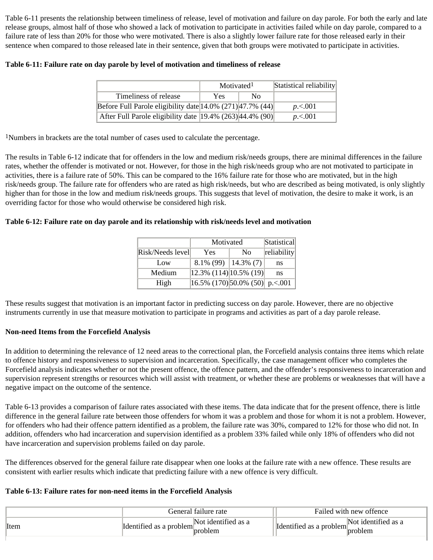Table 6-11 presents the relationship between timeliness of release, level of motivation and failure on day parole. For both the early and late release groups, almost half of those who showed a lack of motivation to participate in activities failed while on day parole, compared to a failure rate of less than 20% for those who were motivated. There is also a slightly lower failure rate for those released early in their sentence when compared to those released late in their sentence, given that both groups were motivated to participate in activities.

|                                                                      | Motivated <sup>1</sup> |    | Statistical reliability |
|----------------------------------------------------------------------|------------------------|----|-------------------------|
| Timeliness of release                                                | <b>Yes</b>             | Nο |                         |
| Before Full Parole eligibility date $ 14.0\% $ (271) $ 47.7\% $ (44) |                        |    | p < 001                 |
| After Full Parole eligibility date   19.4% (263)   44.4% (90)        |                        |    | p < 001                 |

<sup>1</sup>Numbers in brackets are the total number of cases used to calculate the percentage.

The results in Table 6-12 indicate that for offenders in the low and medium risk/needs groups, there are minimal differences in the failure rates, whether the offender is motivated or not. However, for those in the high risk/needs group who are not motivated to participate in activities, there is a failure rate of 50%. This can be compared to the 16% failure rate for those who are motivated, but in the high risk/needs group. The failure rate for offenders who are rated as high risk/needs, but who are described as being motivated, is only slightly higher than for those in the low and medium risk/needs groups. This suggests that level of motivation, the desire to make it work, is an overriding factor for those who would otherwise be considered high risk.

## **Table 6-12: Failure rate on day parole and its relationship with risk/needs level and motivation**

|                  | Motivated                                                                            | Statistical    |             |
|------------------|--------------------------------------------------------------------------------------|----------------|-------------|
| Risk/Needs level | Yes                                                                                  | N <sub>0</sub> | reliability |
| Low              | 8.1% (99)                                                                            | $14.3\%$ (7)   | ns          |
| Medium           | $\left 12.3\% \right  \left(114\right) \left 10.5\% \right  \left(19\right) \right $ |                | ns          |
| High             | $\overline{ 16.5\% \ (170) }$ 50.0% (50) p.<.001                                     |                |             |

These results suggest that motivation is an important factor in predicting success on day parole. However, there are no objective instruments currently in use that measure motivation to participate in programs and activities as part of a day parole release.

## **Non-need Items from the Forcefield Analysis**

In addition to determining the relevance of 12 need areas to the correctional plan, the Forcefield analysis contains three items which relate to offence history and responsiveness to supervision and incarceration. Specifically, the case management officer who completes the Forcefield analysis indicates whether or not the present offence, the offence pattern, and the offender's responsiveness to incarceration and supervision represent strengths or resources which will assist with treatment, or whether these are problems or weaknesses that will have a negative impact on the outcome of the sentence.

Table 6-13 provides a comparison of failure rates associated with these items. The data indicate that for the present offence, there is little difference in the general failure rate between those offenders for whom it was a problem and those for whom it is not a problem. However, for offenders who had their offence pattern identified as a problem, the failure rate was 30%, compared to 12% for those who did not. In addition, offenders who had incarceration and supervision identified as a problem 33% failed while only 18% of offenders who did not have incarceration and supervision problems failed on day parole.

The differences observed for the general failure rate disappear when one looks at the failure rate with a new offence. These results are consistent with earlier results which indicate that predicting failure with a new offence is very difficult.

## **Table 6-13: Failure rates for non-need items in the Forcefield Analysis**

| Not identified as a<br>Not identified as a<br>Identified as a problem <sup>1</sup><br>Identified as a problem <sup>*</sup> |      | General failure rate |         | Failed with new offence |                |
|----------------------------------------------------------------------------------------------------------------------------|------|----------------------|---------|-------------------------|----------------|
|                                                                                                                            | Item |                      | problem |                         | <b>broblem</b> |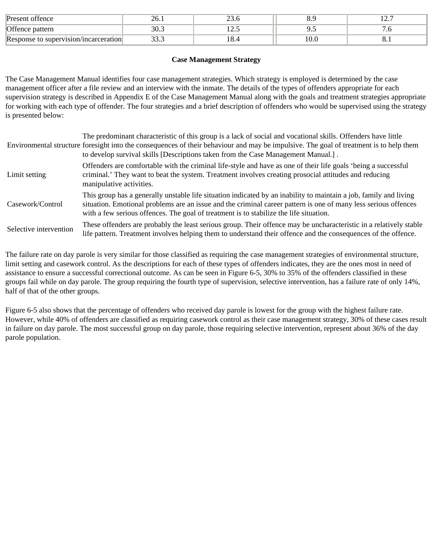| Present offence                       | ~v.,       |       | ◡.    |  |
|---------------------------------------|------------|-------|-------|--|
| Offence pattern                       | nΩ<br>JU.J | ⊥∠…   |       |  |
| Response to supervision/incarceration | $\sim$     | 10. - | 1 V.U |  |

#### **Case Management Strategy**

The Case Management Manual identifies four case management strategies. Which strategy is employed is determined by the case management officer after a file review and an interview with the inmate. The details of the types of offenders appropriate for each supervision strategy is described in Appendix E of the Case Management Manual along with the goals and treatment strategies appropriate for working with each type of offender. The four strategies and a brief description of offenders who would be supervised using the strategy is presented below:

|                        | The predominant characteristic of this group is a lack of social and vocational skills. Offenders have little<br>Environmental structure foresight into the consequences of their behaviour and may be impulsive. The goal of treatment is to help them<br>to develop survival skills [Descriptions taken from the Case Management Manual.]. |
|------------------------|----------------------------------------------------------------------------------------------------------------------------------------------------------------------------------------------------------------------------------------------------------------------------------------------------------------------------------------------|
| Limit setting          | Offenders are comfortable with the criminal life-style and have as one of their life goals 'being a successful<br>criminal.' They want to beat the system. Treatment involves creating prosocial attitudes and reducing<br>manipulative activities.                                                                                          |
| Casework/Control       | This group has a generally unstable life situation indicated by an inability to maintain a job, family and living<br>situation. Emotional problems are an issue and the criminal career pattern is one of many less serious offences<br>with a few serious offences. The goal of treatment is to stabilize the life situation.               |
| Selective intervention | These offenders are probably the least serious group. Their offence may be uncharacteristic in a relatively stable<br>life pattern. Treatment involves helping them to understand their offence and the consequences of the offence.                                                                                                         |

The failure rate on day parole is very similar for those classified as requiring the case management strategies of environmental structure, limit setting and casework control. As the descriptions for each of these types of offenders indicates, they are the ones most in need of assistance to ensure a successful correctional outcome. As can be seen in Figure 6-5, 30% to 35% of the offenders classified in these groups fail while on day parole. The group requiring the fourth type of supervision, selective intervention, has a failure rate of only 14%, half of that of the other groups.

Figure 6-5 also shows that the percentage of offenders who received day parole is lowest for the group with the highest failure rate. However, while 40% of offenders are classified as requiring casework control as their case management strategy, 30% of these cases result in failure on day parole. The most successful group on day parole, those requiring selective intervention, represent about 36% of the day parole population.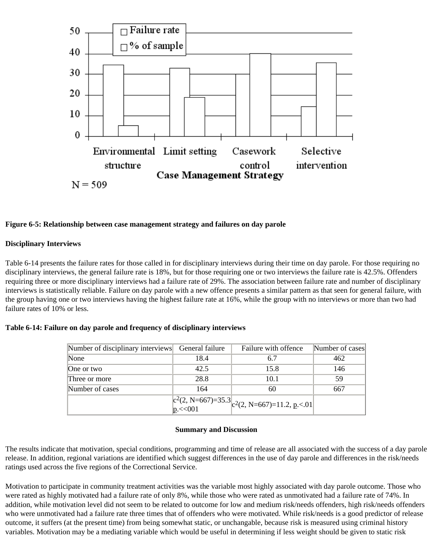

#### **Figure 6-5: Relationship between case management strategy and failures on day parole**

#### **Disciplinary Interviews**

Table 6-14 presents the failure rates for those called in for disciplinary interviews during their time on day parole. For those requiring no disciplinary interviews, the general failure rate is 18%, but for those requiring one or two interviews the failure rate is 42.5%. Offenders requiring three or more disciplinary interviews had a failure rate of 29%. The association between failure rate and number of disciplinary interviews is statistically reliable. Failure on day parole with a new offence presents a similar pattern as that seen for general failure, with the group having one or two interviews having the highest failure rate at 16%, while the group with no interviews or more than two had failure rates of 10% or less.

|  |  |  |  | Table 6-14: Failure on day parole and frequency of disciplinary interviews |  |
|--|--|--|--|----------------------------------------------------------------------------|--|
|  |  |  |  |                                                                            |  |

| Number of disciplinary interviews General failure |      | Failure with offence                                                                                     | Number of cases |
|---------------------------------------------------|------|----------------------------------------------------------------------------------------------------------|-----------------|
| None                                              | 18.4 | 6.7                                                                                                      | 462             |
| One or two                                        | 42.5 | 15.8                                                                                                     | 146             |
| Three or more                                     | 28.8 | 10.1                                                                                                     | 59              |
| Number of cases                                   | 164  | 60                                                                                                       | 667             |
|                                                   |      | $\left  \begin{array}{l} c^2(2, N=667)=35.3 \\ p < 001 \end{array} \right $ $c^2(2, N=667)=11.2, p < 01$ |                 |

#### **Summary and Discussion**

The results indicate that motivation, special conditions, programming and time of release are all associated with the success of a day parole release. In addition, regional variations are identified which suggest differences in the use of day parole and differences in the risk/needs ratings used across the five regions of the Correctional Service.

Motivation to participate in community treatment activities was the variable most highly associated with day parole outcome. Those who were rated as highly motivated had a failure rate of only 8%, while those who were rated as unmotivated had a failure rate of 74%. In addition, while motivation level did not seem to be related to outcome for low and medium risk/needs offenders, high risk/needs offenders who were unmotivated had a failure rate three times that of offenders who were motivated. While risk/needs is a good predictor of release outcome, it suffers (at the present time) from being somewhat static, or unchangable, because risk is measured using criminal history variables. Motivation may be a mediating variable which would be useful in determining if less weight should be given to static risk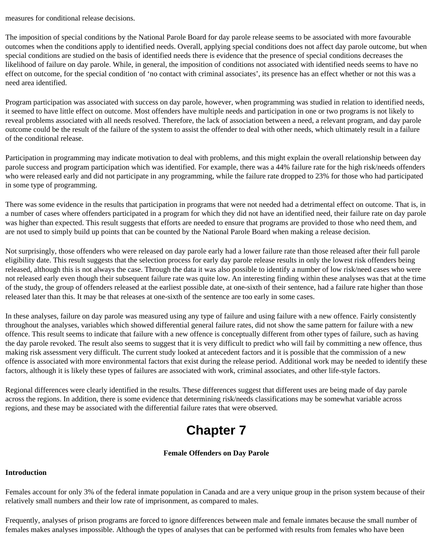measures for conditional release decisions.

The imposition of special conditions by the National Parole Board for day parole release seems to be associated with more favourable outcomes when the conditions apply to identified needs. Overall, applying special conditions does not affect day parole outcome, but when special conditions are studied on the basis of identified needs there is evidence that the presence of special conditions decreases the likelihood of failure on day parole. While, in general, the imposition of conditions not associated with identified needs seems to have no effect on outcome, for the special condition of 'no contact with criminal associates', its presence has an effect whether or not this was a need area identified.

Program participation was associated with success on day parole, however, when programming was studied in relation to identified needs, it seemed to have little effect on outcome. Most offenders have multiple needs and participation in one or two programs is not likely to reveal problems associated with all needs resolved. Therefore, the lack of association between a need, a relevant program, and day parole outcome could be the result of the failure of the system to assist the offender to deal with other needs, which ultimately result in a failure of the conditional release.

Participation in programming may indicate motivation to deal with problems, and this might explain the overall relationship between day parole success and program participation which was identified. For example, there was a 44% failure rate for the high risk/needs offenders who were released early and did not participate in any programming, while the failure rate dropped to 23% for those who had participated in some type of programming.

There was some evidence in the results that participation in programs that were not needed had a detrimental effect on outcome. That is, in a number of cases where offenders participated in a program for which they did not have an identified need, their failure rate on day parole was higher than expected. This result suggests that efforts are needed to ensure that programs are provided to those who need them, and are not used to simply build up points that can be counted by the National Parole Board when making a release decision.

Not surprisingly, those offenders who were released on day parole early had a lower failure rate than those released after their full parole eligibility date. This result suggests that the selection process for early day parole release results in only the lowest risk offenders being released, although this is not always the case. Through the data it was also possible to identify a number of low risk/need cases who were not released early even though their subsequent failure rate was quite low. An interesting finding within these analyses was that at the time of the study, the group of offenders released at the earliest possible date, at one-sixth of their sentence, had a failure rate higher than those released later than this. It may be that releases at one-sixth of the sentence are too early in some cases.

In these analyses, failure on day parole was measured using any type of failure and using failure with a new offence. Fairly consistently throughout the analyses, variables which showed differential general failure rates, did not show the same pattern for failure with a new offence. This result seems to indicate that failure with a new offence is conceptually different from other types of failure, such as having the day parole revoked. The result also seems to suggest that it is very difficult to predict who will fail by committing a new offence, thus making risk assessment very difficult. The current study looked at antecedent factors and it is possible that the commission of a new offence is associated with more environmental factors that exist during the release period. Additional work may be needed to identify these factors, although it is likely these types of failures are associated with work, criminal associates, and other life-style factors.

Regional differences were clearly identified in the results. These differences suggest that different uses are being made of day parole across the regions. In addition, there is some evidence that determining risk/needs classifications may be somewhat variable across regions, and these may be associated with the differential failure rates that were observed.

# **Chapter 7**

# **Female Offenders on Day Parole**

# **Introduction**

Females account for only 3% of the federal inmate population in Canada and are a very unique group in the prison system because of their relatively small numbers and their low rate of imprisonment, as compared to males.

Frequently, analyses of prison programs are forced to ignore differences between male and female inmates because the small number of females makes analyses impossible. Although the types of analyses that can be performed with results from females who have been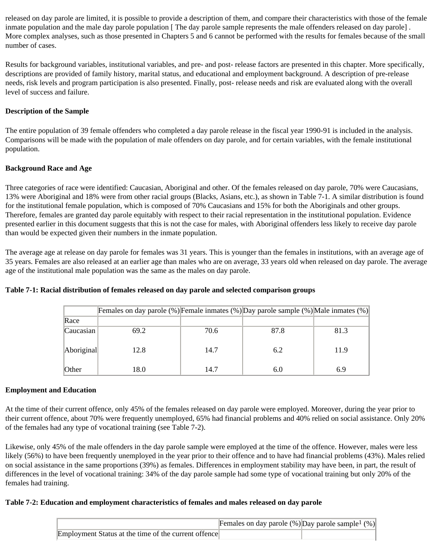released on day parole are limited, it is possible to provide a description of them, and compare their characteristics with those of the female inmate population and the male day parole population [The day parole sample represents the male offenders released on day parole]. More complex analyses, such as those presented in Chapters 5 and 6 cannot be performed with the results for females because of the small number of cases.

Results for background variables, institutional variables, and pre- and post- release factors are presented in this chapter. More specifically, descriptions are provided of family history, marital status, and educational and employment background. A description of pre-release needs, risk levels and program participation is also presented. Finally, post- release needs and risk are evaluated along with the overall level of success and failure.

# **Description of the Sample**

The entire population of 39 female offenders who completed a day parole release in the fiscal year 1990-91 is included in the analysis. Comparisons will be made with the population of male offenders on day parole, and for certain variables, with the female institutional population.

# **Background Race and Age**

Three categories of race were identified: Caucasian, Aboriginal and other. Of the females released on day parole, 70% were Caucasians, 13% were Aboriginal and 18% were from other racial groups (Blacks, Asians, etc.), as shown in Table 7-1. A similar distribution is found for the institutional female population, which is composed of 70% Caucasians and 15% for both the Aboriginals and other groups. Therefore, females are granted day parole equitably with respect to their racial representation in the institutional population. Evidence presented earlier in this document suggests that this is not the case for males, with Aboriginal offenders less likely to receive day parole than would be expected given their numbers in the inmate population.

The average age at release on day parole for females was 31 years. This is younger than the females in institutions, with an average age of 35 years. Females are also released at an earlier age than males who are on average, 33 years old when released on day parole. The average age of the institutional male population was the same as the males on day parole.

|              | Females on day parole $(\%)$ Female inmates $(\%)$ Day parole sample $(\%)$ Male inmates $(\%)$ |      |      |      |
|--------------|-------------------------------------------------------------------------------------------------|------|------|------|
| Race         |                                                                                                 |      |      |      |
| Caucasian    | 69.2                                                                                            | 70.6 | 87.8 | 81.3 |
| Aboriginal   | 12.8                                                                                            | 14.7 | 6.2  | 11.9 |
| <b>Other</b> | 18.0                                                                                            | 14.7 | 6.0  | 6.9  |

# **Table 7-1: Racial distribution of females released on day parole and selected comparison groups**

## **Employment and Education**

At the time of their current offence, only 45% of the females released on day parole were employed. Moreover, during the year prior to their current offence, about 70% were frequently unemployed, 65% had financial problems and 40% relied on social assistance. Only 20% of the females had any type of vocational training (see Table 7-2).

Likewise, only 45% of the male offenders in the day parole sample were employed at the time of the offence. However, males were less likely (56%) to have been frequently unemployed in the year prior to their offence and to have had financial problems (43%). Males relied on social assistance in the same proportions (39%) as females. Differences in employment stability may have been, in part, the result of differences in the level of vocational training: 34% of the day parole sample had some type of vocational training but only 20% of the females had training.

# **Table 7-2: Education and employment characteristics of females and males released on day parole**

|                                                      | Females on day parole $(\%)$ Day parole sample <sup>1</sup> $(\%)$ |  |
|------------------------------------------------------|--------------------------------------------------------------------|--|
| Employment Status at the time of the current offence |                                                                    |  |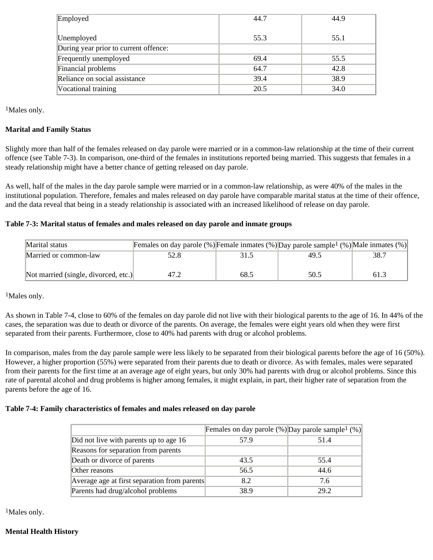| Employed                              | 44.7 | 44.9 |
|---------------------------------------|------|------|
| Unemployed                            | 55.3 | 55.1 |
| During year prior to current offence: |      |      |
| Frequently unemployed                 | 69.4 | 55.5 |
| Financial problems                    | 64.7 | 42.8 |
| Reliance on social assistance         | 39.4 | 38.9 |
| Vocational training                   | 20.5 | 34.0 |

<sup>1</sup>Males only.

## **Marital and Family Status**

Slightly more than half of the females released on day parole were married or in a common-law relationship at the time of their current offence (see Table 7-3). In comparison, one-third of the females in institutions reported being married. This suggests that females in a steady relationship might have a better chance of getting released on day parole.

As well, half of the males in the day parole sample were married or in a common-law relationship, as were 40% of the males in the institutional population. Therefore, females and males released on day parole have comparable marital status at the time of their offence, and the data reveal that being in a steady relationship is associated with an increased likelihood of release on day parole.

## **Table 7-3: Marital status of females and males released on day parole and inmate groups**

| Marital status                       | Females on day parole (%) Female inmates (%) Day parole sample <sup>1</sup> (%) Male inmates (%) |      |      |      |
|--------------------------------------|--------------------------------------------------------------------------------------------------|------|------|------|
| Married or common-law                | 52.8                                                                                             |      | 49.5 | 38.7 |
|                                      |                                                                                                  |      |      |      |
| Not married (single, divorced, etc.) |                                                                                                  | 68.5 | 50.5 | 61.3 |

<sup>1</sup>Males only.

As shown in Table 7-4, close to 60% of the females on day parole did not live with their biological parents to the age of 16. In 44% of the cases, the separation was due to death or divorce of the parents. On average, the females were eight years old when they were first separated from their parents. Furthermore, close to 40% had parents with drug or alcohol problems.

In comparison, males from the day parole sample were less likely to be separated from their biological parents before the age of 16 (50%). However, a higher proportion (55%) were separated from their parents due to death or divorce. As with females, males were separated from their parents for the first time at an average age of eight years, but only 30% had parents with drug or alcohol problems. Since this rate of parental alcohol and drug problems is higher among females, it might explain, in part, their higher rate of separation from the parents before the age of 16.

## **Table 7-4: Family characteristics of females and males released on day parole**

|                                              | Females on day parole $(\%)$ Day parole sample <sup>1</sup> $(\%)$ |      |
|----------------------------------------------|--------------------------------------------------------------------|------|
| Did not live with parents up to age 16       | 57.9                                                               | 51.4 |
| Reasons for separation from parents          |                                                                    |      |
| Death or divorce of parents                  | 43.5                                                               | 55.4 |
| Other reasons                                | 56.5                                                               | 44.6 |
| Average age at first separation from parents | 8.2                                                                | 7.6  |
| Parents had drug/alcohol problems            | 38.9                                                               | 29.2 |

<sup>1</sup>Males only.

# **Mental Health History**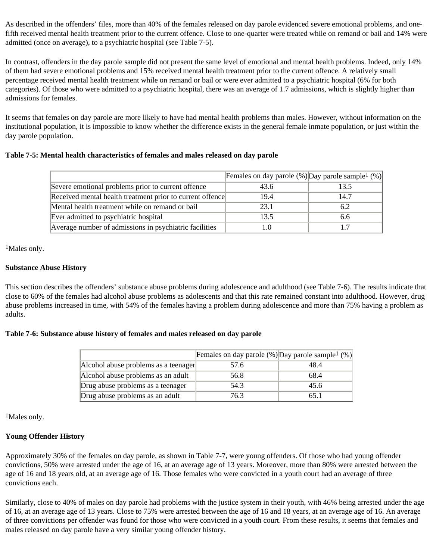As described in the offenders' files, more than 40% of the females released on day parole evidenced severe emotional problems, and onefifth received mental health treatment prior to the current offence. Close to one-quarter were treated while on remand or bail and 14% were admitted (once on average), to a psychiatric hospital (see Table 7-5).

In contrast, offenders in the day parole sample did not present the same level of emotional and mental health problems. Indeed, only 14% of them had severe emotional problems and 15% received mental health treatment prior to the current offence. A relatively small percentage received mental health treatment while on remand or bail or were ever admitted to a psychiatric hospital (6% for both categories). Of those who were admitted to a psychiatric hospital, there was an average of 1.7 admissions, which is slightly higher than admissions for females.

It seems that females on day parole are more likely to have had mental health problems than males. However, without information on the institutional population, it is impossible to know whether the difference exists in the general female inmate population, or just within the day parole population.

## **Table 7-5: Mental health characteristics of females and males released on day parole**

|                                                           | Females on day parole $(\%)$ Day parole sample <sup>1</sup> $(\%)$ |      |
|-----------------------------------------------------------|--------------------------------------------------------------------|------|
| Severe emotional problems prior to current offence        | 43.6                                                               | 13.5 |
| Received mental health treatment prior to current offence | 19.4                                                               | 14.7 |
| Mental health treatment while on remand or bail           | 23.1                                                               | 6.2  |
| Ever admitted to psychiatric hospital                     | 13.5                                                               | 6.6  |
| Average number of admissions in psychiatric facilities    |                                                                    | 17   |

1Males only.

## **Substance Abuse History**

This section describes the offenders' substance abuse problems during adolescence and adulthood (see Table 7-6). The results indicate that close to 60% of the females had alcohol abuse problems as adolescents and that this rate remained constant into adulthood. However, drug abuse problems increased in time, with 54% of the females having a problem during adolescence and more than 75% having a problem as adults.

#### **Table 7-6: Substance abuse history of females and males released on day parole**

|                                      | Females on day parole $(\%)$ Day parole sample <sup>1</sup> $(\%)$ |      |
|--------------------------------------|--------------------------------------------------------------------|------|
| Alcohol abuse problems as a teenager | 57.6                                                               | 48.4 |
| Alcohol abuse problems as an adult   | 56.8                                                               | 68.4 |
| Drug abuse problems as a teenager    | 54.3                                                               | 45.6 |
| Drug abuse problems as an adult      | 76.3                                                               | 65.1 |

<sup>1</sup>Males only.

## **Young Offender History**

Approximately 30% of the females on day parole, as shown in Table 7-7, were young offenders. Of those who had young offender convictions, 50% were arrested under the age of 16, at an average age of 13 years. Moreover, more than 80% were arrested between the age of 16 and 18 years old, at an average age of 16. Those females who were convicted in a youth court had an average of three convictions each.

Similarly, close to 40% of males on day parole had problems with the justice system in their youth, with 46% being arrested under the age of 16, at an average age of 13 years. Close to 75% were arrested between the age of 16 and 18 years, at an average age of 16. An average of three convictions per offender was found for those who were convicted in a youth court. From these results, it seems that females and males released on day parole have a very similar young offender history.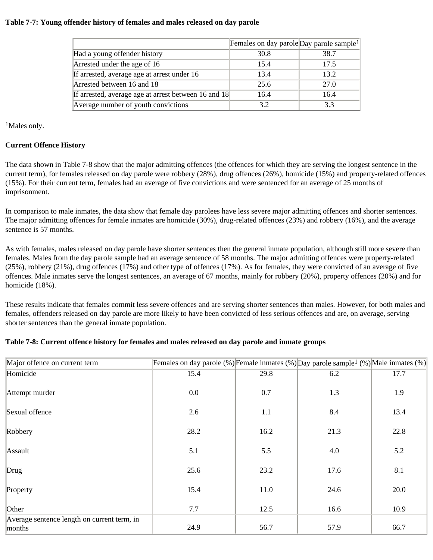#### **Table 7-7: Young offender history of females and males released on day parole**

|                                                      | Females on day parole Day parole sample <sup>1</sup> |      |
|------------------------------------------------------|------------------------------------------------------|------|
| Had a young offender history                         | 30.8                                                 | 38.7 |
| Arrested under the age of 16                         | 15.4                                                 | 17.5 |
| If arrested, average age at arrest under 16          | 13.4                                                 | 13.2 |
| Arrested between 16 and 18                           | 25.6                                                 | 27.0 |
| If arrested, average age at arrest between 16 and 18 | 16.4                                                 | 16.4 |
| Average number of youth convictions                  | 3.2                                                  | 3.3  |

1Males only.

## **Current Offence History**

The data shown in Table 7-8 show that the major admitting offences (the offences for which they are serving the longest sentence in the current term), for females released on day parole were robbery (28%), drug offences (26%), homicide (15%) and property-related offences (15%). For their current term, females had an average of five convictions and were sentenced for an average of 25 months of imprisonment.

In comparison to male inmates, the data show that female day parolees have less severe major admitting offences and shorter sentences. The major admitting offences for female inmates are homicide (30%), drug-related offences (23%) and robbery (16%), and the average sentence is 57 months.

As with females, males released on day parole have shorter sentences then the general inmate population, although still more severe than females. Males from the day parole sample had an average sentence of 58 months. The major admitting offences were property-related (25%), robbery (21%), drug offences (17%) and other type of offences (17%). As for females, they were convicted of an average of five offences. Male inmates serve the longest sentences, an average of 67 months, mainly for robbery (20%), property offences (20%) and for homicide (18%).

These results indicate that females commit less severe offences and are serving shorter sentences than males. However, for both males and females, offenders released on day parole are more likely to have been convicted of less serious offences and are, on average, serving shorter sentences than the general inmate population.

# **Table 7-8: Current offence history for females and males released on day parole and inmate groups**

| Major offence on current term               | Females on day parole (%) Female inmates (%) Day parole sample <sup>1</sup> (%) Male inmates (%) |      |      |      |
|---------------------------------------------|--------------------------------------------------------------------------------------------------|------|------|------|
| Homicide                                    | 15.4                                                                                             | 29.8 | 6.2  | 17.7 |
| Attempt murder                              | 0.0                                                                                              | 0.7  | 1.3  | 1.9  |
| Sexual offence                              | 2.6                                                                                              | 1.1  | 8.4  | 13.4 |
|                                             |                                                                                                  |      |      |      |
| Robbery                                     | 28.2                                                                                             | 16.2 | 21.3 | 22.8 |
|                                             |                                                                                                  |      |      |      |
| Assault                                     | 5.1                                                                                              | 5.5  | 4.0  | 5.2  |
| Drug                                        | 25.6                                                                                             | 23.2 | 17.6 | 8.1  |
| Property                                    | 15.4                                                                                             | 11.0 | 24.6 | 20.0 |
|                                             |                                                                                                  |      |      |      |
| Other                                       | 7.7                                                                                              | 12.5 | 16.6 | 10.9 |
| Average sentence length on current term, in |                                                                                                  |      |      |      |
| months                                      | 24.9                                                                                             | 56.7 | 57.9 | 66.7 |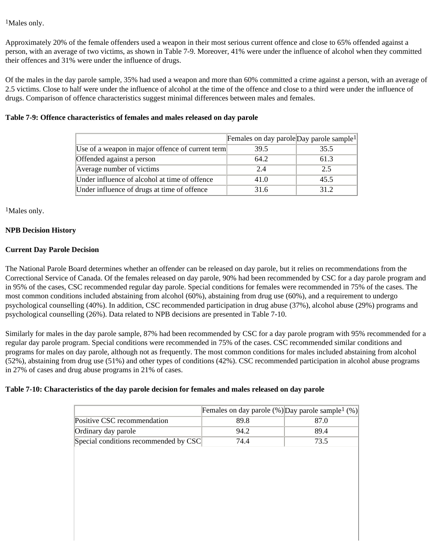1Males only.

Approximately 20% of the female offenders used a weapon in their most serious current offence and close to 65% offended against a person, with an average of two victims, as shown in Table 7-9. Moreover, 41% were under the influence of alcohol when they committed their offences and 31% were under the influence of drugs.

Of the males in the day parole sample, 35% had used a weapon and more than 60% committed a crime against a person, with an average of 2.5 victims. Close to half were under the influence of alcohol at the time of the offence and close to a third were under the influence of drugs. Comparison of offence characteristics suggest minimal differences between males and females.

## **Table 7-9: Offence characteristics of females and males released on day parole**

|                                                  | Females on day parole Day parole sample <sup>1</sup> |      |
|--------------------------------------------------|------------------------------------------------------|------|
| Use of a weapon in major offence of current term | 39.5                                                 | 35.5 |
| Offended against a person                        | 64.2                                                 | 61.3 |
| Average number of victims                        | 2.4                                                  | 2.5  |
| Under influence of alcohol at time of offence    | 41.0                                                 | 45.5 |
| Under influence of drugs at time of offence      | 31.6                                                 | 312  |

1Males only.

## **NPB Decision History**

## **Current Day Parole Decision**

The National Parole Board determines whether an offender can be released on day parole, but it relies on recommendations from the Correctional Service of Canada. Of the females released on day parole, 90% had been recommended by CSC for a day parole program and in 95% of the cases, CSC recommended regular day parole. Special conditions for females were recommended in 75% of the cases. The most common conditions included abstaining from alcohol (60%), abstaining from drug use (60%), and a requirement to undergo psychological counselling (40%). In addition, CSC recommended participation in drug abuse (37%), alcohol abuse (29%) programs and psychological counselling (26%). Data related to NPB decisions are presented in Table 7-10.

Similarly for males in the day parole sample, 87% had been recommended by CSC for a day parole program with 95% recommended for a regular day parole program. Special conditions were recommended in 75% of the cases. CSC recommended similar conditions and programs for males on day parole, although not as frequently. The most common conditions for males included abstaining from alcohol (52%), abstaining from drug use (51%) and other types of conditions (42%). CSC recommended participation in alcohol abuse programs in 27% of cases and drug abuse programs in 21% of cases.

## **Table 7-10: Characteristics of the day parole decision for females and males released on day parole**

|                                       | Females on day parole $(\%)$ Day parole sample <sup>1</sup> $(\%)$ |      |
|---------------------------------------|--------------------------------------------------------------------|------|
| Positive CSC recommendation           | 89.8                                                               | 87.0 |
| Ordinary day parole                   | 94.2                                                               | 89.4 |
| Special conditions recommended by CSC | 74.4                                                               | 73.5 |
|                                       |                                                                    |      |
|                                       |                                                                    |      |
|                                       |                                                                    |      |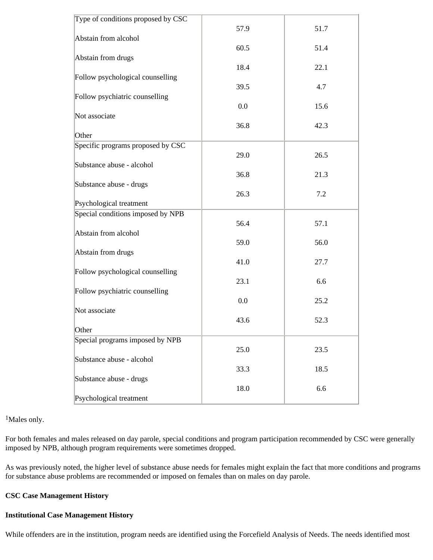| Type of conditions proposed by CSC |      |      |
|------------------------------------|------|------|
|                                    | 57.9 | 51.7 |
| Abstain from alcohol               |      |      |
|                                    | 60.5 | 51.4 |
| Abstain from drugs                 |      |      |
|                                    | 18.4 | 22.1 |
| Follow psychological counselling   |      |      |
|                                    | 39.5 | 4.7  |
| Follow psychiatric counselling     |      |      |
|                                    | 0.0  | 15.6 |
| Not associate                      |      |      |
|                                    | 36.8 | 42.3 |
| Other                              |      |      |
| Specific programs proposed by CSC  |      |      |
|                                    | 29.0 | 26.5 |
| Substance abuse - alcohol          |      |      |
|                                    | 36.8 | 21.3 |
| Substance abuse - drugs            |      |      |
|                                    | 26.3 | 7.2  |
| Psychological treatment            |      |      |
| Special conditions imposed by NPB  |      |      |
|                                    | 56.4 | 57.1 |
| Abstain from alcohol               |      |      |
|                                    | 59.0 | 56.0 |
| Abstain from drugs                 |      |      |
|                                    | 41.0 | 27.7 |
| Follow psychological counselling   |      |      |
|                                    | 23.1 | 6.6  |
| Follow psychiatric counselling     |      |      |
|                                    | 0.0  | 25.2 |
| Not associate                      |      |      |
|                                    | 43.6 | 52.3 |
| Other                              |      |      |
| Special programs imposed by NPB    |      |      |
|                                    | 25.0 | 23.5 |
| Substance abuse - alcohol          |      |      |
|                                    | 33.3 | 18.5 |
| Substance abuse - drugs            |      |      |
|                                    | 18.0 | 6.6  |
| Psychological treatment            |      |      |
|                                    |      |      |

1Males only.

For both females and males released on day parole, special conditions and program participation recommended by CSC were generally imposed by NPB, although program requirements were sometimes dropped.

As was previously noted, the higher level of substance abuse needs for females might explain the fact that more conditions and programs for substance abuse problems are recommended or imposed on females than on males on day parole.

## **CSC Case Management History**

#### **Institutional Case Management History**

While offenders are in the institution, program needs are identified using the Forcefield Analysis of Needs. The needs identified most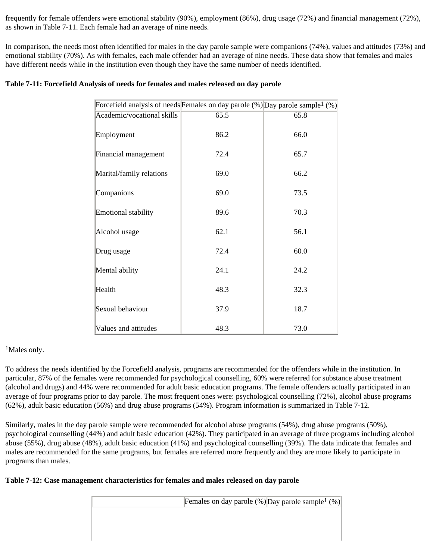frequently for female offenders were emotional stability (90%), employment (86%), drug usage (72%) and financial management (72%), as shown in Table 7-11. Each female had an average of nine needs.

In comparison, the needs most often identified for males in the day parole sample were companions (74%), values and attitudes (73%) and emotional stability (70%). As with females, each male offender had an average of nine needs. These data show that females and males have different needs while in the institution even though they have the same number of needs identified.

| Forcefield analysis of needs Females on day parole $(\%)$ Day parole sample <sup>1</sup> $(\%)$ |      |      |
|-------------------------------------------------------------------------------------------------|------|------|
| Academic/vocational skills                                                                      | 65.5 | 65.8 |
| Employment                                                                                      | 86.2 | 66.0 |
| Financial management                                                                            | 72.4 | 65.7 |
| Marital/family relations                                                                        | 69.0 | 66.2 |
| Companions                                                                                      | 69.0 | 73.5 |
| Emotional stability                                                                             | 89.6 | 70.3 |
| Alcohol usage                                                                                   | 62.1 | 56.1 |
| Drug usage                                                                                      | 72.4 | 60.0 |
| Mental ability                                                                                  | 24.1 | 24.2 |
| Health                                                                                          | 48.3 | 32.3 |
| Sexual behaviour                                                                                | 37.9 | 18.7 |
| Values and attitudes                                                                            | 48.3 | 73.0 |

# 1Males only.

To address the needs identified by the Forcefield analysis, programs are recommended for the offenders while in the institution. In particular, 87% of the females were recommended for psychological counselling, 60% were referred for substance abuse treatment (alcohol and drugs) and 44% were recommended for adult basic education programs. The female offenders actually participated in an average of four programs prior to day parole. The most frequent ones were: psychological counselling (72%), alcohol abuse programs (62%), adult basic education (56%) and drug abuse programs (54%). Program information is summarized in Table 7-12.

Similarly, males in the day parole sample were recommended for alcohol abuse programs (54%), drug abuse programs (50%), psychological counselling (44%) and adult basic education (42%). They participated in an average of three programs including alcohol abuse (55%), drug abuse (48%), adult basic education (41%) and psychological counselling (39%). The data indicate that females and males are recommended for the same programs, but females are referred more frequently and they are more likely to participate in programs than males.

# **Table 7-12: Case management characteristics for females and males released on day parole**

| Females on day parole $%$ ) Day parole sample <sup>1</sup> $%$ ) |
|------------------------------------------------------------------|
|                                                                  |
|                                                                  |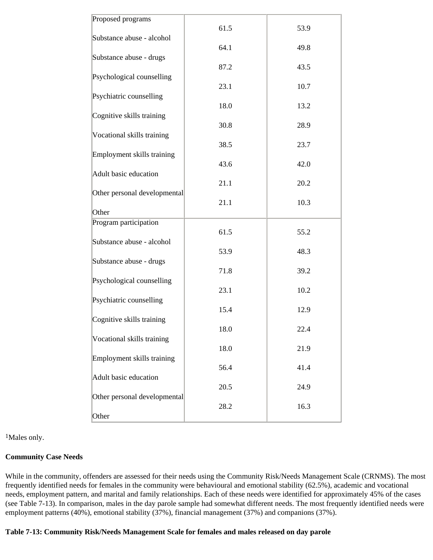| Proposed programs            | 61.5 | 53.9 |
|------------------------------|------|------|
| Substance abuse - alcohol    |      |      |
| Substance abuse - drugs      | 64.1 | 49.8 |
|                              | 87.2 | 43.5 |
| Psychological counselling    | 23.1 | 10.7 |
| Psychiatric counselling      |      |      |
| Cognitive skills training    | 18.0 | 13.2 |
|                              | 30.8 | 28.9 |
| Vocational skills training   | 38.5 | 23.7 |
| Employment skills training   |      |      |
| Adult basic education        | 43.6 | 42.0 |
|                              | 21.1 | 20.2 |
| Other personal developmental | 21.1 | 10.3 |
| Other                        |      |      |
| Program participation        | 61.5 | 55.2 |
| Substance abuse - alcohol    |      |      |
| Substance abuse - drugs      | 53.9 | 48.3 |
|                              | 71.8 | 39.2 |
| Psychological counselling    | 23.1 | 10.2 |
| Psychiatric counselling      |      |      |
| Cognitive skills training    | 15.4 | 12.9 |
|                              | 18.0 | 22.4 |
| Vocational skills training   | 18.0 | 21.9 |
| Employment skills training   | 56.4 | 41.4 |
| Adult basic education        |      |      |
| Other personal developmental | 20.5 | 24.9 |
|                              | 28.2 | 16.3 |
| Other                        |      |      |

1Males only.

#### **Community Case Needs**

While in the community, offenders are assessed for their needs using the Community Risk/Needs Management Scale (CRNMS). The most frequently identified needs for females in the community were behavioural and emotional stability (62.5%), academic and vocational needs, employment pattern, and marital and family relationships. Each of these needs were identified for approximately 45% of the cases (see Table 7-13). In comparison, males in the day parole sample had somewhat different needs. The most frequently identified needs were employment patterns (40%), emotional stability (37%), financial management (37%) and companions (37%).

**Table 7-13: Community Risk/Needs Management Scale for females and males released on day parole**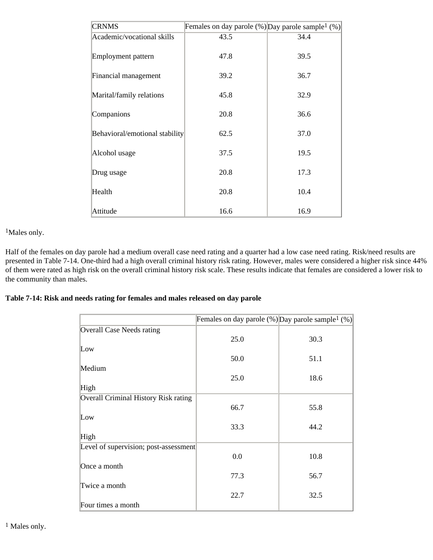| <b>CRNMS</b>                   | Females on day parole $(\%)$ Day parole sample <sup>1</sup> $(\%)$ |      |
|--------------------------------|--------------------------------------------------------------------|------|
| Academic/vocational skills     | 43.5                                                               | 34.4 |
| Employment pattern             | 47.8                                                               | 39.5 |
| Financial management           | 39.2                                                               | 36.7 |
| Marital/family relations       | 45.8                                                               | 32.9 |
| Companions                     | 20.8                                                               | 36.6 |
| Behavioral/emotional stability | 62.5                                                               | 37.0 |
| Alcohol usage                  | 37.5                                                               | 19.5 |
| Drug usage                     | 20.8                                                               | 17.3 |
| Health                         | 20.8                                                               | 10.4 |
| Attitude                       | 16.6                                                               | 16.9 |

1Males only.

Half of the females on day parole had a medium overall case need rating and a quarter had a low case need rating. Risk/need results are presented in Table 7-14. One-third had a high overall criminal history risk rating. However, males were considered a higher risk since 44% of them were rated as high risk on the overall criminal history risk scale. These results indicate that females are considered a lower risk to the community than males.

## **Table 7-14: Risk and needs rating for females and males released on day parole**

|                                       | Females on day parole $(\%)$ Day parole sample <sup>1</sup> $(\%)$ |      |
|---------------------------------------|--------------------------------------------------------------------|------|
| Overall Case Needs rating             |                                                                    |      |
|                                       | 25.0                                                               | 30.3 |
| Low                                   |                                                                    |      |
|                                       | 50.0                                                               | 51.1 |
| Medium                                |                                                                    |      |
|                                       | 25.0                                                               | 18.6 |
| High                                  |                                                                    |      |
| Overall Criminal History Risk rating  |                                                                    |      |
|                                       | 66.7                                                               | 55.8 |
| Low                                   |                                                                    |      |
|                                       | 33.3                                                               | 44.2 |
| High                                  |                                                                    |      |
| Level of supervision; post-assessment |                                                                    |      |
|                                       | 0.0                                                                | 10.8 |
| Once a month                          |                                                                    |      |
|                                       | 77.3                                                               | 56.7 |
| Twice a month                         |                                                                    |      |
|                                       | 22.7                                                               | 32.5 |
| Four times a month                    |                                                                    |      |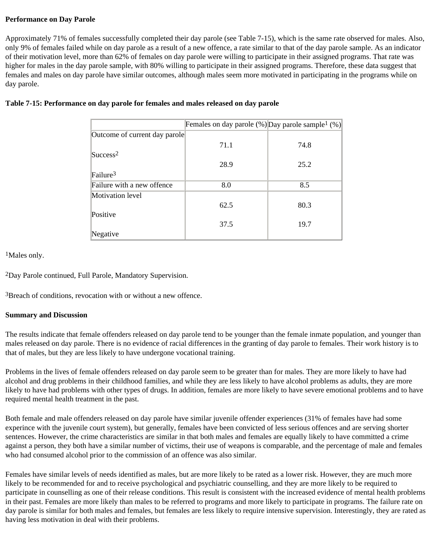## **Performance on Day Parole**

Approximately 71% of females successfully completed their day parole (see Table 7-15), which is the same rate observed for males. Also, only 9% of females failed while on day parole as a result of a new offence, a rate similar to that of the day parole sample. As an indicator of their motivation level, more than 62% of females on day parole were willing to participate in their assigned programs. That rate was higher for males in the day parole sample, with 80% willing to participate in their assigned programs. Therefore, these data suggest that females and males on day parole have similar outcomes, although males seem more motivated in participating in the programs while on day parole.

|                               | Females on day parole $%$ ) Day parole sample <sup>1</sup> $%$ ) |      |
|-------------------------------|------------------------------------------------------------------|------|
| Outcome of current day parole |                                                                  |      |
|                               | 71.1                                                             | 74.8 |
| $\text{Success}^2$            |                                                                  |      |
|                               | 28.9                                                             | 25.2 |
| $\text{Failure}^3$            |                                                                  |      |
| Failure with a new offence    | 8.0                                                              | 8.5  |
| Motivation level              |                                                                  |      |
|                               | 62.5                                                             | 80.3 |
| Positive                      |                                                                  |      |
|                               | 37.5                                                             | 19.7 |
| Negative                      |                                                                  |      |

# **Table 7-15: Performance on day parole for females and males released on day parole**

<sup>1</sup>Males only.

2Day Parole continued, Full Parole, Mandatory Supervision.

3Breach of conditions, revocation with or without a new offence.

#### **Summary and Discussion**

The results indicate that female offenders released on day parole tend to be younger than the female inmate population, and younger than males released on day parole. There is no evidence of racial differences in the granting of day parole to females. Their work history is to that of males, but they are less likely to have undergone vocational training.

Problems in the lives of female offenders released on day parole seem to be greater than for males. They are more likely to have had alcohol and drug problems in their childhood families, and while they are less likely to have alcohol problems as adults, they are more likely to have had problems with other types of drugs. In addition, females are more likely to have severe emotional problems and to have required mental health treatment in the past.

Both female and male offenders released on day parole have similar juvenile offender experiences (31% of females have had some experince with the juvenile court system), but generally, females have been convicted of less serious offences and are serving shorter sentences. However, the crime characteristics are similar in that both males and females are equally likely to have committed a crime against a person, they both have a similar number of victims, their use of weapons is comparable, and the percentage of male and females who had consumed alcohol prior to the commission of an offence was also similar.

Females have similar levels of needs identified as males, but are more likely to be rated as a lower risk. However, they are much more likely to be recommended for and to receive psychological and psychiatric counselling, and they are more likely to be required to participate in counselling as one of their release conditions. This result is consistent with the increased evidence of mental health problems in their past. Females are more likely than males to be referred to programs and more likely to participate in programs. The failure rate on day parole is similar for both males and females, but females are less likely to require intensive supervision. Interestingly, they are rated as having less motivation in deal with their problems.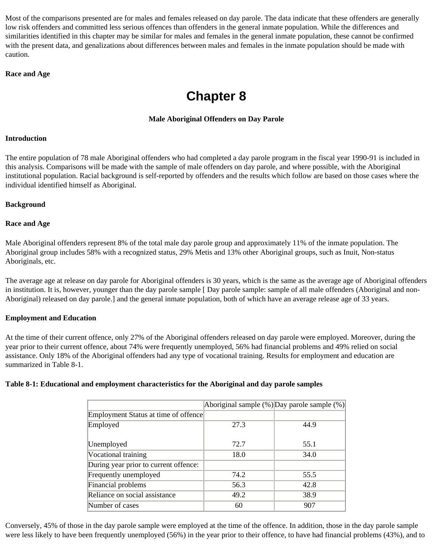Most of the comparisons presented are for males and females released on day parole. The data indicate that these offenders are generally low risk offenders and committed less serious offences than offenders in the general inmate population. While the differences and similarities identified in this chapter may be similar for males and females in the general inmate population, these cannot be confirmed with the present data, and genalizations about differences between males and females in the inmate population should be made with caution.

## **Race and Age**

# **Chapter 8**

# **Male Aboriginal Offenders on Day Parole**

## **Introduction**

The entire population of 78 male Aboriginal offenders who had completed a day parole program in the fiscal year 1990-91 is included in this analysis. Comparisons will be made with the sample of male offenders on day parole, and where possible, with the Aboriginal institutional population. Racial background is self-reported by offenders and the results which follow are based on those cases where the individual identified himself as Aboriginal.

## **Background**

## **Race and Age**

Male Aboriginal offenders represent 8% of the total male day parole group and approximately 11% of the inmate population. The Aboriginal group includes 58% with a recognized status, 29% Metis and 13% other Aboriginal groups, such as Inuit, Non-status Aboriginals, etc.

The average age at release on day parole for Aboriginal offenders is 30 years, which is the same as the average age of Aboriginal offenders in institution. It is, however, younger than the day parole sample [Day parole sample: sample of all male offenders (Aboriginal and non-Aboriginal) released on day parole.] and the general inmate population, both of which have an average release age of 33 years.

## **Employment and Education**

At the time of their current offence, only 27% of the Aboriginal offenders released on day parole were employed. Moreover, during the year prior to their current offence, about 74% were frequently unemployed, 56% had financial problems and 49% relied on social assistance. Only 18% of the Aboriginal offenders had any type of vocational training. Results for employment and education are summarized in Table 8-1.

## **Table 8-1: Educational and employment characteristics for the Aboriginal and day parole samples**

|                                       |      | Aboriginal sample $(\%)$ Day parole sample $(\%)$ |
|---------------------------------------|------|---------------------------------------------------|
| Employment Status at time of offence  |      |                                                   |
| Employed                              | 27.3 | 44.9                                              |
|                                       |      |                                                   |
| Unemployed                            | 72.7 | 55.1                                              |
| Vocational training                   | 18.0 | 34.0                                              |
| During year prior to current offence: |      |                                                   |
| Frequently unemployed                 | 74.2 | 55.5                                              |
| Financial problems                    | 56.3 | 42.8                                              |
| Reliance on social assistance         | 49.2 | 38.9                                              |
| Number of cases                       | 60   | 907                                               |

Conversely, 45% of those in the day parole sample were employed at the time of the offence. In addition, those in the day parole sample were less likely to have been frequently unemployed (56%) in the year prior to their offence, to have had financial problems (43%), and to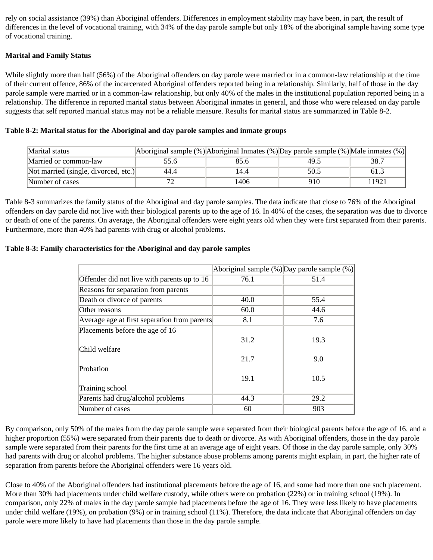rely on social assistance (39%) than Aboriginal offenders. Differences in employment stability may have been, in part, the result of differences in the level of vocational training, with 34% of the day parole sample but only 18% of the aboriginal sample having some type of vocational training.

## **Marital and Family Status**

While slightly more than half (56%) of the Aboriginal offenders on day parole were married or in a common-law relationship at the time of their current offence, 86% of the incarcerated Aboriginal offenders reported being in a relationship. Similarly, half of those in the day parole sample were married or in a common-law relationship, but only 40% of the males in the institutional population reported being in a relationship. The difference in reported marital status between Aboriginal inmates in general, and those who were released on day parole suggests that self reported maritial status may not be a reliable measure. Results for marital status are summarized in Table 8-2.

| Marital status                       |      | Aboriginal sample $(\%)$ Aboriginal Inmates $(\%)$ Day parole sample $(\%)$ Male inmates $(\%)$ |      |       |
|--------------------------------------|------|-------------------------------------------------------------------------------------------------|------|-------|
| Married or common-law                | 55.6 | 85.6                                                                                            | 49.5 | 38.7  |
| Not married (single, divorced, etc.) | 44.4 | 14.4                                                                                            | 50.5 | 61.3  |
| Number of cases                      |      | 1406                                                                                            | 910  | 11921 |

## **Table 8-2: Marital status for the Aboriginal and day parole samples and inmate groups**

Table 8-3 summarizes the family status of the Aboriginal and day parole samples. The data indicate that close to 76% of the Aboriginal offenders on day parole did not live with their biological parents up to the age of 16. In 40% of the cases, the separation was due to divorce or death of one of the parents. On average, the Aboriginal offenders were eight years old when they were first separated from their parents. Furthermore, more than 40% had parents with drug or alcohol problems.

## **Table 8-3: Family characteristics for the Aboriginal and day parole samples**

|                                              | Aboriginal sample $(\%)$ Day parole sample $(\%)$ |      |
|----------------------------------------------|---------------------------------------------------|------|
| Offender did not live with parents up to 16  | 76.1                                              | 51.4 |
| Reasons for separation from parents          |                                                   |      |
| Death or divorce of parents                  | 40.0                                              | 55.4 |
| Other reasons                                | 60.0                                              | 44.6 |
| Average age at first separation from parents | 8.1                                               | 7.6  |
| Placements before the age of 16              |                                                   |      |
|                                              | 31.2                                              | 19.3 |
| Child welfare                                |                                                   |      |
|                                              | 21.7                                              | 9.0  |
| Probation                                    |                                                   |      |
|                                              | 19.1                                              | 10.5 |
| Training school                              |                                                   |      |
| Parents had drug/alcohol problems            | 44.3                                              | 29.2 |
| Number of cases                              | 60                                                | 903  |

By comparison, only 50% of the males from the day parole sample were separated from their biological parents before the age of 16, and a higher proportion (55%) were separated from their parents due to death or divorce. As with Aboriginal offenders, those in the day parole sample were separated from their parents for the first time at an average age of eight years. Of those in the day parole sample, only 30% had parents with drug or alcohol problems. The higher substance abuse problems among parents might explain, in part, the higher rate of separation from parents before the Aboriginal offenders were 16 years old.

Close to 40% of the Aboriginal offenders had institutional placements before the age of 16, and some had more than one such placement. More than 30% had placements under child welfare custody, while others were on probation (22%) or in training school (19%). In comparison, only 22% of males in the day parole sample had placements before the age of 16. They were less likely to have placements under child welfare (19%), on probation (9%) or in training school (11%). Therefore, the data indicate that Aboriginal offenders on day parole were more likely to have had placements than those in the day parole sample.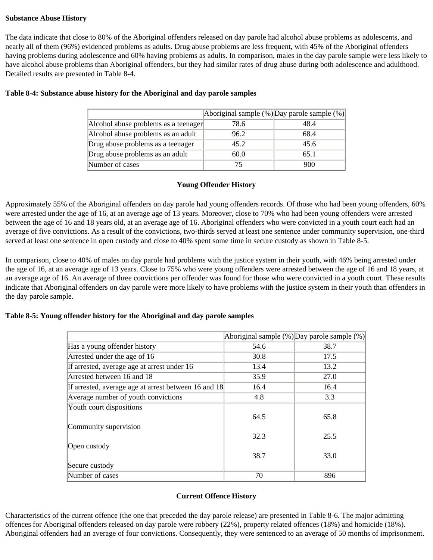## **Substance Abuse History**

The data indicate that close to 80% of the Aboriginal offenders released on day parole had alcohol abuse problems as adolescents, and nearly all of them (96%) evidenced problems as adults. Drug abuse problems are less frequent, with 45% of the Aboriginal offenders having problems during adolescence and 60% having problems as adults. In comparison, males in the day parole sample were less likely to have alcohol abuse problems than Aboriginal offenders, but they had similar rates of drug abuse during both adolescence and adulthood. Detailed results are presented in Table 8-4.

|                                      |      | Aboriginal sample $%$ )Day parole sample $%$ ) |
|--------------------------------------|------|------------------------------------------------|
| Alcohol abuse problems as a teenager | 78.6 | 48.4                                           |
| Alcohol abuse problems as an adult   | 96.2 | 68.4                                           |
| Drug abuse problems as a teenager    | 45.2 | 45.6                                           |
| Drug abuse problems as an adult      | 60.0 | 65.1                                           |
| Number of cases                      |      | 900                                            |

#### **Table 8-4: Substance abuse history for the Aboriginal and day parole samples**

## **Young Offender History**

Approximately 55% of the Aboriginal offenders on day parole had young offenders records. Of those who had been young offenders, 60% were arrested under the age of 16, at an average age of 13 years. Moreover, close to 70% who had been young offenders were arrested between the age of 16 and 18 years old, at an average age of 16. Aboriginal offenders who were convicted in a youth court each had an average of five convictions. As a result of the convictions, two-thirds served at least one sentence under community supervision, one-third served at least one sentence in open custody and close to 40% spent some time in secure custody as shown in Table 8-5.

In comparison, close to 40% of males on day parole had problems with the justice system in their youth, with 46% being arrested under the age of 16, at an average age of 13 years. Close to 75% who were young offenders were arrested between the age of 16 and 18 years, at an average age of 16. An average of three convictions per offender was found for those who were convicted in a youth court. These results indicate that Aboriginal offenders on day parole were more likely to have problems with the justice system in their youth than offenders in the day parole sample.

## **Table 8-5: Young offender history for the Aboriginal and day parole samples**

|                                                      |      | Aboriginal sample $(\%)$ Day parole sample $(\%)$ |
|------------------------------------------------------|------|---------------------------------------------------|
| Has a young offender history                         | 54.6 | 38.7                                              |
| Arrested under the age of 16                         | 30.8 | 17.5                                              |
| If arrested, average age at arrest under 16          | 13.4 | 13.2                                              |
| Arrested between 16 and 18                           | 35.9 | 27.0                                              |
| If arrested, average age at arrest between 16 and 18 | 16.4 | 16.4                                              |
| Average number of youth convictions                  | 4.8  | 3.3                                               |
| Youth court dispositions                             |      |                                                   |
|                                                      | 64.5 | 65.8                                              |
| Community supervision                                |      |                                                   |
|                                                      | 32.3 | 25.5                                              |
| Open custody                                         |      |                                                   |
|                                                      | 38.7 | 33.0                                              |
| Secure custody                                       |      |                                                   |
| Number of cases                                      | 70   | 896                                               |

## **Current Offence History**

Characteristics of the current offence (the one that preceded the day parole release) are presented in Table 8-6. The major admitting offences for Aboriginal offenders released on day parole were robbery (22%), property related offences (18%) and homicide (18%). Aboriginal offenders had an average of four convictions. Consequently, they were sentenced to an average of 50 months of imprisonment.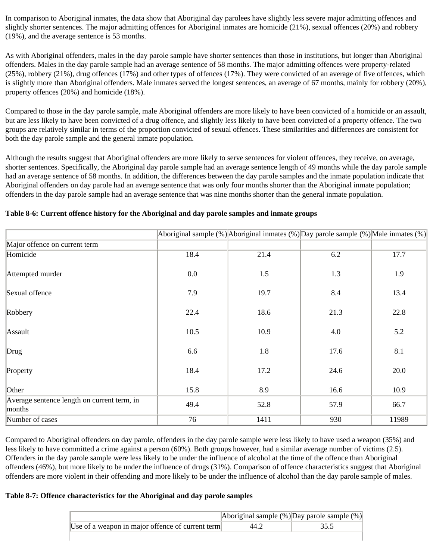In comparison to Aboriginal inmates, the data show that Aboriginal day parolees have slightly less severe major admitting offences and slightly shorter sentences. The major admitting offences for Aboriginal inmates are homicide (21%), sexual offences (20%) and robbery (19%), and the average sentence is 53 months.

As with Aboriginal offenders, males in the day parole sample have shorter sentences than those in institutions, but longer than Aboriginal offenders. Males in the day parole sample had an average sentence of 58 months. The major admitting offences were property-related (25%), robbery (21%), drug offences (17%) and other types of offences (17%). They were convicted of an average of five offences, which is slightly more than Aboriginal offenders. Male inmates served the longest sentences, an average of 67 months, mainly for robbery (20%), property offences (20%) and homicide (18%).

Compared to those in the day parole sample, male Aboriginal offenders are more likely to have been convicted of a homicide or an assault, but are less likely to have been convicted of a drug offence, and slightly less likely to have been convicted of a property offence. The two groups are relatively similar in terms of the proportion convicted of sexual offences. These similarities and differences are consistent for both the day parole sample and the general inmate population.

Although the results suggest that Aboriginal offenders are more likely to serve sentences for violent offences, they receive, on average, shorter sentences. Specifically, the Aboriginal day parole sample had an average sentence length of 49 months while the day parole sample had an average sentence of 58 months. In addition, the differences between the day parole samples and the inmate population indicate that Aboriginal offenders on day parole had an average sentence that was only four months shorter than the Aboriginal inmate population; offenders in the day parole sample had an average sentence that was nine months shorter than the general inmate population.

|                                                       |      | Aboriginal sample $(\%)$ Aboriginal inmates $(\%)$ Day parole sample $(\%)$ Male inmates $(\%)$ |      |       |
|-------------------------------------------------------|------|-------------------------------------------------------------------------------------------------|------|-------|
| Major offence on current term                         |      |                                                                                                 |      |       |
| Homicide                                              | 18.4 | 21.4                                                                                            | 6.2  | 17.7  |
| Attempted murder                                      | 0.0  | 1.5                                                                                             | 1.3  | 1.9   |
| Sexual offence                                        | 7.9  | 19.7                                                                                            | 8.4  | 13.4  |
| Robbery                                               | 22.4 | 18.6                                                                                            | 21.3 | 22.8  |
| Assault                                               | 10.5 | 10.9                                                                                            | 4.0  | 5.2   |
| Drug                                                  | 6.6  | 1.8                                                                                             | 17.6 | 8.1   |
| Property                                              | 18.4 | 17.2                                                                                            | 24.6 | 20.0  |
| Other                                                 | 15.8 | 8.9                                                                                             | 16.6 | 10.9  |
| Average sentence length on current term, in<br>months | 49.4 | 52.8                                                                                            | 57.9 | 66.7  |
| Number of cases                                       | 76   | 1411                                                                                            | 930  | 11989 |

## **Table 8-6: Current offence history for the Aboriginal and day parole samples and inmate groups**

Compared to Aboriginal offenders on day parole, offenders in the day parole sample were less likely to have used a weapon (35%) and less likely to have committed a crime against a person (60%). Both groups however, had a similar average number of victims (2.5). Offenders in the day parole sample were less likely to be under the influence of alcohol at the time of the offence than Aboriginal offenders (46%), but more likely to be under the influence of drugs (31%). Comparison of offence characteristics suggest that Aboriginal offenders are more violent in their offending and more likely to be under the influence of alcohol than the day parole sample of males.

## **Table 8-7: Offence characteristics for the Aboriginal and day parole samples**

|                                                  |      | Aboriginal sample $(\%)$ Day parole sample $(\%)$ |
|--------------------------------------------------|------|---------------------------------------------------|
| Use of a weapon in major offence of current term | 44.2 |                                                   |
|                                                  |      |                                                   |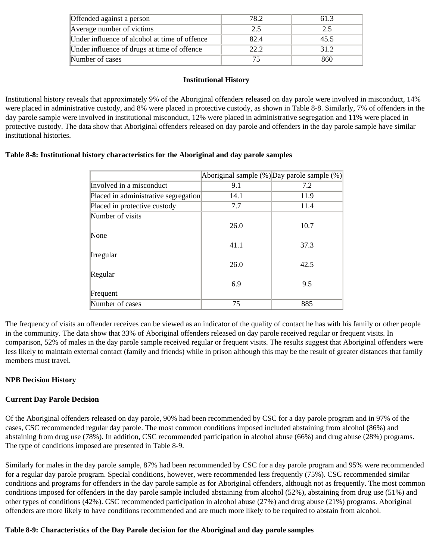| Offended against a person                     | 78 2 | 61.3 |
|-----------------------------------------------|------|------|
| Average number of victims                     | 2.5  | 2.5  |
| Under influence of alcohol at time of offence | 82.4 | 45.5 |
| Under influence of drugs at time of offence   | 22.2 | 31.2 |
| Number of cases                               |      | 860  |

## **Institutional History**

Institutional history reveals that approximately 9% of the Aboriginal offenders released on day parole were involved in misconduct, 14% were placed in administrative custody, and 8% were placed in protective custody, as shown in Table 8-8. Similarly, 7% of offenders in the day parole sample were involved in institutional misconduct, 12% were placed in administrative segregation and 11% were placed in protective custody. The data show that Aboriginal offenders released on day parole and offenders in the day parole sample have similar institutional histories.

## **Table 8-8: Institutional history characteristics for the Aboriginal and day parole samples**

|                                      |      | Aboriginal sample (%) Day parole sample (%) |
|--------------------------------------|------|---------------------------------------------|
| Involved in a misconduct             | 9.1  | 7.2                                         |
| Placed in administrative segregation | 14.1 | 11.9                                        |
| Placed in protective custody         | 7.7  | 11.4                                        |
| Number of visits                     |      |                                             |
|                                      | 26.0 | 10.7                                        |
| None                                 |      |                                             |
|                                      | 41.1 | 37.3                                        |
| Irregular                            |      |                                             |
|                                      | 26.0 | 42.5                                        |
| Regular                              |      |                                             |
|                                      | 6.9  | 9.5                                         |
| Frequent                             |      |                                             |
| Number of cases                      | 75   | 885                                         |

The frequency of visits an offender receives can be viewed as an indicator of the quality of contact he has with his family or other people in the community. The data show that 33% of Aboriginal offenders released on day parole received regular or frequent visits. In comparison, 52% of males in the day parole sample received regular or frequent visits. The results suggest that Aboriginal offenders were less likely to maintain external contact (family and friends) while in prison although this may be the result of greater distances that family members must travel.

# **NPB Decision History**

# **Current Day Parole Decision**

Of the Aboriginal offenders released on day parole, 90% had been recommended by CSC for a day parole program and in 97% of the cases, CSC recommended regular day parole. The most common conditions imposed included abstaining from alcohol (86%) and abstaining from drug use (78%). In addition, CSC recommended participation in alcohol abuse (66%) and drug abuse (28%) programs. The type of conditions imposed are presented in Table 8-9.

Similarly for males in the day parole sample, 87% had been recommended by CSC for a day parole program and 95% were recommended for a regular day parole program. Special conditions, however, were recommended less frequently (75%). CSC recommended similar conditions and programs for offenders in the day parole sample as for Aboriginal offenders, although not as frequently. The most common conditions imposed for offenders in the day parole sample included abstaining from alcohol (52%), abstaining from drug use (51%) and other types of conditions (42%). CSC recommended participation in alcohol abuse (27%) and drug abuse (21%) programs. Aboriginal offenders are more likely to have conditions recommended and are much more likely to be required to abstain from alcohol.

## **Table 8-9: Characteristics of the Day Parole decision for the Aboriginal and day parole samples**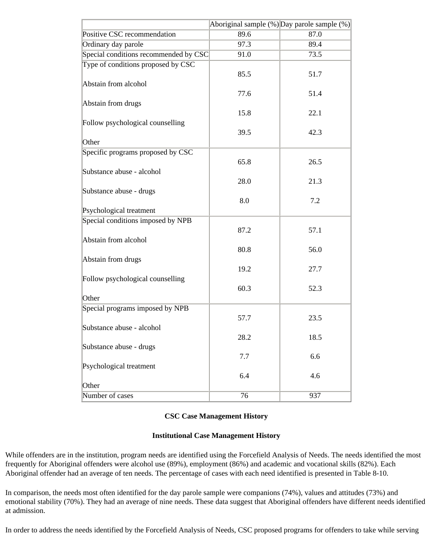|                                       |                 | Aboriginal sample (%) Day parole sample (%) |
|---------------------------------------|-----------------|---------------------------------------------|
| Positive CSC recommendation           | 89.6            | 87.0                                        |
| Ordinary day parole                   | 97.3            | 89.4                                        |
| Special conditions recommended by CSC | 91.0            | 73.5                                        |
| Type of conditions proposed by CSC    |                 |                                             |
|                                       | 85.5            | 51.7                                        |
| Abstain from alcohol                  | 77.6            |                                             |
| Abstain from drugs                    |                 | 51.4                                        |
|                                       | 15.8            | 22.1                                        |
| Follow psychological counselling      |                 |                                             |
|                                       | 39.5            | 42.3                                        |
| Other                                 |                 |                                             |
| Specific programs proposed by CSC     |                 |                                             |
|                                       | 65.8            | 26.5                                        |
| Substance abuse - alcohol             |                 |                                             |
|                                       | 28.0            | 21.3                                        |
| Substance abuse - drugs               | 8.0             | 7.2                                         |
| Psychological treatment               |                 |                                             |
| Special conditions imposed by NPB     |                 |                                             |
|                                       | 87.2            | 57.1                                        |
| Abstain from alcohol                  |                 |                                             |
|                                       | 80.8            | 56.0                                        |
| Abstain from drugs                    |                 |                                             |
|                                       | 19.2            | 27.7                                        |
| Follow psychological counselling      |                 |                                             |
|                                       | 60.3            | 52.3                                        |
| Other                                 |                 |                                             |
| Special programs imposed by NPB       | 57.7            | 23.5                                        |
| Substance abuse - alcohol             |                 |                                             |
|                                       | 28.2            | 18.5                                        |
| Substance abuse - drugs               |                 |                                             |
|                                       | $7.7\,$         | 6.6                                         |
| Psychological treatment               |                 |                                             |
|                                       | 6.4             | 4.6                                         |
| Other                                 |                 |                                             |
| Number of cases                       | $\overline{76}$ | 937                                         |

## **CSC Case Management History**

#### **Institutional Case Management History**

While offenders are in the institution, program needs are identified using the Forcefield Analysis of Needs. The needs identified the most frequently for Aboriginal offenders were alcohol use (89%), employment (86%) and academic and vocational skills (82%). Each Aboriginal offender had an average of ten needs. The percentage of cases with each need identified is presented in Table 8-10.

In comparison, the needs most often identified for the day parole sample were companions (74%), values and attitudes (73%) and emotional stability (70%). They had an average of nine needs. These data suggest that Aboriginal offenders have different needs identified at admission.

In order to address the needs identified by the Forcefield Analysis of Needs, CSC proposed programs for offenders to take while serving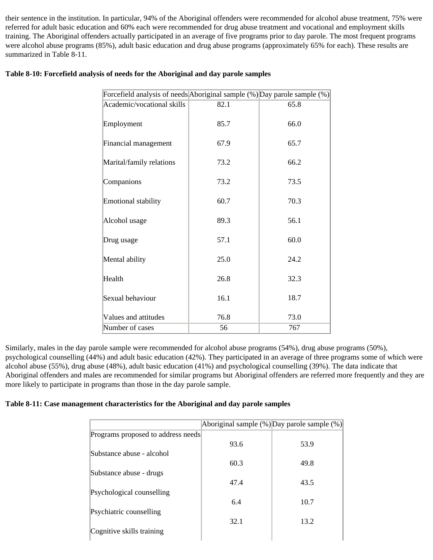their sentence in the institution. In particular, 94% of the Aboriginal offenders were recommended for alcohol abuse treatment, 75% were referred for adult basic education and 60% each were recommended for drug abuse treatment and vocational and employment skills training. The Aboriginal offenders actually participated in an average of five programs prior to day parole. The most frequent programs were alcohol abuse programs (85%), adult basic education and drug abuse programs (approximately 65% for each). These results are summarized in Table 8-11.

| Forcefield analysis of needs Aboriginal sample (%) Day parole sample (%) |      |      |
|--------------------------------------------------------------------------|------|------|
| Academic/vocational skills                                               | 82.1 | 65.8 |
| Employment                                                               | 85.7 | 66.0 |
| Financial management                                                     | 67.9 | 65.7 |
| Marital/family relations                                                 | 73.2 | 66.2 |
| Companions                                                               | 73.2 | 73.5 |
| Emotional stability                                                      | 60.7 | 70.3 |
| Alcohol usage                                                            | 89.3 | 56.1 |
| Drug usage                                                               | 57.1 | 60.0 |
| Mental ability                                                           | 25.0 | 24.2 |
| Health                                                                   | 26.8 | 32.3 |
| Sexual behaviour                                                         | 16.1 | 18.7 |
| Values and attitudes                                                     | 76.8 | 73.0 |
| Number of cases                                                          | 56   | 767  |

# **Table 8-10: Forcefield analysis of needs for the Aboriginal and day parole samples**

Similarly, males in the day parole sample were recommended for alcohol abuse programs (54%), drug abuse programs (50%), psychological counselling (44%) and adult basic education (42%). They participated in an average of three programs some of which were alcohol abuse (55%), drug abuse (48%), adult basic education (41%) and psychological counselling (39%). The data indicate that Aboriginal offenders and males are recommended for similar programs but Aboriginal offenders are referred more frequently and they are more likely to participate in programs than those in the day parole sample.

## **Table 8-11: Case management characteristics for the Aboriginal and day parole samples**

|                                    |      | Aboriginal sample $(\%)$ Day parole sample $(\%)$ |
|------------------------------------|------|---------------------------------------------------|
| Programs proposed to address needs |      |                                                   |
|                                    | 93.6 | 53.9                                              |
| Substance abuse - alcohol          |      |                                                   |
|                                    | 60.3 | 49.8                                              |
| Substance abuse - drugs            |      |                                                   |
|                                    | 47.4 | 43.5                                              |
| Psychological counselling          |      |                                                   |
|                                    | 6.4  | 10.7                                              |
| Psychiatric counselling            |      |                                                   |
|                                    | 32.1 | 13.2                                              |
| Cognitive skills training          |      |                                                   |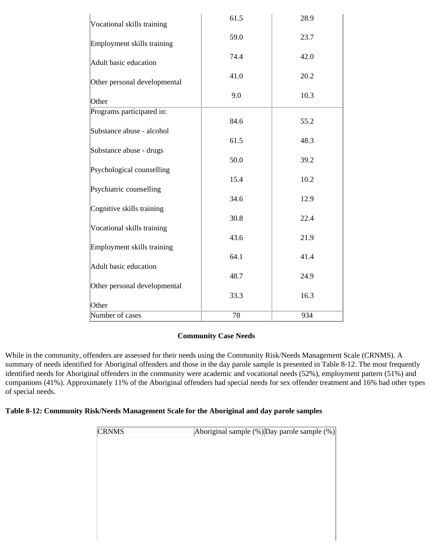| Vocational skills training   | 61.5 | 28.9 |
|------------------------------|------|------|
| Employment skills training   | 59.0 | 23.7 |
| Adult basic education        | 74.4 | 42.0 |
| Other personal developmental | 41.0 | 20.2 |
| Other                        | 9.0  | 10.3 |
| Programs participated in:    |      |      |
|                              | 84.6 | 55.2 |
| Substance abuse - alcohol    |      |      |
| Substance abuse - drugs      | 61.5 | 48.3 |
|                              | 50.0 | 39.2 |
| Psychological counselling    |      |      |
|                              | 15.4 | 10.2 |
| Psychiatric counselling      |      |      |
|                              | 34.6 | 12.9 |
| Cognitive skills training    | 30.8 | 22.4 |
| Vocational skills training   |      |      |
|                              | 43.6 | 21.9 |
| Employment skills training   |      |      |
|                              | 64.1 | 41.4 |
| Adult basic education        |      |      |
| Other personal developmental | 48.7 | 24.9 |
|                              | 33.3 | 16.3 |
| Other                        |      |      |
| Number of cases              | 78   | 934  |

# **Community Case Needs**

While in the community, offenders are assessed for their needs using the Community Risk/Needs Management Scale (CRNMS). A summary of needs identified for Aboriginal offenders and those in the day parole sample is presented in Table 8-12. The most frequently identified needs for Aboriginal offenders in the community were academic and vocational needs (52%), employment pattern (51%) and companions (41%). Approximately 11% of the Aboriginal offenders had special needs for sex offender treatment and 16% had other types of special needs.

## **Table 8-12: Community Risk/Needs Management Scale for the Aboriginal and day parole samples**

| Aboriginal sample (%) Day parole sample (%) |
|---------------------------------------------|
|                                             |
|                                             |
|                                             |
|                                             |
|                                             |
|                                             |
|                                             |
|                                             |
|                                             |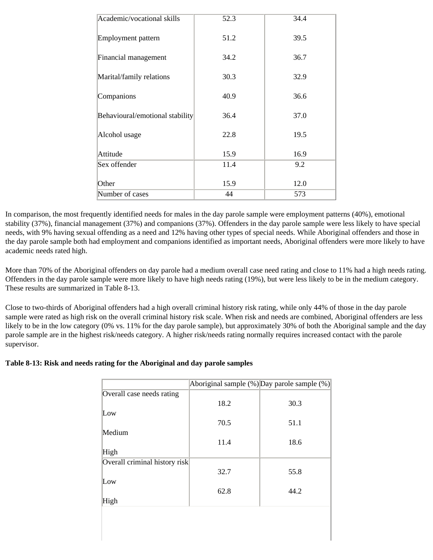| Academic/vocational skills      | 52.3 | 34.4 |
|---------------------------------|------|------|
| Employment pattern              | 51.2 | 39.5 |
| Financial management            | 34.2 | 36.7 |
| Marital/family relations        | 30.3 | 32.9 |
| Companions                      | 40.9 | 36.6 |
| Behavioural/emotional stability | 36.4 | 37.0 |
| Alcohol usage                   | 22.8 | 19.5 |
| Attitude                        | 15.9 | 16.9 |
| Sex offender                    | 11.4 | 9.2  |
| Other                           | 15.9 | 12.0 |
| Number of cases                 | 44   | 573  |

In comparison, the most frequently identified needs for males in the day parole sample were employment patterns (40%), emotional stability (37%), financial management (37%) and companions (37%). Offenders in the day parole sample were less likely to have special needs, with 9% having sexual offending as a need and 12% having other types of special needs. While Aboriginal offenders and those in the day parole sample both had employment and companions identified as important needs, Aboriginal offenders were more likely to have academic needs rated high.

More than 70% of the Aboriginal offenders on day parole had a medium overall case need rating and close to 11% had a high needs rating. Offenders in the day parole sample were more likely to have high needs rating (19%), but were less likely to be in the medium category. These results are summarized in Table 8-13.

Close to two-thirds of Aboriginal offenders had a high overall criminal history risk rating, while only 44% of those in the day parole sample were rated as high risk on the overall criminal history risk scale. When risk and needs are combined, Aboriginal offenders are less likely to be in the low category (0% vs. 11% for the day parole sample), but approximately 30% of both the Aboriginal sample and the day parole sample are in the highest risk/needs category. A higher risk/needs rating normally requires increased contact with the parole supervisor.

## **Table 8-13: Risk and needs rating for the Aboriginal and day parole samples**

|                               | Aboriginal sample $(\%)$ Day parole sample $(\%)$ |      |
|-------------------------------|---------------------------------------------------|------|
| Overall case needs rating     |                                                   |      |
|                               | 18.2                                              | 30.3 |
| Low                           |                                                   |      |
|                               | 70.5                                              | 51.1 |
| Medium                        |                                                   |      |
|                               | 11.4                                              | 18.6 |
| High                          |                                                   |      |
| Overall criminal history risk |                                                   |      |
|                               | 32.7                                              | 55.8 |
| Low                           |                                                   |      |
|                               | 62.8                                              | 44.2 |
| High                          |                                                   |      |
|                               |                                                   |      |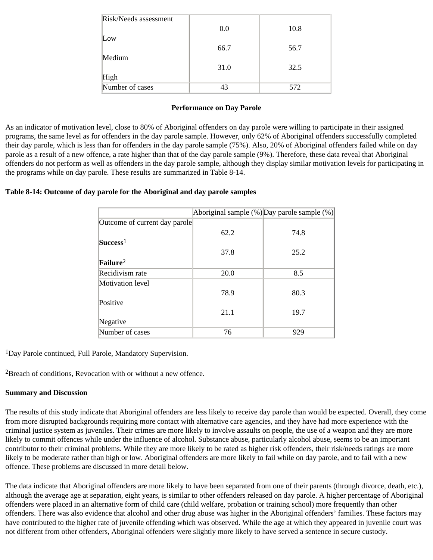| Risk/Needs assessment |      |      |
|-----------------------|------|------|
|                       | 0.0  | 10.8 |
| Low                   |      |      |
|                       | 66.7 | 56.7 |
| Medium                |      |      |
|                       | 31.0 | 32.5 |
| High                  |      |      |
| Number of cases       | 43   | 572  |

#### **Performance on Day Parole**

As an indicator of motivation level, close to 80% of Aboriginal offenders on day parole were willing to participate in their assigned programs, the same level as for offenders in the day parole sample. However, only 62% of Aboriginal offenders successfully completed their day parole, which is less than for offenders in the day parole sample (75%). Also, 20% of Aboriginal offenders failed while on day parole as a result of a new offence, a rate higher than that of the day parole sample (9%). Therefore, these data reveal that Aboriginal offenders do not perform as well as offenders in the day parole sample, although they display similar motivation levels for participating in the programs while on day parole. These results are summarized in Table 8-14.

### **Table 8-14: Outcome of day parole for the Aboriginal and day parole samples**

|                               |      | Aboriginal sample $(\%)$ Day parole sample $(\%)$ |
|-------------------------------|------|---------------------------------------------------|
| Outcome of current day parole |      |                                                   |
|                               | 62.2 | 74.8                                              |
| Success                       |      |                                                   |
|                               | 37.8 | 25.2                                              |
| $Failure2$                    |      |                                                   |
| Recidivism rate               | 20.0 | 8.5                                               |
| Motivation level              |      |                                                   |
|                               | 78.9 | 80.3                                              |
| Positive                      |      |                                                   |
|                               | 21.1 | 19.7                                              |
| Negative                      |      |                                                   |
| Number of cases               | 76   | 929                                               |

1Day Parole continued, Full Parole, Mandatory Supervision.

2Breach of conditions, Revocation with or without a new offence.

### **Summary and Discussion**

The results of this study indicate that Aboriginal offenders are less likely to receive day parole than would be expected. Overall, they come from more disrupted backgrounds requiring more contact with alternative care agencies, and they have had more experience with the criminal justice system as juveniles. Their crimes are more likely to involve assaults on people, the use of a weapon and they are more likely to commit offences while under the influence of alcohol. Substance abuse, particularly alcohol abuse, seems to be an important contributor to their criminal problems. While they are more likely to be rated as higher risk offenders, their risk/needs ratings are more likely to be moderate rather than high or low. Aboriginal offenders are more likely to fail while on day parole, and to fail with a new offence. These problems are discussed in more detail below.

The data indicate that Aboriginal offenders are more likely to have been separated from one of their parents (through divorce, death, etc.), although the average age at separation, eight years, is similar to other offenders released on day parole. A higher percentage of Aboriginal offenders were placed in an alternative form of child care (child welfare, probation or training school) more frequently than other offenders. There was also evidence that alcohol and other drug abuse was higher in the Aboriginal offenders' families. These factors may have contributed to the higher rate of juvenile offending which was observed. While the age at which they appeared in juvenile court was not different from other offenders, Aboriginal offenders were slightly more likely to have served a sentence in secure custody.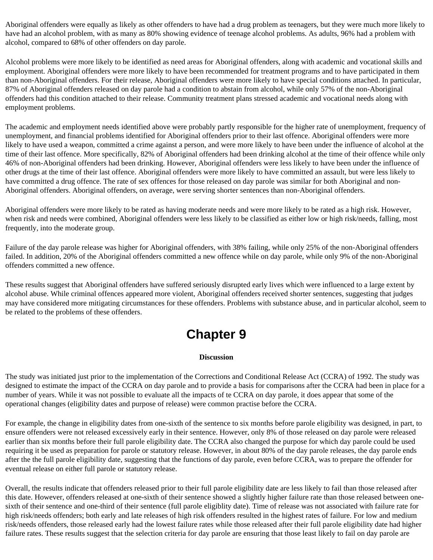Aboriginal offenders were equally as likely as other offenders to have had a drug problem as teenagers, but they were much more likely to have had an alcohol problem, with as many as 80% showing evidence of teenage alcohol problems. As adults, 96% had a problem with alcohol, compared to 68% of other offenders on day parole.

Alcohol problems were more likely to be identified as need areas for Aboriginal offenders, along with academic and vocational skills and employment. Aboriginal offenders were more likely to have been recommended for treatment programs and to have participated in them than non-Aboriginal offenders. For their release, Aboriginal offenders were more likely to have special conditions attached. In particular, 87% of Aboriginal offenders released on day parole had a condition to abstain from alcohol, while only 57% of the non-Aboriginal offenders had this condition attached to their release. Community treatment plans stressed academic and vocational needs along with employment problems.

The academic and employment needs identified above were probably partly responsible for the higher rate of unemployment, frequency of unemployment, and financial problems identified for Aboriginal offenders prior to their last offence. Aboriginal offenders were more likely to have used a weapon, committed a crime against a person, and were more likely to have been under the influence of alcohol at the time of their last offence. More specifically, 82% of Aboriginal offenders had been drinking alcohol at the time of their offence while only 46% of non-Aboriginal offenders had been drinking. However, Aboriginal offenders were less likely to have been under the influence of other drugs at the time of their last offence. Aboriginal offenders were more likely to have committed an assault, but were less likely to have committed a drug offence. The rate of sex offences for those released on day parole was similar for both Aboriginal and non-Aboriginal offenders. Aboriginal offenders, on average, were serving shorter sentences than non-Aboriginal offenders.

Aboriginal offenders were more likely to be rated as having moderate needs and were more likely to be rated as a high risk. However, when risk and needs were combined, Aboriginal offenders were less likely to be classified as either low or high risk/needs, falling, most frequently, into the moderate group.

Failure of the day parole release was higher for Aboriginal offenders, with 38% failing, while only 25% of the non-Aboriginal offenders failed. In addition, 20% of the Aboriginal offenders committed a new offence while on day parole, while only 9% of the non-Aboriginal offenders committed a new offence.

These results suggest that Aboriginal offenders have suffered seriously disrupted early lives which were influenced to a large extent by alcohol abuse. While criminal offences appeared more violent, Aboriginal offenders received shorter sentences, suggesting that judges may have considered more mitigating circumstances for these offenders. Problems with substance abuse, and in particular alcohol, seem to be related to the problems of these offenders.

# **Chapter 9**

#### **Discussion**

The study was initiated just prior to the implementation of the Corrections and Conditional Release Act (CCRA) of 1992. The study was designed to estimate the impact of the CCRA on day parole and to provide a basis for comparisons after the CCRA had been in place for a number of years. While it was not possible to evaluate all the impacts of te CCRA on day parole, it does appear that some of the operational changes (eligibility dates and purpose of release) were common practise before the CCRA.

For example, the change in eligibility dates from one-sixth of the sentence to six months before parole eligibility was designed, in part, to ensure offenders were not released excessively early in their sentence. However, only 8% of those released on day parole were released earlier than six months before their full parole eligibility date. The CCRA also changed the purpose for which day parole could be used requiring it be used as preparation for parole or statutory release. However, in about 80% of the day parole releases, the day parole ends after the the full parole eligibility date, suggesting that the functions of day parole, even before CCRA, was to prepare the offender for eventual release on either full parole or statutory release.

Overall, the results indicate that offenders released prior to their full parole eligibility date are less likely to fail than those released after this date. However, offenders released at one-sixth of their sentence showed a slightly higher failure rate than those released between onesixth of their sentence and one-third of their sentence (full parole eligiblity date). Time of release was not associated with failure rate for high risk/needs offenders; both early and late releases of high risk offenders resulted in the highest rates of failure. For low and medium risk/needs offenders, those released early had the lowest failure rates while those released after their full parole eligibility date had higher failure rates. These results suggest that the selection criteria for day parole are ensuring that those least likely to fail on day parole are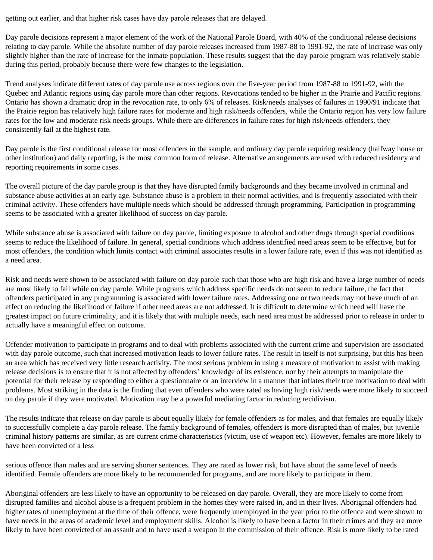getting out earlier, and that higher risk cases have day parole releases that are delayed.

Day parole decisions represent a major element of the work of the National Parole Board, with 40% of the conditional release decisions relating to day parole. While the absolute number of day parole releases increased from 1987-88 to 1991-92, the rate of increase was only slightly higher than the rate of increase for the inmate population. These results suggest that the day parole program was relatively stable during this period, probably because there were few changes to the legislation.

Trend analyses indicate different rates of day parole use across regions over the five-year period from 1987-88 to 1991-92, with the Quebec and Atlantic regions using day parole more than other regions. Revocations tended to be higher in the Prairie and Pacific regions. Ontario has shown a dramatic drop in the revocation rate, to only 6% of releases. Risk/needs analyses of failures in 1990/91 indicate that the Prairie region has relatively high failure rates for moderate and high risk/needs offenders, while the Ontario region has very low failure rates for the low and moderate risk needs groups. While there are differences in failure rates for high risk/needs offenders, they consistently fail at the highest rate.

Day parole is the first conditional release for most offenders in the sample, and ordinary day parole requiring residency (halfway house or other institution) and daily reporting, is the most common form of release. Alternative arrangements are used with reduced residency and reporting requirements in some cases.

The overall picture of the day parole group is that they have disrupted family backgrounds and they became involved in criminal and substance abuse activities at an early age. Substance abuse is a problem in their normal activities, and is frequently associated with their criminal activity. These offenders have multiple needs which should be addressed through programming. Participation in programming seems to be associated with a greater likelihood of success on day parole.

While substance abuse is associated with failure on day parole, limiting exposure to alcohol and other drugs through special conditions seems to reduce the likelihood of failure. In general, special conditions which address identified need areas seem to be effective, but for most offenders, the condition which limits contact with criminal associates results in a lower failure rate, even if this was not identified as a need area.

Risk and needs were shown to be associated with failure on day parole such that those who are high risk and have a large number of needs are most likely to fail while on day parole. While programs which address specific needs do not seem to reduce failure, the fact that offenders participated in any programming is associated with lower failure rates. Addressing one or two needs may not have much of an effect on reducing the likelihood of failure if other need areas are not addressed. It is difficult to determine which need will have the greatest impact on future criminality, and it is likely that with multiple needs, each need area must be addressed prior to release in order to actually have a meaningful effect on outcome.

Offender motivation to participate in programs and to deal with problems associated with the current crime and supervision are associated with day parole outcome, such that increased motivation leads to lower failure rates. The result in itself is not surprising, but this has been an area which has received very little research activity. The most serious problem in using a measure of motivation to assist with making release decisions is to ensure that it is not affected by offenders' knowledge of its existence, nor by their attempts to manipulate the potential for their release by responding to either a questionnaire or an interview in a manner that inflates their true motivation to deal with problems. Most striking in the data is the finding that even offenders who were rated as having high risk/needs were more likely to succeed on day parole if they were motivated. Motivation may be a powerful mediating factor in reducing recidivism.

The results indicate that release on day parole is about equally likely for female offenders as for males, and that females are equally likely to successfully complete a day parole release. The family background of females, offenders is more disrupted than of males, but juvenile criminal history patterns are similar, as are current crime characteristics (victim, use of weapon etc). However, females are more likely to have been convicted of a less

serious offence than males and are serving shorter sentences. They are rated as lower risk, but have about the same level of needs identified. Female offenders are more likely to be recommended for programs, and are more likely to participate in them.

Aboriginal offenders are less likely to have an opportunity to be released on day parole. Overall, they are more likely to come from disrupted families and alcohol abuse is a frequent problem in the homes they were raised in, and in their lives. Aboriginal offenders had higher rates of unemployment at the time of their offence, were frequently unemployed in the year prior to the offence and were shown to have needs in the areas of academic level and employment skills. Alcohol is likely to have been a factor in their crimes and they are more likely to have been convicted of an assault and to have used a weapon in the commission of their offence. Risk is more likely to be rated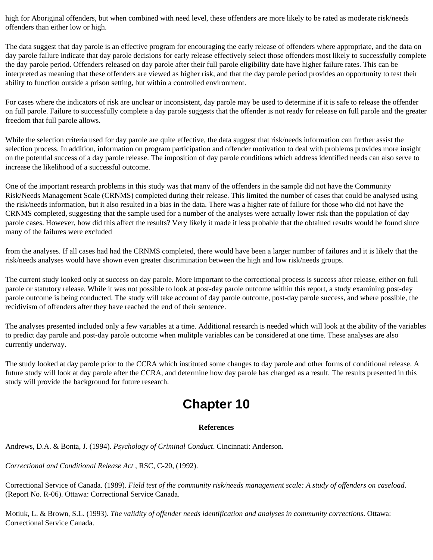high for Aboriginal offenders, but when combined with need level, these offenders are more likely to be rated as moderate risk/needs offenders than either low or high.

The data suggest that day parole is an effective program for encouraging the early release of offenders where appropriate, and the data on day parole failure indicate that day parole decisions for early release effectively select those offenders most likely to successfully complete the day parole period. Offenders released on day parole after their full parole eligibility date have higher failure rates. This can be interpreted as meaning that these offenders are viewed as higher risk, and that the day parole period provides an opportunity to test their ability to function outside a prison setting, but within a controlled environment.

For cases where the indicators of risk are unclear or inconsistent, day parole may be used to determine if it is safe to release the offender on full parole. Failure to successfully complete a day parole suggests that the offender is not ready for release on full parole and the greater freedom that full parole allows.

While the selection criteria used for day parole are quite effective, the data suggest that risk/needs information can further assist the selection process. In addition, information on program participation and offender motivation to deal with problems provides more insight on the potential success of a day parole release. The imposition of day parole conditions which address identified needs can also serve to increase the likelihood of a successful outcome.

One of the important research problems in this study was that many of the offenders in the sample did not have the Community Risk/Needs Management Scale (CRNMS) completed during their release. This limited the number of cases that could be analysed using the risk/needs information, but it also resulted in a bias in the data. There was a higher rate of failure for those who did not have the CRNMS completed, suggesting that the sample used for a number of the analyses were actually lower risk than the population of day parole cases. However, how did this affect the results? Very likely it made it less probable that the obtained results would be found since many of the failures were excluded

from the analyses. If all cases had had the CRNMS completed, there would have been a larger number of failures and it is likely that the risk/needs analyses would have shown even greater discrimination between the high and low risk/needs groups.

The current study looked only at success on day parole. More important to the correctional process is success after release, either on full parole or statutory release. While it was not possible to look at post-day parole outcome within this report, a study examining post-day parole outcome is being conducted. The study will take account of day parole outcome, post-day parole success, and where possible, the recidivism of offenders after they have reached the end of their sentence.

The analyses presented included only a few variables at a time. Additional research is needed which will look at the ability of the variables to predict day parole and post-day parole outcome when mulitple variables can be considered at one time. These analyses are also currently underway.

The study looked at day parole prior to the CCRA which instituted some changes to day parole and other forms of conditional release. A future study will look at day parole after the CCRA, and determine how day parole has changed as a result. The results presented in this study will provide the background for future research.

# **Chapter 10**

### **References**

Andrews, D.A. & Bonta, J. (1994). *Psychology of Criminal Conduct*. Cincinnati: Anderson.

*Correctional and Conditional Release Act* , RSC, C-20, (1992).

Correctional Service of Canada. (1989). *Field test of the community risk/needs management scale: A study of offenders on caseload*. (Report No. R-06). Ottawa: Correctional Service Canada.

Motiuk, L. & Brown, S.L. (1993). *The validity of offender needs identification and analyses in community corrections*. Ottawa: Correctional Service Canada.